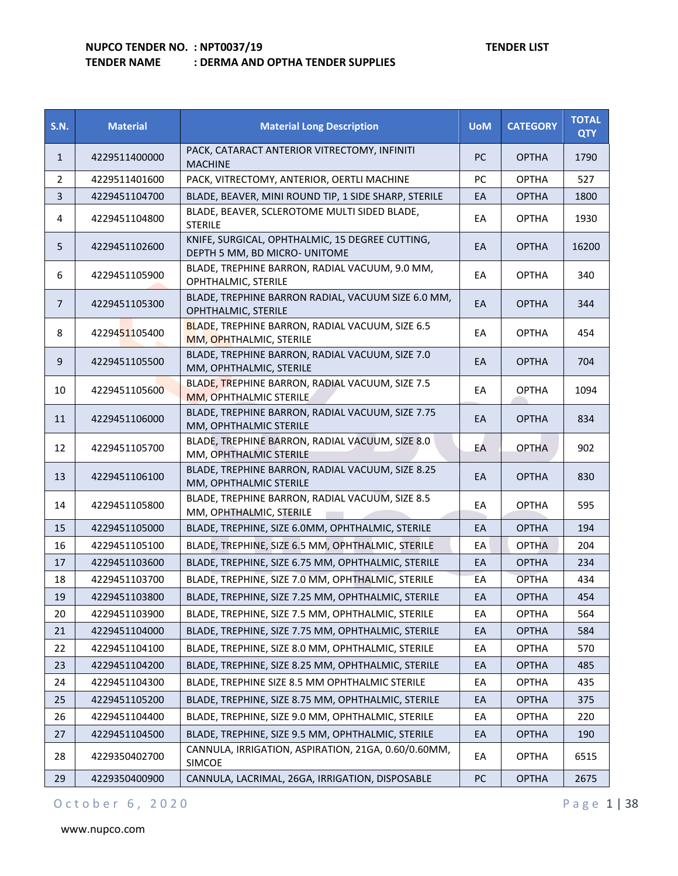| <b>S.N.</b>    | <b>Material</b> | <b>Material Long Description</b>                                                 | <b>UoM</b> | <b>CATEGORY</b> | <b>TOTAL</b><br><b>QTY</b> |
|----------------|-----------------|----------------------------------------------------------------------------------|------------|-----------------|----------------------------|
| $\mathbf{1}$   | 4229511400000   | PACK, CATARACT ANTERIOR VITRECTOMY, INFINITI<br><b>MACHINE</b>                   | PC         | <b>OPTHA</b>    | 1790                       |
| $\overline{2}$ | 4229511401600   | PACK, VITRECTOMY, ANTERIOR, OERTLI MACHINE                                       | PC         | <b>OPTHA</b>    | 527                        |
| 3              | 4229451104700   | BLADE, BEAVER, MINI ROUND TIP, 1 SIDE SHARP, STERILE                             | EA         | <b>OPTHA</b>    | 1800                       |
| 4              | 4229451104800   | BLADE, BEAVER, SCLEROTOME MULTI SIDED BLADE,<br><b>STERILE</b>                   | EA         | <b>OPTHA</b>    | 1930                       |
| 5              | 4229451102600   | KNIFE, SURGICAL, OPHTHALMIC, 15 DEGREE CUTTING,<br>DEPTH 5 MM, BD MICRO- UNITOME | EA         | <b>OPTHA</b>    | 16200                      |
| 6              | 4229451105900   | BLADE, TREPHINE BARRON, RADIAL VACUUM, 9.0 MM,<br>OPHTHALMIC, STERILE            | EA         | <b>OPTHA</b>    | 340                        |
| $7^{\circ}$    | 4229451105300   | BLADE, TREPHINE BARRON RADIAL, VACUUM SIZE 6.0 MM,<br>OPHTHALMIC, STERILE        | EA         | <b>OPTHA</b>    | 344                        |
| 8              | 4229451105400   | BLADE, TREPHINE BARRON, RADIAL VACUUM, SIZE 6.5<br>MM, OPHTHALMIC, STERILE       | EА         | <b>OPTHA</b>    | 454                        |
| 9              | 4229451105500   | BLADE, TREPHINE BARRON, RADIAL VACUUM, SIZE 7.0<br>MM, OPHTHALMIC, STERILE       | EA         | <b>OPTHA</b>    | 704                        |
| 10             | 4229451105600   | BLADE, TREPHINE BARRON, RADIAL VACUUM, SIZE 7.5<br>MM, OPHTHALMIC STERILE        | EA         | <b>OPTHA</b>    | 1094                       |
| 11             | 4229451106000   | BLADE, TREPHINE BARRON, RADIAL VACUUM, SIZE 7.75<br>MM, OPHTHALMIC STERILE       | EA         | <b>OPTHA</b>    | 834                        |
| 12             | 4229451105700   | BLADE, TREPHINE BARRON, RADIAL VACUUM, SIZE 8.0<br>MM, OPHTHALMIC STERILE        | EA         | <b>OPTHA</b>    | 902                        |
| 13             | 4229451106100   | BLADE, TREPHINE BARRON, RADIAL VACUUM, SIZE 8.25<br>MM, OPHTHALMIC STERILE       | EA         | <b>OPTHA</b>    | 830                        |
| 14             | 4229451105800   | BLADE, TREPHINE BARRON, RADIAL VACUUM, SIZE 8.5<br>MM, OPHTHALMIC, STERILE       | EА         | <b>OPTHA</b>    | 595                        |
| 15             | 4229451105000   | BLADE, TREPHINE, SIZE 6.0MM, OPHTHALMIC, STERILE                                 | EA         | <b>OPTHA</b>    | 194                        |
| 16             | 4229451105100   | BLADE, TREPHINE, SIZE 6.5 MM, OPHTHALMIC, STERILE                                | EA         | <b>OPTHA</b>    | 204                        |
| 17             | 4229451103600   | BLADE, TREPHINE, SIZE 6.75 MM, OPHTHALMIC, STERILE                               | EА         | <b>OPTHA</b>    | 234                        |
| 18             | 4229451103700   | BLADE, TREPHINE, SIZE 7.0 MM, OPHTHALMIC, STERILE                                | EA         | <b>OPTHA</b>    | 434                        |
| 19             | 4229451103800   | BLADE, TREPHINE, SIZE 7.25 MM, OPHTHALMIC, STERILE                               | EA         | <b>OPTHA</b>    | 454                        |
| 20             | 4229451103900   | BLADE, TREPHINE, SIZE 7.5 MM, OPHTHALMIC, STERILE                                | EA         | <b>OPTHA</b>    | 564                        |
| 21             | 4229451104000   | BLADE, TREPHINE, SIZE 7.75 MM, OPHTHALMIC, STERILE                               | EA         | <b>OPTHA</b>    | 584                        |
| 22             | 4229451104100   | BLADE, TREPHINE, SIZE 8.0 MM, OPHTHALMIC, STERILE                                | ЕA         | <b>OPTHA</b>    | 570                        |
| 23             | 4229451104200   | BLADE, TREPHINE, SIZE 8.25 MM, OPHTHALMIC, STERILE                               | EA         | <b>OPTHA</b>    | 485                        |
| 24             | 4229451104300   | BLADE, TREPHINE SIZE 8.5 MM OPHTHALMIC STERILE                                   | EA         | <b>OPTHA</b>    | 435                        |
| 25             | 4229451105200   | BLADE, TREPHINE, SIZE 8.75 MM, OPHTHALMIC, STERILE                               | EA         | <b>OPTHA</b>    | 375                        |
| 26             | 4229451104400   | BLADE, TREPHINE, SIZE 9.0 MM, OPHTHALMIC, STERILE                                | EA         | <b>OPTHA</b>    | 220                        |
| 27             | 4229451104500   | BLADE, TREPHINE, SIZE 9.5 MM, OPHTHALMIC, STERILE                                | EA         | <b>OPTHA</b>    | 190                        |
| 28             | 4229350402700   | CANNULA, IRRIGATION, ASPIRATION, 21GA, 0.60/0.60MM,<br><b>SIMCOE</b>             | EA         | <b>OPTHA</b>    | 6515                       |
| 29             | 4229350400900   | CANNULA, LACRIMAL, 26GA, IRRIGATION, DISPOSABLE                                  | PC         | <b>OPTHA</b>    | 2675                       |

## O c t o b e r 6, 2020 P a g e 1 | 38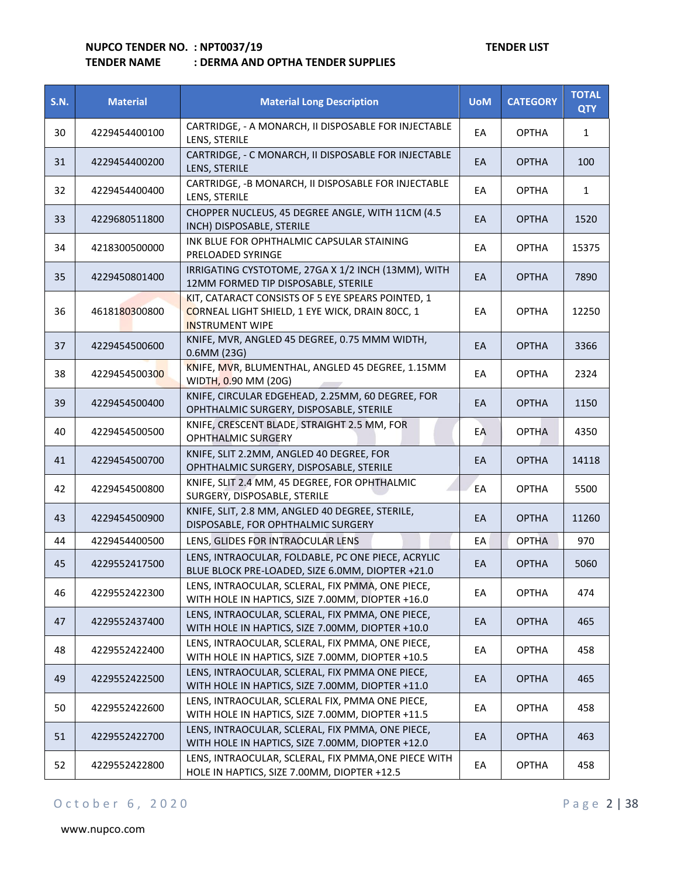## **TENDER NAME : DERMA AND OPTHA TENDER SUPPLIES**

| <b>S.N.</b> | <b>Material</b> | <b>Material Long Description</b>                                                                                               | <b>UoM</b> | <b>CATEGORY</b> | <b>TOTAL</b><br><b>QTY</b> |
|-------------|-----------------|--------------------------------------------------------------------------------------------------------------------------------|------------|-----------------|----------------------------|
| 30          | 4229454400100   | CARTRIDGE, - A MONARCH, II DISPOSABLE FOR INJECTABLE<br>LENS, STERILE                                                          | EA         | <b>OPTHA</b>    | $\mathbf{1}$               |
| 31          | 4229454400200   | CARTRIDGE, - C MONARCH, II DISPOSABLE FOR INJECTABLE<br>LENS, STERILE                                                          | EA         | <b>OPTHA</b>    | 100                        |
| 32          | 4229454400400   | CARTRIDGE, - B MONARCH, II DISPOSABLE FOR INJECTABLE<br>LENS, STERILE                                                          | EA         | <b>OPTHA</b>    | $\mathbf{1}$               |
| 33          | 4229680511800   | CHOPPER NUCLEUS, 45 DEGREE ANGLE, WITH 11CM (4.5<br>INCH) DISPOSABLE, STERILE                                                  | EA         | <b>OPTHA</b>    | 1520                       |
| 34          | 4218300500000   | INK BLUE FOR OPHTHALMIC CAPSULAR STAINING<br>PRELOADED SYRINGE                                                                 | EA         | <b>OPTHA</b>    | 15375                      |
| 35          | 4229450801400   | IRRIGATING CYSTOTOME, 27GA X 1/2 INCH (13MM), WITH<br>12MM FORMED TIP DISPOSABLE, STERILE                                      | EA         | <b>OPTHA</b>    | 7890                       |
| 36          | 4618180300800   | KIT, CATARACT CONSISTS OF 5 EYE SPEARS POINTED, 1<br>CORNEAL LIGHT SHIELD, 1 EYE WICK, DRAIN 80CC, 1<br><b>INSTRUMENT WIPE</b> | EA         | <b>OPTHA</b>    | 12250                      |
| 37          | 4229454500600   | KNIFE, MVR, ANGLED 45 DEGREE, 0.75 MMM WIDTH,<br>0.6MM (23G)                                                                   | EA         | <b>OPTHA</b>    | 3366                       |
| 38          | 4229454500300   | KNIFE, MVR, BLUMENTHAL, ANGLED 45 DEGREE, 1.15MM<br>WIDTH, 0.90 MM (20G)<br>$\mathcal{L}$                                      | EA         | <b>OPTHA</b>    | 2324                       |
| 39          | 4229454500400   | KNIFE, CIRCULAR EDGEHEAD, 2.25MM, 60 DEGREE, FOR<br>OPHTHALMIC SURGERY, DISPOSABLE, STERILE                                    | EA         | <b>OPTHA</b>    | 1150                       |
| 40          | 4229454500500   | KNIFE, CRESCENT BLADE, STRAIGHT 2.5 MM, FOR<br>OPHTHALMIC SURGERY                                                              | EA         | <b>OPTHA</b>    | 4350                       |
| 41          | 4229454500700   | KNIFE, SLIT 2.2MM, ANGLED 40 DEGREE, FOR<br>OPHTHALMIC SURGERY, DISPOSABLE, STERILE                                            | EA         | <b>OPTHA</b>    | 14118                      |
| 42          | 4229454500800   | KNIFE, SLIT 2.4 MM, 45 DEGREE, FOR OPHTHALMIC<br>SURGERY, DISPOSABLE, STERILE                                                  | EA         | <b>OPTHA</b>    | 5500                       |
| 43          | 4229454500900   | KNIFE, SLIT, 2.8 MM, ANGLED 40 DEGREE, STERILE,<br>DISPOSABLE, FOR OPHTHALMIC SURGERY                                          | EA         | <b>OPTHA</b>    | 11260                      |
| 44          | 4229454400500   | LENS, GLIDES FOR INTRAOCULAR LENS                                                                                              | EA         | <b>OPTHA</b>    | 970                        |
| 45          | 4229552417500   | LENS, INTRAOCULAR, FOLDABLE, PC ONE PIECE, ACRYLIC<br>BLUE BLOCK PRE-LOADED, SIZE 6.0MM, DIOPTER +21.0                         | EA         | <b>OPTHA</b>    | 5060                       |
| 46          | 4229552422300   | LENS, INTRAOCULAR, SCLERAL, FIX PMMA, ONE PIECE,<br>WITH HOLE IN HAPTICS, SIZE 7.00MM, DIOPTER +16.0                           | EA         | <b>OPTHA</b>    | 474                        |
| 47          | 4229552437400   | LENS, INTRAOCULAR, SCLERAL, FIX PMMA, ONE PIECE,<br>WITH HOLE IN HAPTICS, SIZE 7.00MM, DIOPTER +10.0                           | EA         | <b>OPTHA</b>    | 465                        |
| 48          | 4229552422400   | LENS, INTRAOCULAR, SCLERAL, FIX PMMA, ONE PIECE,<br>WITH HOLE IN HAPTICS, SIZE 7.00MM, DIOPTER +10.5                           | EA         | <b>OPTHA</b>    | 458                        |
| 49          | 4229552422500   | LENS, INTRAOCULAR, SCLERAL, FIX PMMA ONE PIECE,<br>WITH HOLE IN HAPTICS, SIZE 7.00MM, DIOPTER +11.0                            | EA         | <b>OPTHA</b>    | 465                        |
| 50          | 4229552422600   | LENS, INTRAOCULAR, SCLERAL FIX, PMMA ONE PIECE,<br>WITH HOLE IN HAPTICS, SIZE 7.00MM, DIOPTER +11.5                            | EA         | <b>OPTHA</b>    | 458                        |
| 51          | 4229552422700   | LENS, INTRAOCULAR, SCLERAL, FIX PMMA, ONE PIECE,<br>WITH HOLE IN HAPTICS, SIZE 7.00MM, DIOPTER +12.0                           | EA         | <b>OPTHA</b>    | 463                        |
| 52          | 4229552422800   | LENS, INTRAOCULAR, SCLERAL, FIX PMMA, ONE PIECE WITH<br>HOLE IN HAPTICS, SIZE 7.00MM, DIOPTER +12.5                            | EA         | <b>OPTHA</b>    | 458                        |

## O c t o b e r 6, 2020 P a g e 2 | 38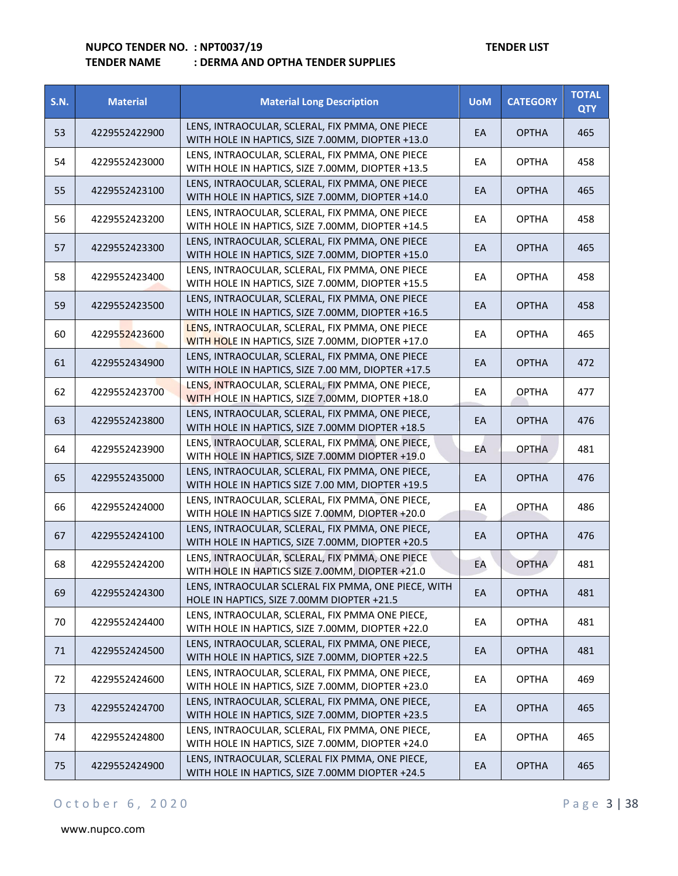| <b>S.N.</b> | <b>Material</b> | <b>Material Long Description</b>                                                                     | <b>UoM</b> | <b>CATEGORY</b> | <b>TOTAL</b><br><b>QTY</b> |
|-------------|-----------------|------------------------------------------------------------------------------------------------------|------------|-----------------|----------------------------|
| 53          | 4229552422900   | LENS, INTRAOCULAR, SCLERAL, FIX PMMA, ONE PIECE<br>WITH HOLE IN HAPTICS, SIZE 7.00MM, DIOPTER +13.0  | EA         | <b>OPTHA</b>    | 465                        |
| 54          | 4229552423000   | LENS, INTRAOCULAR, SCLERAL, FIX PMMA, ONE PIECE<br>WITH HOLE IN HAPTICS, SIZE 7.00MM, DIOPTER +13.5  | EA         | <b>OPTHA</b>    | 458                        |
| 55          | 4229552423100   | LENS, INTRAOCULAR, SCLERAL, FIX PMMA, ONE PIECE<br>WITH HOLE IN HAPTICS, SIZE 7.00MM, DIOPTER +14.0  | EA         | <b>OPTHA</b>    | 465                        |
| 56          | 4229552423200   | LENS, INTRAOCULAR, SCLERAL, FIX PMMA, ONE PIECE<br>WITH HOLE IN HAPTICS, SIZE 7.00MM, DIOPTER +14.5  | EA         | <b>OPTHA</b>    | 458                        |
| 57          | 4229552423300   | LENS, INTRAOCULAR, SCLERAL, FIX PMMA, ONE PIECE<br>WITH HOLE IN HAPTICS, SIZE 7.00MM, DIOPTER +15.0  | EA         | <b>OPTHA</b>    | 465                        |
| 58          | 4229552423400   | LENS, INTRAOCULAR, SCLERAL, FIX PMMA, ONE PIECE<br>WITH HOLE IN HAPTICS, SIZE 7.00MM, DIOPTER +15.5  | EA         | <b>OPTHA</b>    | 458                        |
| 59          | 4229552423500   | LENS, INTRAOCULAR, SCLERAL, FIX PMMA, ONE PIECE<br>WITH HOLE IN HAPTICS, SIZE 7.00MM, DIOPTER +16.5  | EA         | <b>OPTHA</b>    | 458                        |
| 60          | 4229552423600   | LENS, INTRAOCULAR, SCLERAL, FIX PMMA, ONE PIECE<br>WITH HOLE IN HAPTICS, SIZE 7.00MM, DIOPTER +17.0  | EA         | <b>OPTHA</b>    | 465                        |
| 61          | 4229552434900   | LENS, INTRAOCULAR, SCLERAL, FIX PMMA, ONE PIECE<br>WITH HOLE IN HAPTICS, SIZE 7.00 MM, DIOPTER +17.5 | EA         | <b>OPTHA</b>    | 472                        |
| 62          | 4229552423700   | LENS, INTRAOCULAR, SCLERAL, FIX PMMA, ONE PIECE,<br>WITH HOLE IN HAPTICS, SIZE 7.00MM, DIOPTER +18.0 | EA         | <b>OPTHA</b>    | 477                        |
| 63          | 4229552423800   | LENS, INTRAOCULAR, SCLERAL, FIX PMMA, ONE PIECE,<br>WITH HOLE IN HAPTICS, SIZE 7.00MM DIOPTER +18.5  | EA         | <b>OPTHA</b>    | 476                        |
| 64          | 4229552423900   | LENS, INTRAOCULAR, SCLERAL, FIX PMMA, ONE PIECE,<br>WITH HOLE IN HAPTICS, SIZE 7.00MM DIOPTER +19.0  | EA         | <b>OPTHA</b>    | 481                        |
| 65          | 4229552435000   | LENS, INTRAOCULAR, SCLERAL, FIX PMMA, ONE PIECE,<br>WITH HOLE IN HAPTICS SIZE 7.00 MM, DIOPTER +19.5 | EA         | <b>OPTHA</b>    | 476                        |
| 66          | 4229552424000   | LENS, INTRAOCULAR, SCLERAL, FIX PMMA, ONE PIECE,<br>WITH HOLE IN HAPTICS SIZE 7.00MM, DIOPTER +20.0  | EA         | <b>OPTHA</b>    | 486                        |
| 67          | 4229552424100   | LENS, INTRAOCULAR, SCLERAL, FIX PMMA, ONE PIECE,<br>WITH HOLE IN HAPTICS, SIZE 7.00MM, DIOPTER +20.5 | EA         | <b>OPTHA</b>    | 476                        |
| 68          | 4229552424200   | LENS, INTRAOCULAR, SCLERAL, FIX PMMA, ONE PIECE<br>WITH HOLE IN HAPTICS SIZE 7.00MM, DIOPTER +21.0   | EA         | <b>OPTHA</b>    | 481                        |
| 69          | 4229552424300   | LENS, INTRAOCULAR SCLERAL FIX PMMA, ONE PIECE, WITH<br>HOLE IN HAPTICS, SIZE 7.00MM DIOPTER +21.5    | EA         | <b>OPTHA</b>    | 481                        |
| 70          | 4229552424400   | LENS, INTRAOCULAR, SCLERAL, FIX PMMA ONE PIECE,<br>WITH HOLE IN HAPTICS, SIZE 7.00MM, DIOPTER +22.0  | EA         | <b>OPTHA</b>    | 481                        |
| 71          | 4229552424500   | LENS, INTRAOCULAR, SCLERAL, FIX PMMA, ONE PIECE,<br>WITH HOLE IN HAPTICS, SIZE 7.00MM, DIOPTER +22.5 | EA         | <b>OPTHA</b>    | 481                        |
| 72          | 4229552424600   | LENS, INTRAOCULAR, SCLERAL, FIX PMMA, ONE PIECE,<br>WITH HOLE IN HAPTICS, SIZE 7.00MM, DIOPTER +23.0 | EA         | <b>OPTHA</b>    | 469                        |
| 73          | 4229552424700   | LENS, INTRAOCULAR, SCLERAL, FIX PMMA, ONE PIECE,<br>WITH HOLE IN HAPTICS, SIZE 7.00MM, DIOPTER +23.5 | EA         | <b>OPTHA</b>    | 465                        |
| 74          | 4229552424800   | LENS, INTRAOCULAR, SCLERAL, FIX PMMA, ONE PIECE,<br>WITH HOLE IN HAPTICS, SIZE 7.00MM, DIOPTER +24.0 | EA         | <b>OPTHA</b>    | 465                        |
| 75          | 4229552424900   | LENS, INTRAOCULAR, SCLERAL FIX PMMA, ONE PIECE,<br>WITH HOLE IN HAPTICS, SIZE 7.00MM DIOPTER +24.5   | EA         | <b>OPTHA</b>    | 465                        |

## O c t o b e r 6, 2020 P a g e 3 | 38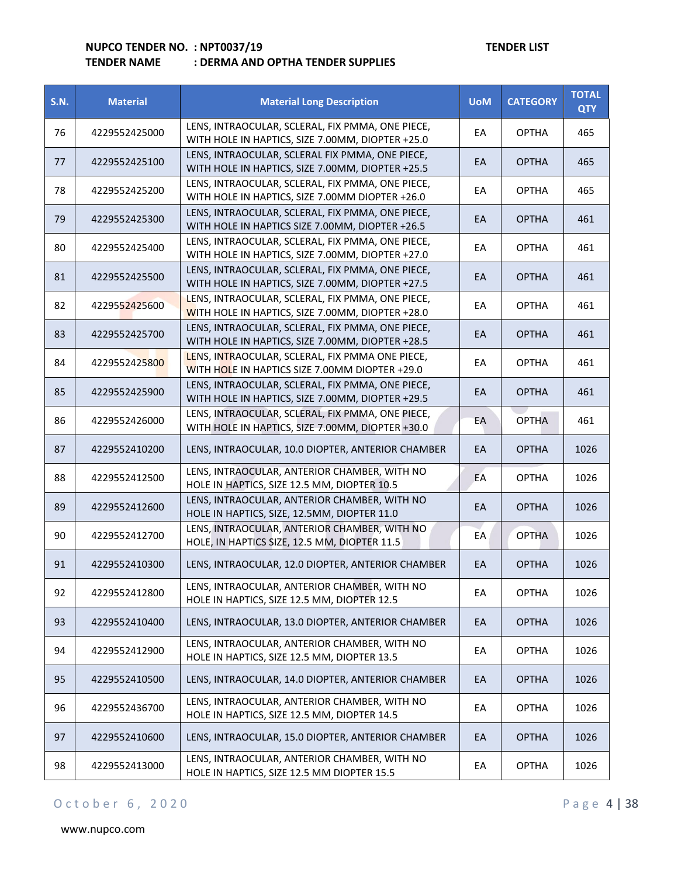| <b>S.N.</b> | <b>Material</b> | <b>Material Long Description</b>                                                                     | <b>UoM</b> | <b>CATEGORY</b> | <b>TOTAL</b><br><b>QTY</b> |
|-------------|-----------------|------------------------------------------------------------------------------------------------------|------------|-----------------|----------------------------|
| 76          | 4229552425000   | LENS, INTRAOCULAR, SCLERAL, FIX PMMA, ONE PIECE,<br>WITH HOLE IN HAPTICS, SIZE 7.00MM, DIOPTER +25.0 | EA         | <b>OPTHA</b>    | 465                        |
| 77          | 4229552425100   | LENS, INTRAOCULAR, SCLERAL FIX PMMA, ONE PIECE,<br>WITH HOLE IN HAPTICS, SIZE 7.00MM, DIOPTER +25.5  | EA         | <b>OPTHA</b>    | 465                        |
| 78          | 4229552425200   | LENS, INTRAOCULAR, SCLERAL, FIX PMMA, ONE PIECE,<br>WITH HOLE IN HAPTICS, SIZE 7.00MM DIOPTER +26.0  | EA         | <b>OPTHA</b>    | 465                        |
| 79          | 4229552425300   | LENS, INTRAOCULAR, SCLERAL, FIX PMMA, ONE PIECE,<br>WITH HOLE IN HAPTICS SIZE 7.00MM, DIOPTER +26.5  | EА         | <b>OPTHA</b>    | 461                        |
| 80          | 4229552425400   | LENS, INTRAOCULAR, SCLERAL, FIX PMMA, ONE PIECE,<br>WITH HOLE IN HAPTICS, SIZE 7.00MM, DIOPTER +27.0 | EA         | <b>OPTHA</b>    | 461                        |
| 81          | 4229552425500   | LENS, INTRAOCULAR, SCLERAL, FIX PMMA, ONE PIECE,<br>WITH HOLE IN HAPTICS, SIZE 7.00MM, DIOPTER +27.5 | EA         | <b>OPTHA</b>    | 461                        |
| 82          | 4229552425600   | LENS, INTRAOCULAR, SCLERAL, FIX PMMA, ONE PIECE,<br>WITH HOLE IN HAPTICS, SIZE 7.00MM, DIOPTER +28.0 | EA         | <b>OPTHA</b>    | 461                        |
| 83          | 4229552425700   | LENS, INTRAOCULAR, SCLERAL, FIX PMMA, ONE PIECE,<br>WITH HOLE IN HAPTICS, SIZE 7.00MM, DIOPTER +28.5 | EA         | <b>OPTHA</b>    | 461                        |
| 84          | 4229552425800   | LENS, INTRAOCULAR, SCLERAL, FIX PMMA ONE PIECE,<br>WITH HOLE IN HAPTICS SIZE 7.00MM DIOPTER +29.0    | EA         | <b>OPTHA</b>    | 461                        |
| 85          | 4229552425900   | LENS, INTRAOCULAR, SCLERAL, FIX PMMA, ONE PIECE,<br>WITH HOLE IN HAPTICS, SIZE 7.00MM, DIOPTER +29.5 | EА         | <b>OPTHA</b>    | 461                        |
| 86          | 4229552426000   | LENS, INTRAOCULAR, SCLERAL, FIX PMMA, ONE PIECE,<br>WITH HOLE IN HAPTICS, SIZE 7.00MM, DIOPTER +30.0 | EA         | <b>OPTHA</b>    | 461                        |
| 87          | 4229552410200   | LENS, INTRAOCULAR, 10.0 DIOPTER, ANTERIOR CHAMBER                                                    | EA         | <b>OPTHA</b>    | 1026                       |
| 88          | 4229552412500   | LENS, INTRAOCULAR, ANTERIOR CHAMBER, WITH NO<br>HOLE IN HAPTICS, SIZE 12.5 MM, DIOPTER 10.5          | EA         | <b>OPTHA</b>    | 1026                       |
| 89          | 4229552412600   | LENS, INTRAOCULAR, ANTERIOR CHAMBER, WITH NO<br>HOLE IN HAPTICS, SIZE, 12.5MM, DIOPTER 11.0          | EA         | <b>OPTHA</b>    | 1026                       |
| 90          | 4229552412700   | LENS, INTRAOCULAR, ANTERIOR CHAMBER, WITH NO<br>HOLE, IN HAPTICS SIZE, 12.5 MM, DIOPTER 11.5         | EA         | <b>OPTHA</b>    | 1026                       |
| 91          | 4229552410300   | LENS, INTRAOCULAR, 12.0 DIOPTER, ANTERIOR CHAMBER                                                    | EA         | <b>OPTHA</b>    | 1026                       |
| 92          | 4229552412800   | LENS, INTRAOCULAR, ANTERIOR CHAMBER, WITH NO<br>HOLE IN HAPTICS, SIZE 12.5 MM, DIOPTER 12.5          | EA         | <b>OPTHA</b>    | 1026                       |
| 93          | 4229552410400   | LENS, INTRAOCULAR, 13.0 DIOPTER, ANTERIOR CHAMBER                                                    | EA         | <b>OPTHA</b>    | 1026                       |
| 94          | 4229552412900   | LENS, INTRAOCULAR, ANTERIOR CHAMBER, WITH NO<br>HOLE IN HAPTICS, SIZE 12.5 MM, DIOPTER 13.5          | EA         | <b>OPTHA</b>    | 1026                       |
| 95          | 4229552410500   | LENS, INTRAOCULAR, 14.0 DIOPTER, ANTERIOR CHAMBER                                                    | EA         | <b>OPTHA</b>    | 1026                       |
| 96          | 4229552436700   | LENS, INTRAOCULAR, ANTERIOR CHAMBER, WITH NO<br>HOLE IN HAPTICS, SIZE 12.5 MM, DIOPTER 14.5          | EA         | <b>OPTHA</b>    | 1026                       |
| 97          | 4229552410600   | LENS, INTRAOCULAR, 15.0 DIOPTER, ANTERIOR CHAMBER                                                    | EA         | <b>OPTHA</b>    | 1026                       |
| 98          | 4229552413000   | LENS, INTRAOCULAR, ANTERIOR CHAMBER, WITH NO<br>HOLE IN HAPTICS, SIZE 12.5 MM DIOPTER 15.5           | EA         | <b>OPTHA</b>    | 1026                       |

## O c t o b e r 6, 2020 P a g e 4 | 38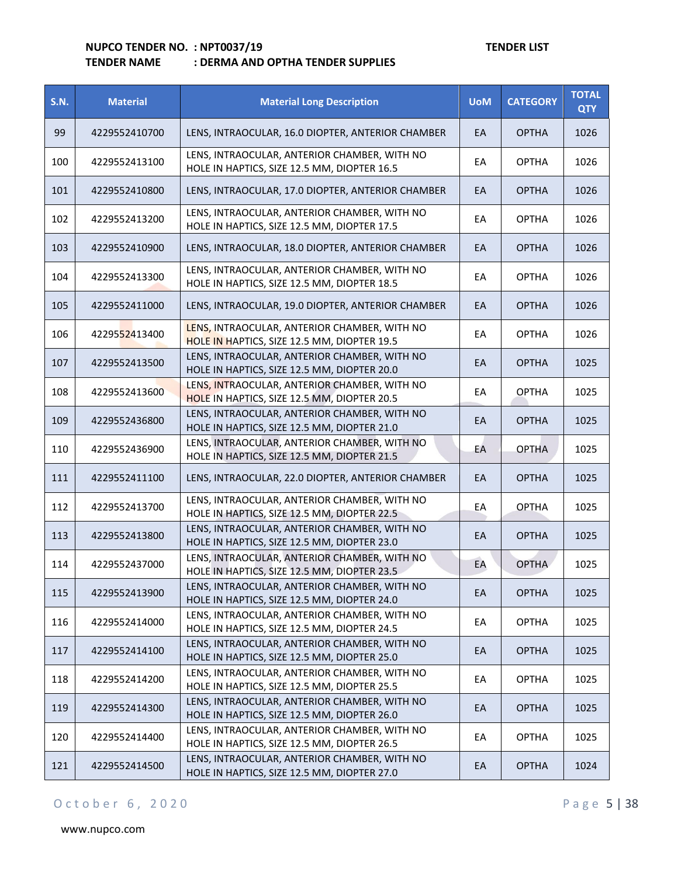## **TENDER NAME : DERMA AND OPTHA TENDER SUPPLIES**

| <b>S.N.</b> | <b>Material</b> | <b>Material Long Description</b>                                                            | <b>UoM</b> | <b>CATEGORY</b> | <b>TOTAL</b><br><b>QTY</b> |
|-------------|-----------------|---------------------------------------------------------------------------------------------|------------|-----------------|----------------------------|
| 99          | 4229552410700   | LENS, INTRAOCULAR, 16.0 DIOPTER, ANTERIOR CHAMBER                                           | EA         | <b>OPTHA</b>    | 1026                       |
| 100         | 4229552413100   | LENS, INTRAOCULAR, ANTERIOR CHAMBER, WITH NO<br>HOLE IN HAPTICS, SIZE 12.5 MM, DIOPTER 16.5 | EA         | <b>OPTHA</b>    | 1026                       |
| 101         | 4229552410800   | LENS, INTRAOCULAR, 17.0 DIOPTER, ANTERIOR CHAMBER                                           | EA         | <b>OPTHA</b>    | 1026                       |
| 102         | 4229552413200   | LENS, INTRAOCULAR, ANTERIOR CHAMBER, WITH NO<br>HOLE IN HAPTICS, SIZE 12.5 MM, DIOPTER 17.5 | EA         | <b>OPTHA</b>    | 1026                       |
| 103         | 4229552410900   | LENS, INTRAOCULAR, 18.0 DIOPTER, ANTERIOR CHAMBER                                           | EA         | <b>OPTHA</b>    | 1026                       |
| 104         | 4229552413300   | LENS, INTRAOCULAR, ANTERIOR CHAMBER, WITH NO<br>HOLE IN HAPTICS, SIZE 12.5 MM, DIOPTER 18.5 | EA         | <b>OPTHA</b>    | 1026                       |
| 105         | 4229552411000   | LENS, INTRAOCULAR, 19.0 DIOPTER, ANTERIOR CHAMBER                                           | EA         | <b>OPTHA</b>    | 1026                       |
| 106         | 4229552413400   | LENS, INTRAOCULAR, ANTERIOR CHAMBER, WITH NO<br>HOLE IN HAPTICS, SIZE 12.5 MM, DIOPTER 19.5 | EA         | <b>OPTHA</b>    | 1026                       |
| 107         | 4229552413500   | LENS, INTRAOCULAR, ANTERIOR CHAMBER, WITH NO<br>HOLE IN HAPTICS, SIZE 12.5 MM, DIOPTER 20.0 | EA         | <b>OPTHA</b>    | 1025                       |
| 108         | 4229552413600   | LENS, INTRAOCULAR, ANTERIOR CHAMBER, WITH NO<br>HOLE IN HAPTICS, SIZE 12.5 MM, DIOPTER 20.5 | EA         | <b>OPTHA</b>    | 1025                       |
| 109         | 4229552436800   | LENS, INTRAOCULAR, ANTERIOR CHAMBER, WITH NO<br>HOLE IN HAPTICS, SIZE 12.5 MM, DIOPTER 21.0 | EA         | <b>OPTHA</b>    | 1025                       |
| 110         | 4229552436900   | LENS, INTRAOCULAR, ANTERIOR CHAMBER, WITH NO<br>HOLE IN HAPTICS, SIZE 12.5 MM, DIOPTER 21.5 | EA         | <b>OPTHA</b>    | 1025                       |
| 111         | 4229552411100   | LENS, INTRAOCULAR, 22.0 DIOPTER, ANTERIOR CHAMBER                                           | EA         | <b>OPTHA</b>    | 1025                       |
| 112         | 4229552413700   | LENS, INTRAOCULAR, ANTERIOR CHAMBER, WITH NO<br>HOLE IN HAPTICS, SIZE 12.5 MM, DIOPTER 22.5 | EА         | <b>OPTHA</b>    | 1025                       |
| 113         | 4229552413800   | LENS, INTRAOCULAR, ANTERIOR CHAMBER, WITH NO<br>HOLE IN HAPTICS, SIZE 12.5 MM, DIOPTER 23.0 | EA         | <b>OPTHA</b>    | 1025                       |
| 114         | 4229552437000   | LENS, INTRAOCULAR, ANTERIOR CHAMBER, WITH NO<br>HOLE IN HAPTICS, SIZE 12.5 MM, DIOPTER 23.5 | EA         | <b>OPTHA</b>    | 1025                       |
| 115         | 4229552413900   | LENS, INTRAOCULAR, ANTERIOR CHAMBER, WITH NO<br>HOLE IN HAPTICS, SIZE 12.5 MM, DIOPTER 24.0 | EA         | <b>OPTHA</b>    | 1025                       |
| 116         | 4229552414000   | LENS, INTRAOCULAR, ANTERIOR CHAMBER, WITH NO<br>HOLE IN HAPTICS, SIZE 12.5 MM, DIOPTER 24.5 | EA         | <b>OPTHA</b>    | 1025                       |
| 117         | 4229552414100   | LENS, INTRAOCULAR, ANTERIOR CHAMBER, WITH NO<br>HOLE IN HAPTICS, SIZE 12.5 MM, DIOPTER 25.0 | EA         | <b>OPTHA</b>    | 1025                       |
| 118         | 4229552414200   | LENS, INTRAOCULAR, ANTERIOR CHAMBER, WITH NO<br>HOLE IN HAPTICS, SIZE 12.5 MM, DIOPTER 25.5 | EA         | <b>OPTHA</b>    | 1025                       |
| 119         | 4229552414300   | LENS, INTRAOCULAR, ANTERIOR CHAMBER, WITH NO<br>HOLE IN HAPTICS, SIZE 12.5 MM, DIOPTER 26.0 | EA         | <b>OPTHA</b>    | 1025                       |
| 120         | 4229552414400   | LENS, INTRAOCULAR, ANTERIOR CHAMBER, WITH NO<br>HOLE IN HAPTICS, SIZE 12.5 MM, DIOPTER 26.5 | EA         | <b>OPTHA</b>    | 1025                       |
| 121         | 4229552414500   | LENS, INTRAOCULAR, ANTERIOR CHAMBER, WITH NO<br>HOLE IN HAPTICS, SIZE 12.5 MM, DIOPTER 27.0 | EA         | <b>OPTHA</b>    | 1024                       |

## O c t o b e r 6, 2020 P a g e 5 | 38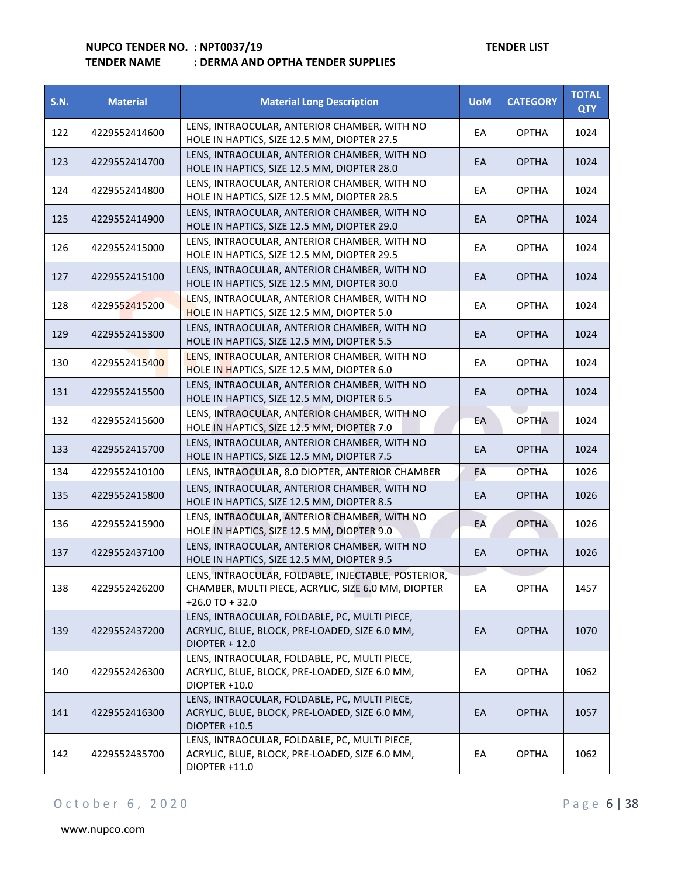| <b>S.N.</b> | <b>Material</b> | <b>Material Long Description</b>                                                                                                 | <b>UoM</b> | <b>CATEGORY</b> | <b>TOTAL</b><br><b>QTY</b> |
|-------------|-----------------|----------------------------------------------------------------------------------------------------------------------------------|------------|-----------------|----------------------------|
| 122         | 4229552414600   | LENS, INTRAOCULAR, ANTERIOR CHAMBER, WITH NO<br>HOLE IN HAPTICS, SIZE 12.5 MM, DIOPTER 27.5                                      | EA         | <b>OPTHA</b>    | 1024                       |
| 123         | 4229552414700   | LENS, INTRAOCULAR, ANTERIOR CHAMBER, WITH NO<br>HOLE IN HAPTICS, SIZE 12.5 MM, DIOPTER 28.0                                      | EA         | <b>OPTHA</b>    | 1024                       |
| 124         | 4229552414800   | LENS, INTRAOCULAR, ANTERIOR CHAMBER, WITH NO<br>HOLE IN HAPTICS, SIZE 12.5 MM, DIOPTER 28.5                                      | EA         | <b>OPTHA</b>    | 1024                       |
| 125         | 4229552414900   | LENS, INTRAOCULAR, ANTERIOR CHAMBER, WITH NO<br>HOLE IN HAPTICS, SIZE 12.5 MM, DIOPTER 29.0                                      | EA         | <b>OPTHA</b>    | 1024                       |
| 126         | 4229552415000   | LENS, INTRAOCULAR, ANTERIOR CHAMBER, WITH NO<br>HOLE IN HAPTICS, SIZE 12.5 MM, DIOPTER 29.5                                      | EA         | <b>OPTHA</b>    | 1024                       |
| 127         | 4229552415100   | LENS, INTRAOCULAR, ANTERIOR CHAMBER, WITH NO<br>HOLE IN HAPTICS, SIZE 12.5 MM, DIOPTER 30.0                                      | EA         | <b>OPTHA</b>    | 1024                       |
| 128         | 4229552415200   | LENS, INTRAOCULAR, ANTERIOR CHAMBER, WITH NO<br>HOLE IN HAPTICS, SIZE 12.5 MM, DIOPTER 5.0                                       | EA         | <b>OPTHA</b>    | 1024                       |
| 129         | 4229552415300   | LENS, INTRAOCULAR, ANTERIOR CHAMBER, WITH NO<br>HOLE IN HAPTICS, SIZE 12.5 MM, DIOPTER 5.5                                       | EA         | <b>OPTHA</b>    | 1024                       |
| 130         | 4229552415400   | LENS, INTRAOCULAR, ANTERIOR CHAMBER, WITH NO<br>HOLE IN HAPTICS, SIZE 12.5 MM, DIOPTER 6.0                                       | EA         | <b>OPTHA</b>    | 1024                       |
| 131         | 4229552415500   | LENS, INTRAOCULAR, ANTERIOR CHAMBER, WITH NO<br>HOLE IN HAPTICS, SIZE 12.5 MM, DIOPTER 6.5                                       | EA         | <b>OPTHA</b>    | 1024                       |
| 132         | 4229552415600   | LENS, INTRAOCULAR, ANTERIOR CHAMBER, WITH NO<br>HOLE IN HAPTICS, SIZE 12.5 MM, DIOPTER 7.0                                       | EA         | <b>OPTHA</b>    | 1024                       |
| 133         | 4229552415700   | LENS, INTRAOCULAR, ANTERIOR CHAMBER, WITH NO<br>HOLE IN HAPTICS, SIZE 12.5 MM, DIOPTER 7.5                                       | EA         | <b>OPTHA</b>    | 1024                       |
| 134         | 4229552410100   | LENS, INTRAOCULAR, 8.0 DIOPTER, ANTERIOR CHAMBER                                                                                 | EA         | <b>OPTHA</b>    | 1026                       |
| 135         | 4229552415800   | LENS, INTRAOCULAR, ANTERIOR CHAMBER, WITH NO<br>HOLE IN HAPTICS, SIZE 12.5 MM, DIOPTER 8.5                                       | EA         | <b>OPTHA</b>    | 1026                       |
| 136         | 4229552415900   | LENS, INTRAOCULAR, ANTERIOR CHAMBER, WITH NO<br>HOLE IN HAPTICS, SIZE 12.5 MM, DIOPTER 9.0                                       | EA         | <b>OPTHA</b>    | 1026                       |
| 137         | 4229552437100   | LENS, INTRAOCULAR, ANTERIOR CHAMBER, WITH NO<br>HOLE IN HAPTICS, SIZE 12.5 MM, DIOPTER 9.5                                       | EA         | <b>OPTHA</b>    | 1026                       |
| 138         | 4229552426200   | LENS, INTRAOCULAR, FOLDABLE, INJECTABLE, POSTERIOR,<br>CHAMBER, MULTI PIECE, ACRYLIC, SIZE 6.0 MM, DIOPTER<br>$+26.0$ TO $+32.0$ | EA         | <b>OPTHA</b>    | 1457                       |
| 139         | 4229552437200   | LENS, INTRAOCULAR, FOLDABLE, PC, MULTI PIECE,<br>ACRYLIC, BLUE, BLOCK, PRE-LOADED, SIZE 6.0 MM,<br>DIOPTER + 12.0                | EA         | <b>OPTHA</b>    | 1070                       |
| 140         | 4229552426300   | LENS, INTRAOCULAR, FOLDABLE, PC, MULTI PIECE,<br>ACRYLIC, BLUE, BLOCK, PRE-LOADED, SIZE 6.0 MM,<br>DIOPTER +10.0                 | EA         | <b>OPTHA</b>    | 1062                       |
| 141         | 4229552416300   | LENS, INTRAOCULAR, FOLDABLE, PC, MULTI PIECE,<br>ACRYLIC, BLUE, BLOCK, PRE-LOADED, SIZE 6.0 MM,<br>DIOPTER +10.5                 | EA         | <b>OPTHA</b>    | 1057                       |
| 142         | 4229552435700   | LENS, INTRAOCULAR, FOLDABLE, PC, MULTI PIECE,<br>ACRYLIC, BLUE, BLOCK, PRE-LOADED, SIZE 6.0 MM,<br>DIOPTER +11.0                 | EA         | <b>OPTHA</b>    | 1062                       |

## O c t o b e r 6, 2020 P a g e 6 | 38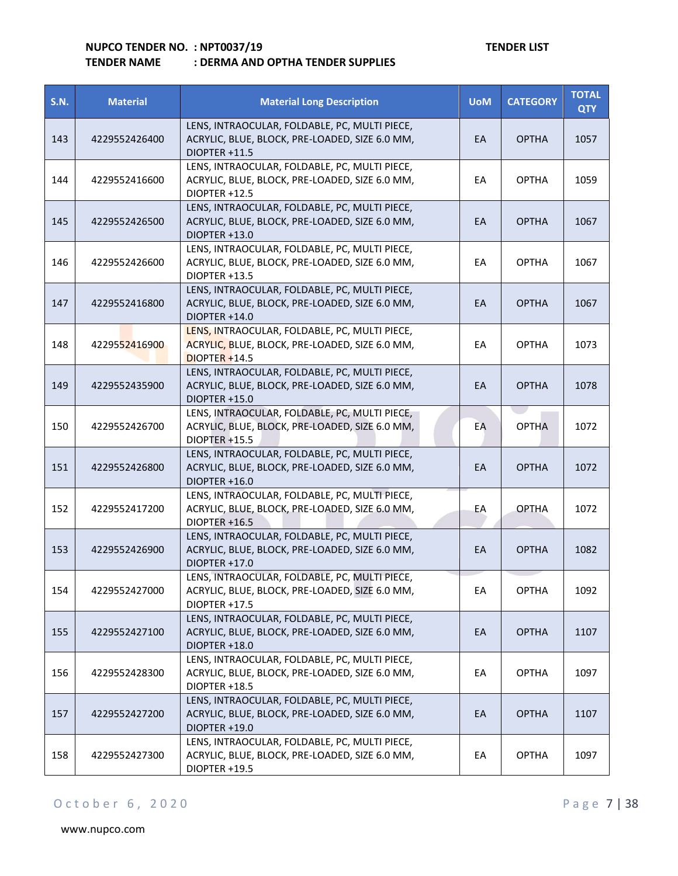| <b>S.N.</b> | <b>Material</b> | <b>Material Long Description</b>                                                                                    | <b>UoM</b> | <b>CATEGORY</b> | <b>TOTAL</b><br><b>QTY</b> |
|-------------|-----------------|---------------------------------------------------------------------------------------------------------------------|------------|-----------------|----------------------------|
| 143         | 4229552426400   | LENS, INTRAOCULAR, FOLDABLE, PC, MULTI PIECE,<br>ACRYLIC, BLUE, BLOCK, PRE-LOADED, SIZE 6.0 MM,<br>DIOPTER +11.5    | EA         | <b>OPTHA</b>    | 1057                       |
| 144         | 4229552416600   | LENS, INTRAOCULAR, FOLDABLE, PC, MULTI PIECE,<br>ACRYLIC, BLUE, BLOCK, PRE-LOADED, SIZE 6.0 MM,<br>DIOPTER +12.5    | EA         | <b>OPTHA</b>    | 1059                       |
| 145         | 4229552426500   | LENS, INTRAOCULAR, FOLDABLE, PC, MULTI PIECE,<br>ACRYLIC, BLUE, BLOCK, PRE-LOADED, SIZE 6.0 MM,<br>DIOPTER +13.0    | EA         | <b>OPTHA</b>    | 1067                       |
| 146         | 4229552426600   | LENS, INTRAOCULAR, FOLDABLE, PC, MULTI PIECE,<br>ACRYLIC, BLUE, BLOCK, PRE-LOADED, SIZE 6.0 MM,<br>DIOPTER +13.5    | EA         | <b>OPTHA</b>    | 1067                       |
| 147         | 4229552416800   | LENS, INTRAOCULAR, FOLDABLE, PC, MULTI PIECE,<br>ACRYLIC, BLUE, BLOCK, PRE-LOADED, SIZE 6.0 MM,<br>DIOPTER +14.0    | EA         | <b>OPTHA</b>    | 1067                       |
| 148         | 4229552416900   | LENS, INTRAOCULAR, FOLDABLE, PC, MULTI PIECE,<br>ACRYLIC, BLUE, BLOCK, PRE-LOADED, SIZE 6.0 MM,<br>$DIOPTER + 14.5$ | EA         | <b>OPTHA</b>    | 1073                       |
| 149         | 4229552435900   | LENS, INTRAOCULAR, FOLDABLE, PC, MULTI PIECE,<br>ACRYLIC, BLUE, BLOCK, PRE-LOADED, SIZE 6.0 MM,<br>DIOPTER +15.0    | EA         | <b>OPTHA</b>    | 1078                       |
| 150         | 4229552426700   | LENS, INTRAOCULAR, FOLDABLE, PC, MULTI PIECE,<br>ACRYLIC, BLUE, BLOCK, PRE-LOADED, SIZE 6.0 MM,<br>DIOPTER +15.5    | EA         | <b>OPTHA</b>    | 1072                       |
| 151         | 4229552426800   | LENS, INTRAOCULAR, FOLDABLE, PC, MULTI PIECE,<br>ACRYLIC, BLUE, BLOCK, PRE-LOADED, SIZE 6.0 MM,<br>DIOPTER +16.0    | EA         | <b>OPTHA</b>    | 1072                       |
| 152         | 4229552417200   | LENS, INTRAOCULAR, FOLDABLE, PC, MULTI PIECE,<br>ACRYLIC, BLUE, BLOCK, PRE-LOADED, SIZE 6.0 MM,<br>DIOPTER +16.5    | EA         | <b>OPTHA</b>    | 1072                       |
| 153         | 4229552426900   | LENS, INTRAOCULAR, FOLDABLE, PC, MULTI PIECE,<br>ACRYLIC, BLUE, BLOCK, PRE-LOADED, SIZE 6.0 MM,<br>DIOPTER +17.0    | EA         | <b>OPTHA</b>    | 1082                       |
| 154         | 4229552427000   | LENS, INTRAOCULAR, FOLDABLE, PC, MULTI PIECE,<br>ACRYLIC, BLUE, BLOCK, PRE-LOADED, SIZE 6.0 MM,<br>DIOPTER +17.5    | EA         | <b>OPTHA</b>    | 1092                       |
| 155         | 4229552427100   | LENS, INTRAOCULAR, FOLDABLE, PC, MULTI PIECE,<br>ACRYLIC, BLUE, BLOCK, PRE-LOADED, SIZE 6.0 MM,<br>DIOPTER +18.0    | EA         | <b>OPTHA</b>    | 1107                       |
| 156         | 4229552428300   | LENS, INTRAOCULAR, FOLDABLE, PC, MULTI PIECE,<br>ACRYLIC, BLUE, BLOCK, PRE-LOADED, SIZE 6.0 MM,<br>DIOPTER +18.5    | EA         | <b>OPTHA</b>    | 1097                       |
| 157         | 4229552427200   | LENS, INTRAOCULAR, FOLDABLE, PC, MULTI PIECE,<br>ACRYLIC, BLUE, BLOCK, PRE-LOADED, SIZE 6.0 MM,<br>DIOPTER +19.0    | EA         | <b>OPTHA</b>    | 1107                       |
| 158         | 4229552427300   | LENS, INTRAOCULAR, FOLDABLE, PC, MULTI PIECE,<br>ACRYLIC, BLUE, BLOCK, PRE-LOADED, SIZE 6.0 MM,<br>DIOPTER +19.5    | EA         | <b>OPTHA</b>    | 1097                       |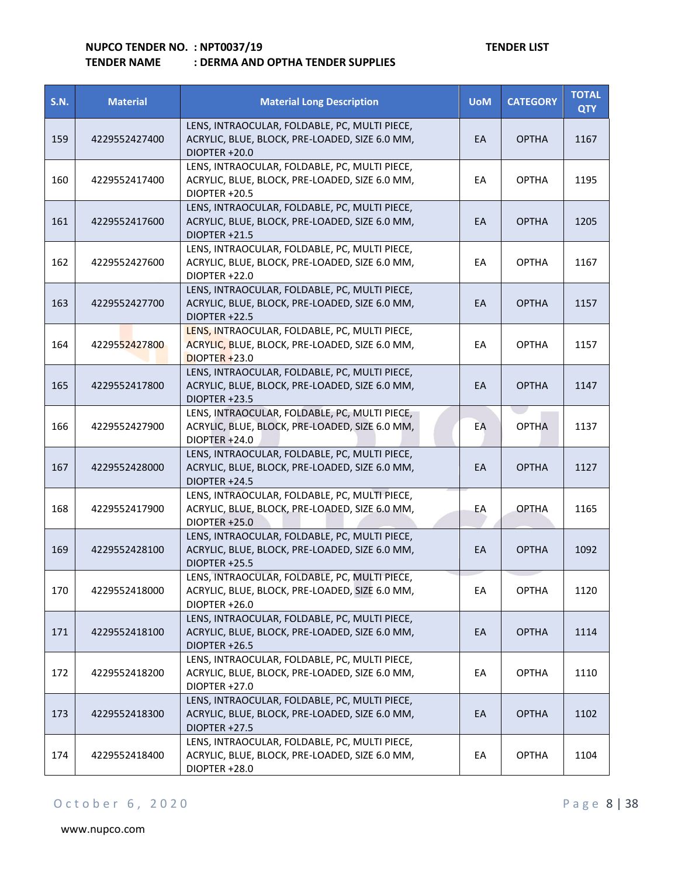| <b>S.N.</b> | <b>Material</b> | <b>Material Long Description</b>                                                                                        | <b>UoM</b> | <b>CATEGORY</b> | <b>TOTAL</b><br><b>QTY</b> |
|-------------|-----------------|-------------------------------------------------------------------------------------------------------------------------|------------|-----------------|----------------------------|
| 159         | 4229552427400   | LENS, INTRAOCULAR, FOLDABLE, PC, MULTI PIECE,<br>ACRYLIC, BLUE, BLOCK, PRE-LOADED, SIZE 6.0 MM,<br>DIOPTER +20.0        | EA         | <b>OPTHA</b>    | 1167                       |
| 160         | 4229552417400   | LENS, INTRAOCULAR, FOLDABLE, PC, MULTI PIECE,<br>ACRYLIC, BLUE, BLOCK, PRE-LOADED, SIZE 6.0 MM,<br>DIOPTER +20.5        | EA         | <b>OPTHA</b>    | 1195                       |
| 161         | 4229552417600   | LENS, INTRAOCULAR, FOLDABLE, PC, MULTI PIECE,<br>ACRYLIC, BLUE, BLOCK, PRE-LOADED, SIZE 6.0 MM,<br>DIOPTER +21.5        | EA         | <b>OPTHA</b>    | 1205                       |
| 162         | 4229552427600   | LENS, INTRAOCULAR, FOLDABLE, PC, MULTI PIECE,<br>ACRYLIC, BLUE, BLOCK, PRE-LOADED, SIZE 6.0 MM,<br>DIOPTER +22.0        | EA         | <b>OPTHA</b>    | 1167                       |
| 163         | 4229552427700   | LENS, INTRAOCULAR, FOLDABLE, PC, MULTI PIECE,<br>ACRYLIC, BLUE, BLOCK, PRE-LOADED, SIZE 6.0 MM,<br>DIOPTER +22.5        | EA         | <b>OPTHA</b>    | 1157                       |
| 164         | 4229552427800   | LENS, INTRAOCULAR, FOLDABLE, PC, MULTI PIECE,<br>ACRYLIC, BLUE, BLOCK, PRE-LOADED, SIZE 6.0 MM,<br>$DIOPTER + 23.0$     | EA         | <b>OPTHA</b>    | 1157                       |
| 165         | 4229552417800   | LENS, INTRAOCULAR, FOLDABLE, PC, MULTI PIECE,<br>ACRYLIC, BLUE, BLOCK, PRE-LOADED, SIZE 6.0 MM,<br><b>DIOPTER +23.5</b> | EA         | <b>OPTHA</b>    | 1147                       |
| 166         | 4229552427900   | LENS, INTRAOCULAR, FOLDABLE, PC, MULTI PIECE,<br>ACRYLIC, BLUE, BLOCK, PRE-LOADED, SIZE 6.0 MM,<br>DIOPTER +24.0        | EA         | <b>OPTHA</b>    | 1137                       |
| 167         | 4229552428000   | LENS, INTRAOCULAR, FOLDABLE, PC, MULTI PIECE,<br>ACRYLIC, BLUE, BLOCK, PRE-LOADED, SIZE 6.0 MM,<br>DIOPTER +24.5        | EA         | <b>OPTHA</b>    | 1127                       |
| 168         | 4229552417900   | LENS, INTRAOCULAR, FOLDABLE, PC, MULTI PIECE,<br>ACRYLIC, BLUE, BLOCK, PRE-LOADED, SIZE 6.0 MM,<br>DIOPTER +25.0        | EA         | <b>OPTHA</b>    | 1165                       |
| 169         | 4229552428100   | LENS, INTRAOCULAR, FOLDABLE, PC, MULTI PIECE,<br>ACRYLIC, BLUE, BLOCK, PRE-LOADED, SIZE 6.0 MM,<br>DIOPTER +25.5        | EA         | <b>OPTHA</b>    | 1092                       |
| 170         | 4229552418000   | LENS, INTRAOCULAR, FOLDABLE, PC, MULTI PIECE,<br>ACRYLIC, BLUE, BLOCK, PRE-LOADED, SIZE 6.0 MM,<br>DIOPTER +26.0        | EA         | <b>OPTHA</b>    | 1120                       |
| 171         | 4229552418100   | LENS, INTRAOCULAR, FOLDABLE, PC, MULTI PIECE,<br>ACRYLIC, BLUE, BLOCK, PRE-LOADED, SIZE 6.0 MM,<br>DIOPTER +26.5        | EA         | <b>OPTHA</b>    | 1114                       |
| 172         | 4229552418200   | LENS, INTRAOCULAR, FOLDABLE, PC, MULTI PIECE,<br>ACRYLIC, BLUE, BLOCK, PRE-LOADED, SIZE 6.0 MM,<br>DIOPTER +27.0        | EA         | <b>OPTHA</b>    | 1110                       |
| 173         | 4229552418300   | LENS, INTRAOCULAR, FOLDABLE, PC, MULTI PIECE,<br>ACRYLIC, BLUE, BLOCK, PRE-LOADED, SIZE 6.0 MM,<br>DIOPTER +27.5        | EA         | <b>OPTHA</b>    | 1102                       |
| 174         | 4229552418400   | LENS, INTRAOCULAR, FOLDABLE, PC, MULTI PIECE,<br>ACRYLIC, BLUE, BLOCK, PRE-LOADED, SIZE 6.0 MM,<br>DIOPTER +28.0        | EA         | <b>OPTHA</b>    | 1104                       |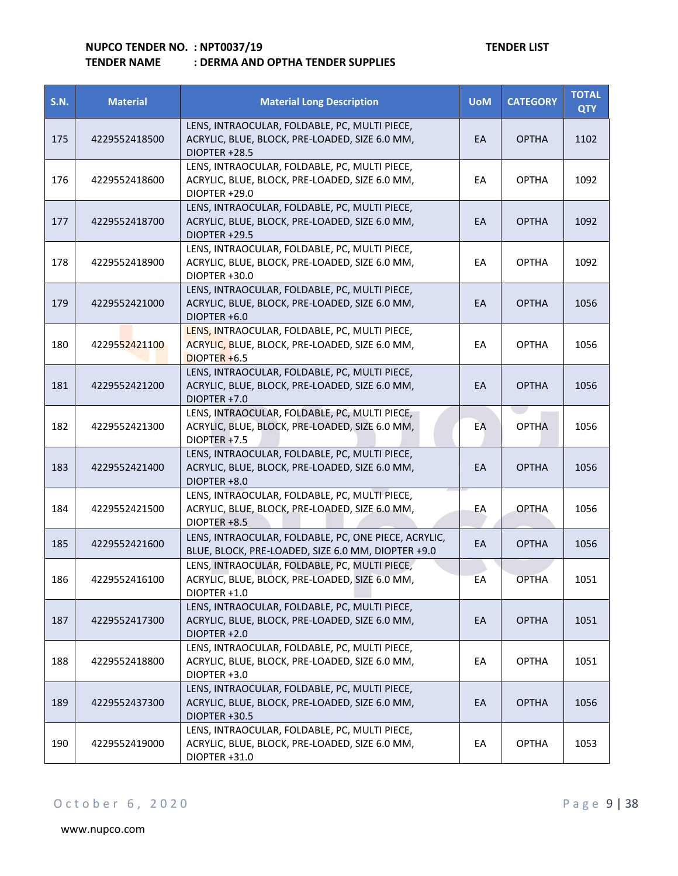| <b>S.N.</b> | <b>Material</b> | <b>Material Long Description</b>                                                                                  | <b>UoM</b> | <b>CATEGORY</b> | <b>TOTAL</b><br><b>QTY</b> |
|-------------|-----------------|-------------------------------------------------------------------------------------------------------------------|------------|-----------------|----------------------------|
| 175         | 4229552418500   | LENS, INTRAOCULAR, FOLDABLE, PC, MULTI PIECE,<br>ACRYLIC, BLUE, BLOCK, PRE-LOADED, SIZE 6.0 MM,<br>DIOPTER +28.5  | EA         | <b>OPTHA</b>    | 1102                       |
| 176         | 4229552418600   | LENS, INTRAOCULAR, FOLDABLE, PC, MULTI PIECE,<br>ACRYLIC, BLUE, BLOCK, PRE-LOADED, SIZE 6.0 MM,<br>DIOPTER +29.0  | EA         | <b>OPTHA</b>    | 1092                       |
| 177         | 4229552418700   | LENS, INTRAOCULAR, FOLDABLE, PC, MULTI PIECE,<br>ACRYLIC, BLUE, BLOCK, PRE-LOADED, SIZE 6.0 MM,<br>DIOPTER +29.5  | EA         | <b>OPTHA</b>    | 1092                       |
| 178         | 4229552418900   | LENS, INTRAOCULAR, FOLDABLE, PC, MULTI PIECE,<br>ACRYLIC, BLUE, BLOCK, PRE-LOADED, SIZE 6.0 MM,<br>DIOPTER +30.0  | EA         | <b>OPTHA</b>    | 1092                       |
| 179         | 4229552421000   | LENS, INTRAOCULAR, FOLDABLE, PC, MULTI PIECE,<br>ACRYLIC, BLUE, BLOCK, PRE-LOADED, SIZE 6.0 MM,<br>DIOPTER +6.0   | EA         | <b>OPTHA</b>    | 1056                       |
| 180         | 4229552421100   | LENS, INTRAOCULAR, FOLDABLE, PC, MULTI PIECE,<br>ACRYLIC, BLUE, BLOCK, PRE-LOADED, SIZE 6.0 MM,<br>$DIOPTER +6.5$ | EA         | <b>OPTHA</b>    | 1056                       |
| 181         | 4229552421200   | LENS, INTRAOCULAR, FOLDABLE, PC, MULTI PIECE,<br>ACRYLIC, BLUE, BLOCK, PRE-LOADED, SIZE 6.0 MM,<br>DIOPTER +7.0   | EA         | <b>OPTHA</b>    | 1056                       |
| 182         | 4229552421300   | LENS, INTRAOCULAR, FOLDABLE, PC, MULTI PIECE,<br>ACRYLIC, BLUE, BLOCK, PRE-LOADED, SIZE 6.0 MM,<br>DIOPTER +7.5   | EA         | <b>OPTHA</b>    | 1056                       |
| 183         | 4229552421400   | LENS, INTRAOCULAR, FOLDABLE, PC, MULTI PIECE,<br>ACRYLIC, BLUE, BLOCK, PRE-LOADED, SIZE 6.0 MM,<br>DIOPTER +8.0   | EA         | <b>OPTHA</b>    | 1056                       |
| 184         | 4229552421500   | LENS, INTRAOCULAR, FOLDABLE, PC, MULTI PIECE,<br>ACRYLIC, BLUE, BLOCK, PRE-LOADED, SIZE 6.0 MM,<br>DIOPTER +8.5   | EA         | <b>OPTHA</b>    | 1056                       |
| 185         | 4229552421600   | LENS, INTRAOCULAR, FOLDABLE, PC, ONE PIECE, ACRYLIC,<br>BLUE, BLOCK, PRE-LOADED, SIZE 6.0 MM, DIOPTER +9.0        | EA         | <b>OPTHA</b>    | 1056                       |
| 186         | 4229552416100   | LENS, INTRAOCULAR, FOLDABLE, PC, MULTI PIECE,<br>ACRYLIC, BLUE, BLOCK, PRE-LOADED, SIZE 6.0 MM,<br>DIOPTER +1.0   | EA         | <b>OPTHA</b>    | 1051                       |
| 187         | 4229552417300   | LENS, INTRAOCULAR, FOLDABLE, PC, MULTI PIECE,<br>ACRYLIC, BLUE, BLOCK, PRE-LOADED, SIZE 6.0 MM,<br>DIOPTER +2.0   | EA         | <b>OPTHA</b>    | 1051                       |
| 188         | 4229552418800   | LENS, INTRAOCULAR, FOLDABLE, PC, MULTI PIECE,<br>ACRYLIC, BLUE, BLOCK, PRE-LOADED, SIZE 6.0 MM,<br>DIOPTER +3.0   | EA         | <b>OPTHA</b>    | 1051                       |
| 189         | 4229552437300   | LENS, INTRAOCULAR, FOLDABLE, PC, MULTI PIECE,<br>ACRYLIC, BLUE, BLOCK, PRE-LOADED, SIZE 6.0 MM,<br>DIOPTER +30.5  | EA         | <b>OPTHA</b>    | 1056                       |
| 190         | 4229552419000   | LENS, INTRAOCULAR, FOLDABLE, PC, MULTI PIECE,<br>ACRYLIC, BLUE, BLOCK, PRE-LOADED, SIZE 6.0 MM,<br>DIOPTER +31.0  | EA         | <b>OPTHA</b>    | 1053                       |

## O c t o b e r 6, 2020 P a g e 9 | 38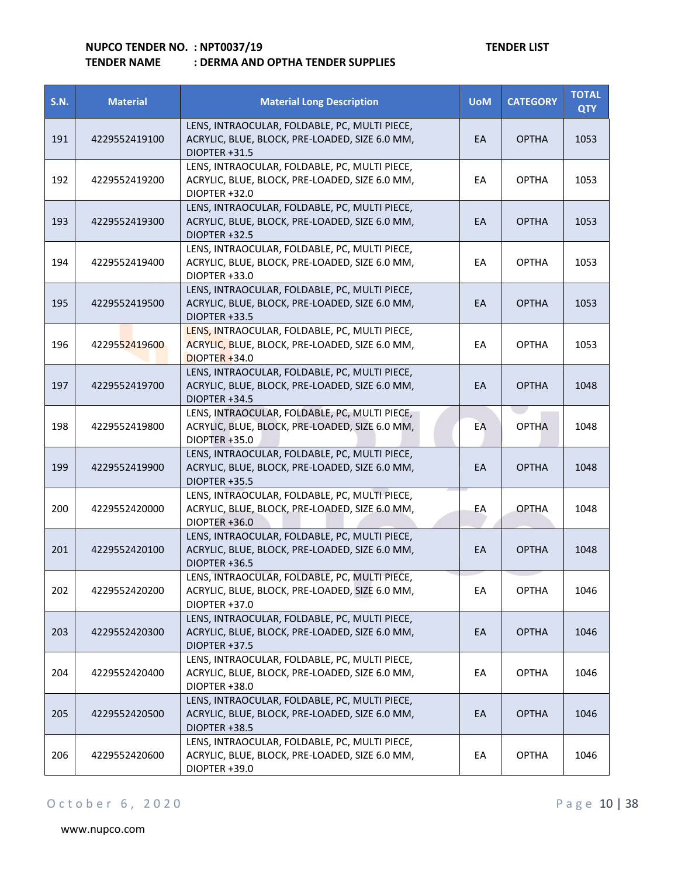| <b>S.N.</b> | <b>Material</b> | <b>Material Long Description</b>                                                                                    | <b>UoM</b> | <b>CATEGORY</b> | <b>TOTAL</b><br><b>QTY</b> |
|-------------|-----------------|---------------------------------------------------------------------------------------------------------------------|------------|-----------------|----------------------------|
| 191         | 4229552419100   | LENS, INTRAOCULAR, FOLDABLE, PC, MULTI PIECE,<br>ACRYLIC, BLUE, BLOCK, PRE-LOADED, SIZE 6.0 MM,<br>DIOPTER +31.5    | EA         | <b>OPTHA</b>    | 1053                       |
| 192         | 4229552419200   | LENS, INTRAOCULAR, FOLDABLE, PC, MULTI PIECE,<br>ACRYLIC, BLUE, BLOCK, PRE-LOADED, SIZE 6.0 MM,<br>DIOPTER +32.0    | EA         | <b>OPTHA</b>    | 1053                       |
| 193         | 4229552419300   | LENS, INTRAOCULAR, FOLDABLE, PC, MULTI PIECE,<br>ACRYLIC, BLUE, BLOCK, PRE-LOADED, SIZE 6.0 MM,<br>DIOPTER +32.5    | EA         | <b>OPTHA</b>    | 1053                       |
| 194         | 4229552419400   | LENS, INTRAOCULAR, FOLDABLE, PC, MULTI PIECE,<br>ACRYLIC, BLUE, BLOCK, PRE-LOADED, SIZE 6.0 MM,<br>DIOPTER +33.0    | EA         | <b>OPTHA</b>    | 1053                       |
| 195         | 4229552419500   | LENS, INTRAOCULAR, FOLDABLE, PC, MULTI PIECE,<br>ACRYLIC, BLUE, BLOCK, PRE-LOADED, SIZE 6.0 MM,<br>DIOPTER +33.5    | EA         | <b>OPTHA</b>    | 1053                       |
| 196         | 4229552419600   | LENS, INTRAOCULAR, FOLDABLE, PC, MULTI PIECE,<br>ACRYLIC, BLUE, BLOCK, PRE-LOADED, SIZE 6.0 MM,<br>$DIOPTER + 34.0$ | EA         | <b>OPTHA</b>    | 1053                       |
| 197         | 4229552419700   | LENS, INTRAOCULAR, FOLDABLE, PC, MULTI PIECE,<br>ACRYLIC, BLUE, BLOCK, PRE-LOADED, SIZE 6.0 MM,<br>DIOPTER +34.5    | EA         | <b>OPTHA</b>    | 1048                       |
| 198         | 4229552419800   | LENS, INTRAOCULAR, FOLDABLE, PC, MULTI PIECE,<br>ACRYLIC, BLUE, BLOCK, PRE-LOADED, SIZE 6.0 MM,<br>DIOPTER +35.0    | EA         | <b>OPTHA</b>    | 1048                       |
| 199         | 4229552419900   | LENS, INTRAOCULAR, FOLDABLE, PC, MULTI PIECE,<br>ACRYLIC, BLUE, BLOCK, PRE-LOADED, SIZE 6.0 MM,<br>DIOPTER +35.5    | EA         | <b>OPTHA</b>    | 1048                       |
| 200         | 4229552420000   | LENS, INTRAOCULAR, FOLDABLE, PC, MULTI PIECE,<br>ACRYLIC, BLUE, BLOCK, PRE-LOADED, SIZE 6.0 MM,<br>DIOPTER +36.0    | EА         | <b>OPTHA</b>    | 1048                       |
| 201         | 4229552420100   | LENS, INTRAOCULAR, FOLDABLE, PC, MULTI PIECE,<br>ACRYLIC, BLUE, BLOCK, PRE-LOADED, SIZE 6.0 MM,<br>DIOPTER +36.5    | EA         | <b>OPTHA</b>    | 1048                       |
| 202         | 4229552420200   | LENS, INTRAOCULAR, FOLDABLE, PC, MULTI PIECE,<br>ACRYLIC, BLUE, BLOCK, PRE-LOADED, SIZE 6.0 MM,<br>DIOPTER +37.0    | EA         | <b>OPTHA</b>    | 1046                       |
| 203         | 4229552420300   | LENS, INTRAOCULAR, FOLDABLE, PC, MULTI PIECE,<br>ACRYLIC, BLUE, BLOCK, PRE-LOADED, SIZE 6.0 MM,<br>DIOPTER +37.5    | EA         | <b>OPTHA</b>    | 1046                       |
| 204         | 4229552420400   | LENS, INTRAOCULAR, FOLDABLE, PC, MULTI PIECE,<br>ACRYLIC, BLUE, BLOCK, PRE-LOADED, SIZE 6.0 MM,<br>DIOPTER +38.0    | EA         | <b>OPTHA</b>    | 1046                       |
| 205         | 4229552420500   | LENS, INTRAOCULAR, FOLDABLE, PC, MULTI PIECE,<br>ACRYLIC, BLUE, BLOCK, PRE-LOADED, SIZE 6.0 MM,<br>DIOPTER +38.5    | EA         | <b>OPTHA</b>    | 1046                       |
| 206         | 4229552420600   | LENS, INTRAOCULAR, FOLDABLE, PC, MULTI PIECE,<br>ACRYLIC, BLUE, BLOCK, PRE-LOADED, SIZE 6.0 MM,<br>DIOPTER +39.0    | EA         | <b>OPTHA</b>    | 1046                       |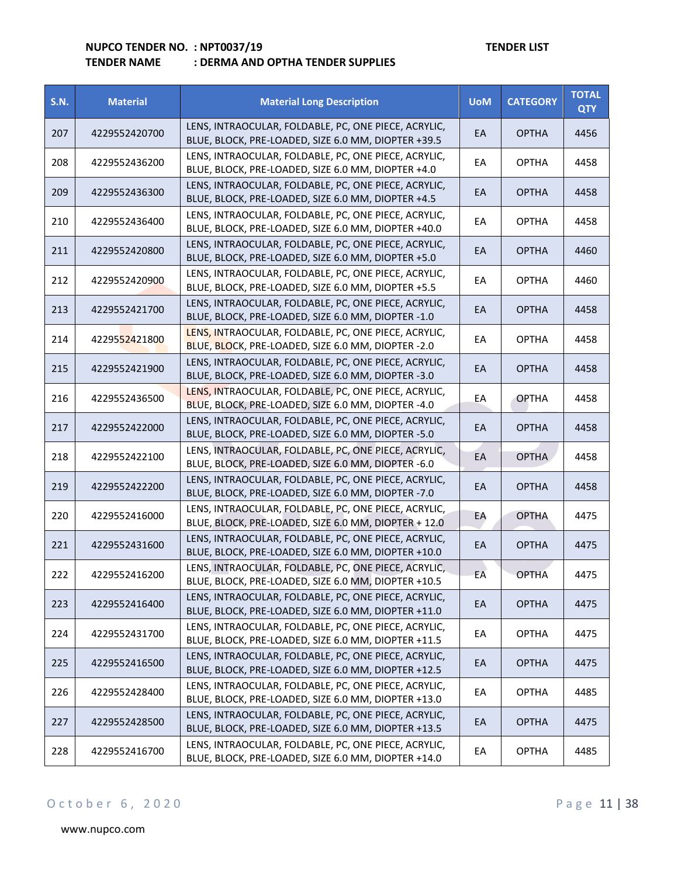| <b>S.N.</b> | <b>Material</b> | <b>Material Long Description</b>                                                                             | <b>UoM</b> | <b>CATEGORY</b> | <b>TOTAL</b><br><b>QTY</b> |
|-------------|-----------------|--------------------------------------------------------------------------------------------------------------|------------|-----------------|----------------------------|
| 207         | 4229552420700   | LENS, INTRAOCULAR, FOLDABLE, PC, ONE PIECE, ACRYLIC,<br>BLUE, BLOCK, PRE-LOADED, SIZE 6.0 MM, DIOPTER +39.5  | EA         | <b>OPTHA</b>    | 4456                       |
| 208         | 4229552436200   | LENS, INTRAOCULAR, FOLDABLE, PC, ONE PIECE, ACRYLIC,<br>BLUE, BLOCK, PRE-LOADED, SIZE 6.0 MM, DIOPTER +4.0   | EА         | <b>OPTHA</b>    | 4458                       |
| 209         | 4229552436300   | LENS, INTRAOCULAR, FOLDABLE, PC, ONE PIECE, ACRYLIC,<br>BLUE, BLOCK, PRE-LOADED, SIZE 6.0 MM, DIOPTER +4.5   | EA         | <b>OPTHA</b>    | 4458                       |
| 210         | 4229552436400   | LENS, INTRAOCULAR, FOLDABLE, PC, ONE PIECE, ACRYLIC,<br>BLUE, BLOCK, PRE-LOADED, SIZE 6.0 MM, DIOPTER +40.0  | EA         | <b>OPTHA</b>    | 4458                       |
| 211         | 4229552420800   | LENS, INTRAOCULAR, FOLDABLE, PC, ONE PIECE, ACRYLIC,<br>BLUE, BLOCK, PRE-LOADED, SIZE 6.0 MM, DIOPTER +5.0   | EA         | <b>OPTHA</b>    | 4460                       |
| 212         | 4229552420900   | LENS, INTRAOCULAR, FOLDABLE, PC, ONE PIECE, ACRYLIC,<br>BLUE, BLOCK, PRE-LOADED, SIZE 6.0 MM, DIOPTER +5.5   | EA         | <b>OPTHA</b>    | 4460                       |
| 213         | 4229552421700   | LENS, INTRAOCULAR, FOLDABLE, PC, ONE PIECE, ACRYLIC,<br>BLUE, BLOCK, PRE-LOADED, SIZE 6.0 MM, DIOPTER -1.0   | EА         | <b>OPTHA</b>    | 4458                       |
| 214         | 4229552421800   | LENS, INTRAOCULAR, FOLDABLE, PC, ONE PIECE, ACRYLIC,<br>BLUE, BLOCK, PRE-LOADED, SIZE 6.0 MM, DIOPTER -2.0   | EA         | <b>OPTHA</b>    | 4458                       |
| 215         | 4229552421900   | LENS, INTRAOCULAR, FOLDABLE, PC, ONE PIECE, ACRYLIC,<br>BLUE, BLOCK, PRE-LOADED, SIZE 6.0 MM, DIOPTER -3.0   | EA         | <b>OPTHA</b>    | 4458                       |
| 216         | 4229552436500   | LENS, INTRAOCULAR, FOLDABLE, PC, ONE PIECE, ACRYLIC,<br>BLUE, BLOCK, PRE-LOADED, SIZE 6.0 MM, DIOPTER -4.0   | EA         | <b>OPTHA</b>    | 4458                       |
| 217         | 4229552422000   | LENS, INTRAOCULAR, FOLDABLE, PC, ONE PIECE, ACRYLIC,<br>BLUE, BLOCK, PRE-LOADED, SIZE 6.0 MM, DIOPTER -5.0   | EА         | <b>OPTHA</b>    | 4458                       |
| 218         | 4229552422100   | LENS, INTRAOCULAR, FOLDABLE, PC, ONE PIECE, ACRYLIC,<br>BLUE, BLOCK, PRE-LOADED, SIZE 6.0 MM, DIOPTER -6.0   | EA         | <b>OPTHA</b>    | 4458                       |
| 219         | 4229552422200   | LENS, INTRAOCULAR, FOLDABLE, PC, ONE PIECE, ACRYLIC,<br>BLUE, BLOCK, PRE-LOADED, SIZE 6.0 MM, DIOPTER -7.0   | EA         | <b>OPTHA</b>    | 4458                       |
| 220         | 4229552416000   | LENS, INTRAOCULAR, FOLDABLE, PC, ONE PIECE, ACRYLIC,<br>BLUE, BLOCK, PRE-LOADED, SIZE 6.0 MM, DIOPTER + 12.0 | EA         | <b>OPTHA</b>    | 4475                       |
| 221         | 4229552431600   | LENS, INTRAOCULAR, FOLDABLE, PC, ONE PIECE, ACRYLIC,<br>BLUE, BLOCK, PRE-LOADED, SIZE 6.0 MM, DIOPTER +10.0  | EA         | <b>OPTHA</b>    | 4475                       |
| 222         | 4229552416200   | LENS, INTRAOCULAR, FOLDABLE, PC, ONE PIECE, ACRYLIC,<br>BLUE, BLOCK, PRE-LOADED, SIZE 6.0 MM, DIOPTER +10.5  | EA         | <b>OPTHA</b>    | 4475                       |
| 223         | 4229552416400   | LENS, INTRAOCULAR, FOLDABLE, PC, ONE PIECE, ACRYLIC,<br>BLUE, BLOCK, PRE-LOADED, SIZE 6.0 MM, DIOPTER +11.0  | EA         | <b>OPTHA</b>    | 4475                       |
| 224         | 4229552431700   | LENS, INTRAOCULAR, FOLDABLE, PC, ONE PIECE, ACRYLIC,<br>BLUE, BLOCK, PRE-LOADED, SIZE 6.0 MM, DIOPTER +11.5  | EA         | <b>OPTHA</b>    | 4475                       |
| 225         | 4229552416500   | LENS, INTRAOCULAR, FOLDABLE, PC, ONE PIECE, ACRYLIC,<br>BLUE, BLOCK, PRE-LOADED, SIZE 6.0 MM, DIOPTER +12.5  | EA         | <b>OPTHA</b>    | 4475                       |
| 226         | 4229552428400   | LENS, INTRAOCULAR, FOLDABLE, PC, ONE PIECE, ACRYLIC,<br>BLUE, BLOCK, PRE-LOADED, SIZE 6.0 MM, DIOPTER +13.0  | EA         | <b>OPTHA</b>    | 4485                       |
| 227         | 4229552428500   | LENS, INTRAOCULAR, FOLDABLE, PC, ONE PIECE, ACRYLIC,<br>BLUE, BLOCK, PRE-LOADED, SIZE 6.0 MM, DIOPTER +13.5  | EA         | <b>OPTHA</b>    | 4475                       |
| 228         | 4229552416700   | LENS, INTRAOCULAR, FOLDABLE, PC, ONE PIECE, ACRYLIC,<br>BLUE, BLOCK, PRE-LOADED, SIZE 6.0 MM, DIOPTER +14.0  | EА         | <b>OPTHA</b>    | 4485                       |

## O c t o b e r 6, 2020 P a g e 11 | 38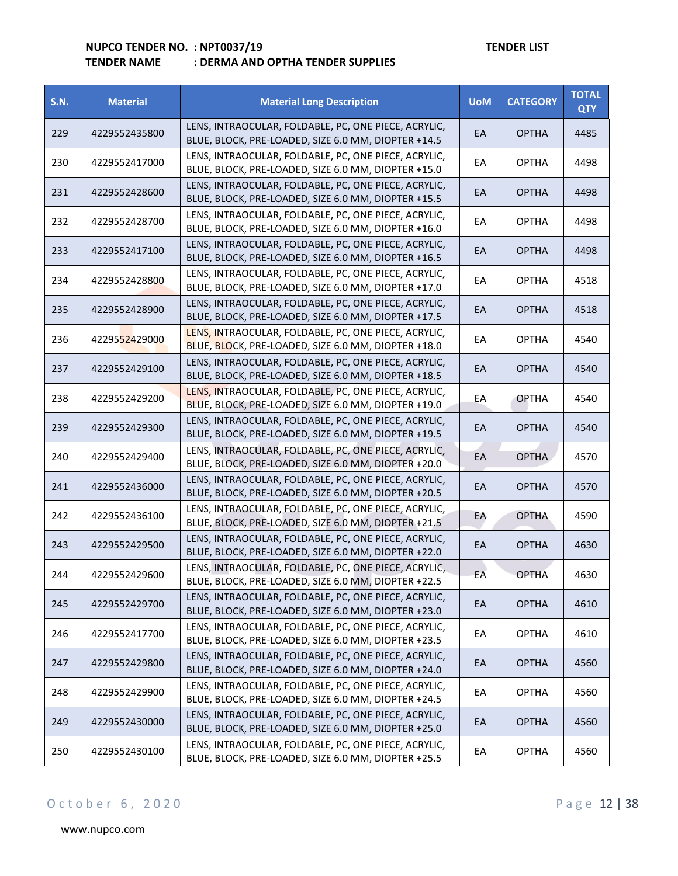| <b>S.N.</b> | <b>Material</b> | <b>Material Long Description</b>                                                                            | <b>UoM</b> | <b>CATEGORY</b> | <b>TOTAL</b><br><b>QTY</b> |
|-------------|-----------------|-------------------------------------------------------------------------------------------------------------|------------|-----------------|----------------------------|
| 229         | 4229552435800   | LENS, INTRAOCULAR, FOLDABLE, PC, ONE PIECE, ACRYLIC,<br>BLUE, BLOCK, PRE-LOADED, SIZE 6.0 MM, DIOPTER +14.5 | EA         | <b>OPTHA</b>    | 4485                       |
| 230         | 4229552417000   | LENS, INTRAOCULAR, FOLDABLE, PC, ONE PIECE, ACRYLIC,<br>BLUE, BLOCK, PRE-LOADED, SIZE 6.0 MM, DIOPTER +15.0 | EA         | <b>OPTHA</b>    | 4498                       |
| 231         | 4229552428600   | LENS, INTRAOCULAR, FOLDABLE, PC, ONE PIECE, ACRYLIC,<br>BLUE, BLOCK, PRE-LOADED, SIZE 6.0 MM, DIOPTER +15.5 | EA         | <b>OPTHA</b>    | 4498                       |
| 232         | 4229552428700   | LENS, INTRAOCULAR, FOLDABLE, PC, ONE PIECE, ACRYLIC,<br>BLUE, BLOCK, PRE-LOADED, SIZE 6.0 MM, DIOPTER +16.0 | EA         | <b>OPTHA</b>    | 4498                       |
| 233         | 4229552417100   | LENS, INTRAOCULAR, FOLDABLE, PC, ONE PIECE, ACRYLIC,<br>BLUE, BLOCK, PRE-LOADED, SIZE 6.0 MM, DIOPTER +16.5 | EA         | <b>OPTHA</b>    | 4498                       |
| 234         | 4229552428800   | LENS, INTRAOCULAR, FOLDABLE, PC, ONE PIECE, ACRYLIC,<br>BLUE, BLOCK, PRE-LOADED, SIZE 6.0 MM, DIOPTER +17.0 | EA         | <b>OPTHA</b>    | 4518                       |
| 235         | 4229552428900   | LENS, INTRAOCULAR, FOLDABLE, PC, ONE PIECE, ACRYLIC,<br>BLUE, BLOCK, PRE-LOADED, SIZE 6.0 MM, DIOPTER +17.5 | EA         | <b>OPTHA</b>    | 4518                       |
| 236         | 4229552429000   | LENS, INTRAOCULAR, FOLDABLE, PC, ONE PIECE, ACRYLIC,<br>BLUE, BLOCK, PRE-LOADED, SIZE 6.0 MM, DIOPTER +18.0 | EA         | <b>OPTHA</b>    | 4540                       |
| 237         | 4229552429100   | LENS, INTRAOCULAR, FOLDABLE, PC, ONE PIECE, ACRYLIC,<br>BLUE, BLOCK, PRE-LOADED, SIZE 6.0 MM, DIOPTER +18.5 | EA         | <b>OPTHA</b>    | 4540                       |
| 238         | 4229552429200   | LENS, INTRAOCULAR, FOLDABLE, PC, ONE PIECE, ACRYLIC,<br>BLUE, BLOCK, PRE-LOADED, SIZE 6.0 MM, DIOPTER +19.0 | EA         | <b>OPTHA</b>    | 4540                       |
| 239         | 4229552429300   | LENS, INTRAOCULAR, FOLDABLE, PC, ONE PIECE, ACRYLIC,<br>BLUE, BLOCK, PRE-LOADED, SIZE 6.0 MM, DIOPTER +19.5 | EA         | <b>OPTHA</b>    | 4540                       |
| 240         | 4229552429400   | LENS, INTRAOCULAR, FOLDABLE, PC, ONE PIECE, ACRYLIC,<br>BLUE, BLOCK, PRE-LOADED, SIZE 6.0 MM, DIOPTER +20.0 | EA         | <b>OPTHA</b>    | 4570                       |
| 241         | 4229552436000   | LENS, INTRAOCULAR, FOLDABLE, PC, ONE PIECE, ACRYLIC,<br>BLUE, BLOCK, PRE-LOADED, SIZE 6.0 MM, DIOPTER +20.5 | EA         | <b>OPTHA</b>    | 4570                       |
| 242         | 4229552436100   | LENS, INTRAOCULAR, FOLDABLE, PC, ONE PIECE, ACRYLIC,<br>BLUE, BLOCK, PRE-LOADED, SIZE 6.0 MM, DIOPTER +21.5 | EA         | <b>OPTHA</b>    | 4590                       |
| 243         | 4229552429500   | LENS, INTRAOCULAR, FOLDABLE, PC, ONE PIECE, ACRYLIC,<br>BLUE, BLOCK, PRE-LOADED, SIZE 6.0 MM, DIOPTER +22.0 | EA         | <b>OPTHA</b>    | 4630                       |
| 244         | 4229552429600   | LENS, INTRAOCULAR, FOLDABLE, PC, ONE PIECE, ACRYLIC,<br>BLUE, BLOCK, PRE-LOADED, SIZE 6.0 MM, DIOPTER +22.5 | EA         | <b>OPTHA</b>    | 4630                       |
| 245         | 4229552429700   | LENS, INTRAOCULAR, FOLDABLE, PC, ONE PIECE, ACRYLIC,<br>BLUE, BLOCK, PRE-LOADED, SIZE 6.0 MM, DIOPTER +23.0 | EA         | <b>OPTHA</b>    | 4610                       |
| 246         | 4229552417700   | LENS, INTRAOCULAR, FOLDABLE, PC, ONE PIECE, ACRYLIC,<br>BLUE, BLOCK, PRE-LOADED, SIZE 6.0 MM, DIOPTER +23.5 | EA         | <b>OPTHA</b>    | 4610                       |
| 247         | 4229552429800   | LENS, INTRAOCULAR, FOLDABLE, PC, ONE PIECE, ACRYLIC,<br>BLUE, BLOCK, PRE-LOADED, SIZE 6.0 MM, DIOPTER +24.0 | EA         | <b>OPTHA</b>    | 4560                       |
| 248         | 4229552429900   | LENS, INTRAOCULAR, FOLDABLE, PC, ONE PIECE, ACRYLIC,<br>BLUE, BLOCK, PRE-LOADED, SIZE 6.0 MM, DIOPTER +24.5 | EA         | <b>OPTHA</b>    | 4560                       |
| 249         | 4229552430000   | LENS, INTRAOCULAR, FOLDABLE, PC, ONE PIECE, ACRYLIC,<br>BLUE, BLOCK, PRE-LOADED, SIZE 6.0 MM, DIOPTER +25.0 | EA         | <b>OPTHA</b>    | 4560                       |
| 250         | 4229552430100   | LENS, INTRAOCULAR, FOLDABLE, PC, ONE PIECE, ACRYLIC,<br>BLUE, BLOCK, PRE-LOADED, SIZE 6.0 MM, DIOPTER +25.5 | EA         | <b>OPTHA</b>    | 4560                       |

## O c t o b e r 6, 2020 P a g e 12 | 38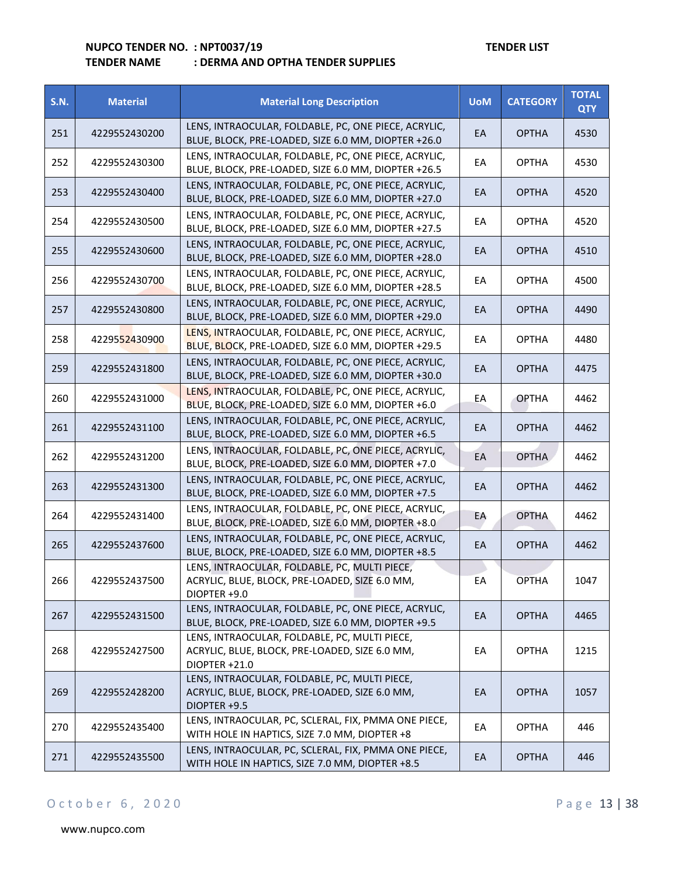| <b>S.N.</b> | <b>Material</b> | <b>Material Long Description</b>                                                                                 | <b>UoM</b> | <b>CATEGORY</b> | <b>TOTAL</b><br><b>QTY</b> |
|-------------|-----------------|------------------------------------------------------------------------------------------------------------------|------------|-----------------|----------------------------|
| 251         | 4229552430200   | LENS, INTRAOCULAR, FOLDABLE, PC, ONE PIECE, ACRYLIC,<br>BLUE, BLOCK, PRE-LOADED, SIZE 6.0 MM, DIOPTER +26.0      | EA         | <b>OPTHA</b>    | 4530                       |
| 252         | 4229552430300   | LENS, INTRAOCULAR, FOLDABLE, PC, ONE PIECE, ACRYLIC,<br>BLUE, BLOCK, PRE-LOADED, SIZE 6.0 MM, DIOPTER +26.5      | EA         | <b>OPTHA</b>    | 4530                       |
| 253         | 4229552430400   | LENS, INTRAOCULAR, FOLDABLE, PC, ONE PIECE, ACRYLIC,<br>BLUE, BLOCK, PRE-LOADED, SIZE 6.0 MM, DIOPTER +27.0      | EA         | <b>OPTHA</b>    | 4520                       |
| 254         | 4229552430500   | LENS, INTRAOCULAR, FOLDABLE, PC, ONE PIECE, ACRYLIC,<br>BLUE, BLOCK, PRE-LOADED, SIZE 6.0 MM, DIOPTER +27.5      | EA         | <b>OPTHA</b>    | 4520                       |
| 255         | 4229552430600   | LENS, INTRAOCULAR, FOLDABLE, PC, ONE PIECE, ACRYLIC,<br>BLUE, BLOCK, PRE-LOADED, SIZE 6.0 MM, DIOPTER +28.0      | EA         | <b>OPTHA</b>    | 4510                       |
| 256         | 4229552430700   | LENS, INTRAOCULAR, FOLDABLE, PC, ONE PIECE, ACRYLIC,<br>BLUE, BLOCK, PRE-LOADED, SIZE 6.0 MM, DIOPTER +28.5      | EA         | <b>OPTHA</b>    | 4500                       |
| 257         | 4229552430800   | LENS, INTRAOCULAR, FOLDABLE, PC, ONE PIECE, ACRYLIC,<br>BLUE, BLOCK, PRE-LOADED, SIZE 6.0 MM, DIOPTER +29.0      | EA         | <b>OPTHA</b>    | 4490                       |
| 258         | 4229552430900   | LENS, INTRAOCULAR, FOLDABLE, PC, ONE PIECE, ACRYLIC,<br>BLUE, BLOCK, PRE-LOADED, SIZE 6.0 MM, DIOPTER +29.5      | EA         | <b>OPTHA</b>    | 4480                       |
| 259         | 4229552431800   | LENS, INTRAOCULAR, FOLDABLE, PC, ONE PIECE, ACRYLIC,<br>BLUE, BLOCK, PRE-LOADED, SIZE 6.0 MM, DIOPTER +30.0      | EA         | <b>OPTHA</b>    | 4475                       |
| 260         | 4229552431000   | LENS, INTRAOCULAR, FOLDABLE, PC, ONE PIECE, ACRYLIC,<br>BLUE, BLOCK, PRE-LOADED, SIZE 6.0 MM, DIOPTER +6.0       | EA         | <b>OPTHA</b>    | 4462                       |
| 261         | 4229552431100   | LENS, INTRAOCULAR, FOLDABLE, PC, ONE PIECE, ACRYLIC,<br>BLUE, BLOCK, PRE-LOADED, SIZE 6.0 MM, DIOPTER +6.5       | EA         | <b>OPTHA</b>    | 4462                       |
| 262         | 4229552431200   | LENS, INTRAOCULAR, FOLDABLE, PC, ONE PIECE, ACRYLIC,<br>BLUE, BLOCK, PRE-LOADED, SIZE 6.0 MM, DIOPTER +7.0       | EA         | <b>OPTHA</b>    | 4462                       |
| 263         | 4229552431300   | LENS, INTRAOCULAR, FOLDABLE, PC, ONE PIECE, ACRYLIC,<br>BLUE, BLOCK, PRE-LOADED, SIZE 6.0 MM, DIOPTER +7.5       | EA         | <b>OPTHA</b>    | 4462                       |
| 264         | 4229552431400   | LENS, INTRAOCULAR, FOLDABLE, PC, ONE PIECE, ACRYLIC,<br>BLUE, BLOCK, PRE-LOADED, SIZE 6.0 MM, DIOPTER +8.0       | EA         | <b>OPTHA</b>    | 4462                       |
| 265         | 4229552437600   | LENS, INTRAOCULAR, FOLDABLE, PC, ONE PIECE, ACRYLIC,<br>BLUE, BLOCK, PRE-LOADED, SIZE 6.0 MM, DIOPTER +8.5       | EA         | <b>OPTHA</b>    | 4462                       |
| 266         | 4229552437500   | LENS, INTRAOCULAR, FOLDABLE, PC, MULTI PIECE,<br>ACRYLIC, BLUE, BLOCK, PRE-LOADED, SIZE 6.0 MM,<br>DIOPTER +9.0  | EA         | <b>OPTHA</b>    | 1047                       |
| 267         | 4229552431500   | LENS, INTRAOCULAR, FOLDABLE, PC, ONE PIECE, ACRYLIC,<br>BLUE, BLOCK, PRE-LOADED, SIZE 6.0 MM, DIOPTER +9.5       | EA         | <b>OPTHA</b>    | 4465                       |
| 268         | 4229552427500   | LENS, INTRAOCULAR, FOLDABLE, PC, MULTI PIECE,<br>ACRYLIC, BLUE, BLOCK, PRE-LOADED, SIZE 6.0 MM,<br>DIOPTER +21.0 | EA         | <b>OPTHA</b>    | 1215                       |
| 269         | 4229552428200   | LENS, INTRAOCULAR, FOLDABLE, PC, MULTI PIECE,<br>ACRYLIC, BLUE, BLOCK, PRE-LOADED, SIZE 6.0 MM,<br>DIOPTER +9.5  | EA         | <b>OPTHA</b>    | 1057                       |
| 270         | 4229552435400   | LENS, INTRAOCULAR, PC, SCLERAL, FIX, PMMA ONE PIECE,<br>WITH HOLE IN HAPTICS, SIZE 7.0 MM, DIOPTER +8            | EA         | <b>OPTHA</b>    | 446                        |
| 271         | 4229552435500   | LENS, INTRAOCULAR, PC, SCLERAL, FIX, PMMA ONE PIECE,<br>WITH HOLE IN HAPTICS, SIZE 7.0 MM, DIOPTER +8.5          | EA         | <b>OPTHA</b>    | 446                        |

## O c t o b e r 6, 2020 P a g e 13 | 38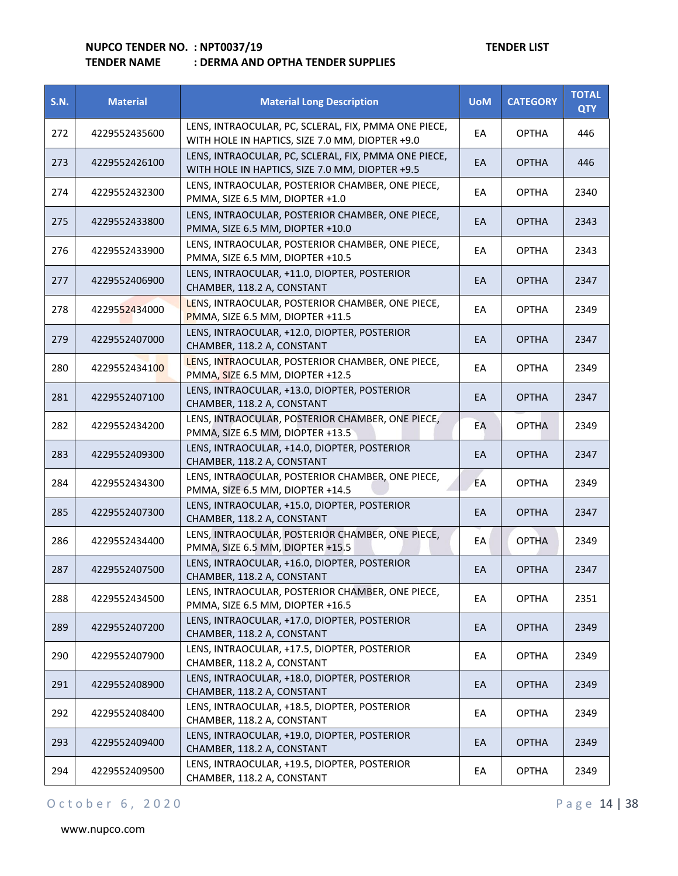| <b>S.N.</b> | <b>Material</b> | <b>Material Long Description</b>                                                                        | <b>UoM</b> | <b>CATEGORY</b> | <b>TOTAL</b><br><b>QTY</b> |
|-------------|-----------------|---------------------------------------------------------------------------------------------------------|------------|-----------------|----------------------------|
| 272         | 4229552435600   | LENS, INTRAOCULAR, PC, SCLERAL, FIX, PMMA ONE PIECE,<br>WITH HOLE IN HAPTICS, SIZE 7.0 MM, DIOPTER +9.0 | EA         | <b>OPTHA</b>    | 446                        |
| 273         | 4229552426100   | LENS, INTRAOCULAR, PC, SCLERAL, FIX, PMMA ONE PIECE,<br>WITH HOLE IN HAPTICS, SIZE 7.0 MM, DIOPTER +9.5 | EA         | <b>OPTHA</b>    | 446                        |
| 274         | 4229552432300   | LENS, INTRAOCULAR, POSTERIOR CHAMBER, ONE PIECE,<br>PMMA, SIZE 6.5 MM, DIOPTER +1.0                     | EA         | <b>OPTHA</b>    | 2340                       |
| 275         | 4229552433800   | LENS, INTRAOCULAR, POSTERIOR CHAMBER, ONE PIECE,<br>PMMA, SIZE 6.5 MM, DIOPTER +10.0                    | EA         | <b>OPTHA</b>    | 2343                       |
| 276         | 4229552433900   | LENS, INTRAOCULAR, POSTERIOR CHAMBER, ONE PIECE,<br>PMMA, SIZE 6.5 MM, DIOPTER +10.5                    | EA         | <b>OPTHA</b>    | 2343                       |
| 277         | 4229552406900   | LENS, INTRAOCULAR, +11.0, DIOPTER, POSTERIOR<br>CHAMBER, 118.2 A, CONSTANT                              | EA         | <b>OPTHA</b>    | 2347                       |
| 278         | 4229552434000   | LENS, INTRAOCULAR, POSTERIOR CHAMBER, ONE PIECE,<br>PMMA, SIZE 6.5 MM, DIOPTER +11.5                    | EA         | <b>OPTHA</b>    | 2349                       |
| 279         | 4229552407000   | LENS, INTRAOCULAR, +12.0, DIOPTER, POSTERIOR<br>CHAMBER, 118.2 A, CONSTANT                              | EA         | <b>OPTHA</b>    | 2347                       |
| 280         | 4229552434100   | LENS, INTRAOCULAR, POSTERIOR CHAMBER, ONE PIECE,<br>PMMA, SIZE 6.5 MM, DIOPTER +12.5                    | EA         | <b>OPTHA</b>    | 2349                       |
| 281         | 4229552407100   | LENS, INTRAOCULAR, +13.0, DIOPTER, POSTERIOR<br>CHAMBER, 118.2 A, CONSTANT                              | EA         | <b>OPTHA</b>    | 2347                       |
| 282         | 4229552434200   | LENS, INTRAOCULAR, POSTERIOR CHAMBER, ONE PIECE,<br>PMMA, SIZE 6.5 MM, DIOPTER +13.5                    | EA         | <b>OPTHA</b>    | 2349                       |
| 283         | 4229552409300   | LENS, INTRAOCULAR, +14.0, DIOPTER, POSTERIOR<br>CHAMBER, 118.2 A, CONSTANT                              | EA         | <b>OPTHA</b>    | 2347                       |
| 284         | 4229552434300   | LENS, INTRAOCULAR, POSTERIOR CHAMBER, ONE PIECE,<br>PMMA, SIZE 6.5 MM, DIOPTER +14.5                    | EA         | <b>OPTHA</b>    | 2349                       |
| 285         | 4229552407300   | LENS, INTRAOCULAR, +15.0, DIOPTER, POSTERIOR<br>CHAMBER, 118.2 A, CONSTANT                              | EA         | <b>OPTHA</b>    | 2347                       |
| 286         | 4229552434400   | LENS, INTRAOCULAR, POSTERIOR CHAMBER, ONE PIECE,<br>PMMA, SIZE 6.5 MM, DIOPTER +15.5                    | EA         | <b>OPTHA</b>    | 2349                       |
| 287         | 4229552407500   | LENS, INTRAOCULAR, +16.0, DIOPTER, POSTERIOR<br>CHAMBER, 118.2 A, CONSTANT                              | EA         | <b>OPTHA</b>    | 2347                       |
| 288         | 4229552434500   | LENS, INTRAOCULAR, POSTERIOR CHAMBER, ONE PIECE,<br>PMMA, SIZE 6.5 MM, DIOPTER +16.5                    | EA         | <b>OPTHA</b>    | 2351                       |
| 289         | 4229552407200   | LENS, INTRAOCULAR, +17.0, DIOPTER, POSTERIOR<br>CHAMBER, 118.2 A, CONSTANT                              | EA         | <b>OPTHA</b>    | 2349                       |
| 290         | 4229552407900   | LENS, INTRAOCULAR, +17.5, DIOPTER, POSTERIOR<br>CHAMBER, 118.2 A, CONSTANT                              | EA         | <b>OPTHA</b>    | 2349                       |
| 291         | 4229552408900   | LENS, INTRAOCULAR, +18.0, DIOPTER, POSTERIOR<br>CHAMBER, 118.2 A, CONSTANT                              | EA         | <b>OPTHA</b>    | 2349                       |
| 292         | 4229552408400   | LENS, INTRAOCULAR, +18.5, DIOPTER, POSTERIOR<br>CHAMBER, 118.2 A, CONSTANT                              | EA         | <b>OPTHA</b>    | 2349                       |
| 293         | 4229552409400   | LENS, INTRAOCULAR, +19.0, DIOPTER, POSTERIOR<br>CHAMBER, 118.2 A, CONSTANT                              | EA         | <b>OPTHA</b>    | 2349                       |
| 294         | 4229552409500   | LENS, INTRAOCULAR, +19.5, DIOPTER, POSTERIOR<br>CHAMBER, 118.2 A, CONSTANT                              | EA         | <b>OPTHA</b>    | 2349                       |

## O c t o b e r 6, 2020 P a g e 14 | 38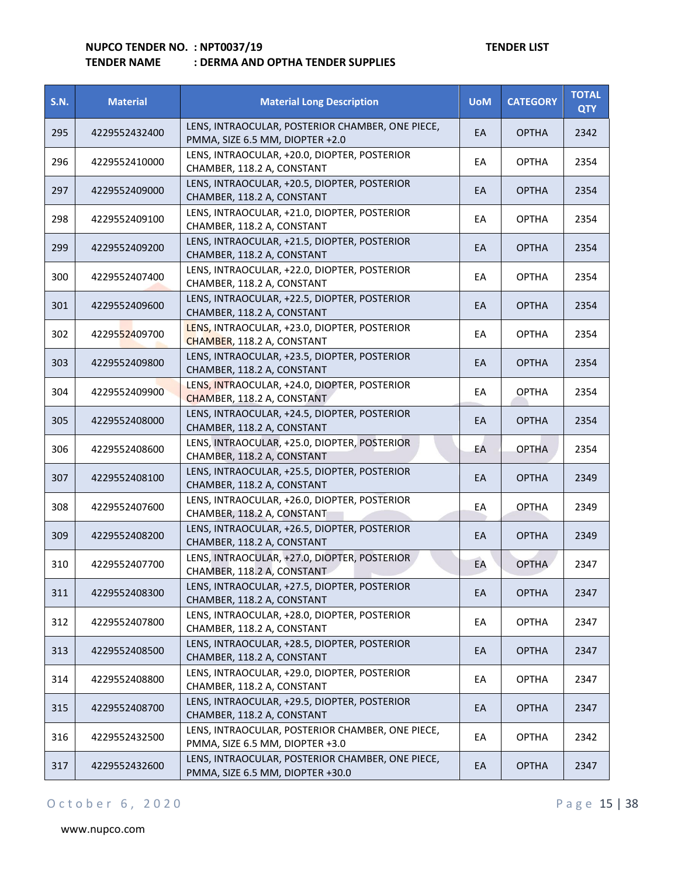## **TENDER NAME : DERMA AND OPTHA TENDER SUPPLIES**

| <b>S.N.</b> | <b>Material</b> | <b>Material Long Description</b>                                                     | <b>UoM</b> | <b>CATEGORY</b> | <b>TOTAL</b><br><b>QTY</b> |
|-------------|-----------------|--------------------------------------------------------------------------------------|------------|-----------------|----------------------------|
| 295         | 4229552432400   | LENS, INTRAOCULAR, POSTERIOR CHAMBER, ONE PIECE,<br>PMMA, SIZE 6.5 MM, DIOPTER +2.0  | EA         | <b>OPTHA</b>    | 2342                       |
| 296         | 4229552410000   | LENS, INTRAOCULAR, +20.0, DIOPTER, POSTERIOR<br>CHAMBER, 118.2 A, CONSTANT           | EА         | <b>OPTHA</b>    | 2354                       |
| 297         | 4229552409000   | LENS, INTRAOCULAR, +20.5, DIOPTER, POSTERIOR<br>CHAMBER, 118.2 A, CONSTANT           | EA         | <b>OPTHA</b>    | 2354                       |
| 298         | 4229552409100   | LENS, INTRAOCULAR, +21.0, DIOPTER, POSTERIOR<br>CHAMBER, 118.2 A, CONSTANT           | EA         | <b>OPTHA</b>    | 2354                       |
| 299         | 4229552409200   | LENS, INTRAOCULAR, +21.5, DIOPTER, POSTERIOR<br>CHAMBER, 118.2 A, CONSTANT           | EA         | <b>OPTHA</b>    | 2354                       |
| 300         | 4229552407400   | LENS, INTRAOCULAR, +22.0, DIOPTER, POSTERIOR<br>CHAMBER, 118.2 A, CONSTANT           | EA         | <b>OPTHA</b>    | 2354                       |
| 301         | 4229552409600   | LENS, INTRAOCULAR, +22.5, DIOPTER, POSTERIOR<br>CHAMBER, 118.2 A, CONSTANT           | EA         | <b>OPTHA</b>    | 2354                       |
| 302         | 4229552409700   | LENS, INTRAOCULAR, +23.0, DIOPTER, POSTERIOR<br>CHAMBER, 118.2 A, CONSTANT           | EA         | <b>OPTHA</b>    | 2354                       |
| 303         | 4229552409800   | LENS, INTRAOCULAR, +23.5, DIOPTER, POSTERIOR<br>CHAMBER, 118.2 A, CONSTANT           | EA         | <b>OPTHA</b>    | 2354                       |
| 304         | 4229552409900   | LENS, INTRAOCULAR, +24.0, DIOPTER, POSTERIOR<br>CHAMBER, 118.2 A, CONSTANT           | EA         | <b>OPTHA</b>    | 2354                       |
| 305         | 4229552408000   | LENS, INTRAOCULAR, +24.5, DIOPTER, POSTERIOR<br>CHAMBER, 118.2 A, CONSTANT           | EA         | <b>OPTHA</b>    | 2354                       |
| 306         | 4229552408600   | LENS, INTRAOCULAR, +25.0, DIOPTER, POSTERIOR<br>CHAMBER, 118.2 A, CONSTANT           | EA         | <b>OPTHA</b>    | 2354                       |
| 307         | 4229552408100   | LENS, INTRAOCULAR, +25.5, DIOPTER, POSTERIOR<br>CHAMBER, 118.2 A, CONSTANT           | EA         | <b>OPTHA</b>    | 2349                       |
| 308         | 4229552407600   | LENS, INTRAOCULAR, +26.0, DIOPTER, POSTERIOR<br>CHAMBER, 118.2 A, CONSTANT           | EA         | <b>OPTHA</b>    | 2349                       |
| 309         | 4229552408200   | LENS, INTRAOCULAR, +26.5, DIOPTER, POSTERIOR<br>CHAMBER, 118.2 A, CONSTANT           | EA         | <b>OPTHA</b>    | 2349                       |
| 310         | 4229552407700   | LENS, INTRAOCULAR, +27.0, DIOPTER, POSTERIOR<br>CHAMBER, 118.2 A, CONSTANT           | EA         | <b>OPTHA</b>    | 2347                       |
| 311         | 4229552408300   | LENS, INTRAOCULAR, +27.5, DIOPTER, POSTERIOR<br>CHAMBER, 118.2 A, CONSTANT           | EA         | <b>OPTHA</b>    | 2347                       |
| 312         | 4229552407800   | LENS, INTRAOCULAR, +28.0, DIOPTER, POSTERIOR<br>CHAMBER, 118.2 A, CONSTANT           | EA         | <b>OPTHA</b>    | 2347                       |
| 313         | 4229552408500   | LENS, INTRAOCULAR, +28.5, DIOPTER, POSTERIOR<br>CHAMBER, 118.2 A, CONSTANT           | EA         | <b>OPTHA</b>    | 2347                       |
| 314         | 4229552408800   | LENS, INTRAOCULAR, +29.0, DIOPTER, POSTERIOR<br>CHAMBER, 118.2 A, CONSTANT           | EA         | <b>OPTHA</b>    | 2347                       |
| 315         | 4229552408700   | LENS, INTRAOCULAR, +29.5, DIOPTER, POSTERIOR<br>CHAMBER, 118.2 A, CONSTANT           | EA         | <b>OPTHA</b>    | 2347                       |
| 316         | 4229552432500   | LENS, INTRAOCULAR, POSTERIOR CHAMBER, ONE PIECE,<br>PMMA, SIZE 6.5 MM, DIOPTER +3.0  | EA         | <b>OPTHA</b>    | 2342                       |
| 317         | 4229552432600   | LENS, INTRAOCULAR, POSTERIOR CHAMBER, ONE PIECE,<br>PMMA, SIZE 6.5 MM, DIOPTER +30.0 | EA         | <b>OPTHA</b>    | 2347                       |

## O c t o b e r 6, 2020 P a g e 15 | 38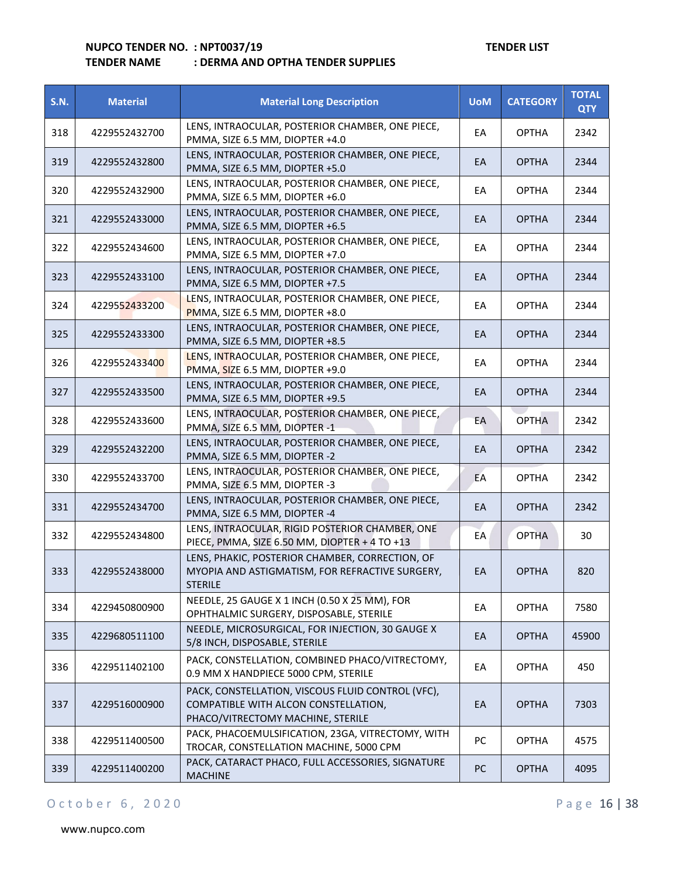|      | I LIVULIN IVAIVIL | . DENIVIA AND OF ITIA TENDEN SOFFEIES                                               |            |                 |                            |
|------|-------------------|-------------------------------------------------------------------------------------|------------|-----------------|----------------------------|
| S.N. | <b>Material</b>   | <b>Material Long Description</b>                                                    | <b>UoM</b> | <b>CATEGORY</b> | <b>TOTAL</b><br><b>QTY</b> |
| 318  | 4229552432700     | LENS, INTRAOCULAR, POSTERIOR CHAMBER, ONE PIECE,<br>PMMA, SIZE 6.5 MM, DIOPTER +4.0 | EA         | <b>OPTHA</b>    | 2342                       |
| 319  | 4229552432800     | LENS, INTRAOCULAR, POSTERIOR CHAMBER, ONE PIECE,<br>PMMA, SIZE 6.5 MM, DIOPTER +5.0 | EA         | <b>OPTHA</b>    | 2344                       |
| 320  | 4229552432900     | LENS, INTRAOCULAR, POSTERIOR CHAMBER, ONE PIECE,<br>PMMA, SIZE 6.5 MM, DIOPTER +6.0 | EA         | <b>OPTHA</b>    | 2344                       |
| 321  | 4229552433000     | LENS, INTRAOCULAR, POSTERIOR CHAMBER, ONE PIECE,<br>PMMA, SIZE 6.5 MM, DIOPTER +6.5 | EA         | <b>OPTHA</b>    | 2344                       |
| 322  | 4229552434600     | LENS, INTRAOCULAR, POSTERIOR CHAMBER, ONE PIECE,<br>PMMA, SIZE 6.5 MM, DIOPTER +7.0 | EA         | <b>OPTHA</b>    | 2344                       |
| 323  | 4229552433100     | LENS, INTRAOCULAR, POSTERIOR CHAMBER, ONE PIECE,<br>PMMA, SIZE 6.5 MM, DIOPTER +7.5 | EA         | <b>OPTHA</b>    | 2344                       |
| 324  | 4229552433200     | LENS, INTRAOCULAR, POSTERIOR CHAMBER, ONE PIECE,<br>PMMA, SIZE 6.5 MM, DIOPTER +8.0 | EA         | <b>OPTHA</b>    | 2344                       |
| 325  | 4229552433300     | LENS, INTRAOCULAR, POSTERIOR CHAMBER, ONE PIECE,<br>PMMA, SIZE 6.5 MM, DIOPTER +8.5 | EA         | <b>OPTHA</b>    | 2344                       |
| 326  | 4229552433400     | LENS, INTRAOCULAR, POSTERIOR CHAMBER, ONE PIECE,<br>PMMA, SIZE 6.5 MM, DIOPTER +9.0 | EA         | <b>OPTHA</b>    | 2344                       |
| 327  | 4229552433500     | LENS, INTRAOCULAR, POSTERIOR CHAMBER, ONE PIECE,<br>PMMA, SIZE 6.5 MM, DIOPTER +9.5 | EA         | <b>OPTHA</b>    | 2344                       |

| 324 | 4229552433200 | <u>LENS, INTRAUCULAR, PUSTERIUR CHAMBER, UNE PIECE, </u><br>PMMA, SIZE 6.5 MM, DIOPTER +8.0                                    | EA        | <b>OPTHA</b> | 2344  |
|-----|---------------|--------------------------------------------------------------------------------------------------------------------------------|-----------|--------------|-------|
| 325 | 4229552433300 | LENS, INTRAOCULAR, POSTERIOR CHAMBER, ONE PIECE,<br>PMMA, SIZE 6.5 MM, DIOPTER +8.5                                            | EA        | <b>OPTHA</b> | 2344  |
| 326 | 4229552433400 | LENS, INTRAOCULAR, POSTERIOR CHAMBER, ONE PIECE,<br>PMMA, SIZE 6.5 MM, DIOPTER +9.0                                            | EA        | <b>OPTHA</b> | 2344  |
| 327 | 4229552433500 | LENS, INTRAOCULAR, POSTERIOR CHAMBER, ONE PIECE,<br>PMMA, SIZE 6.5 MM, DIOPTER +9.5                                            | EA        | <b>OPTHA</b> | 2344  |
| 328 | 4229552433600 | LENS, INTRAOCULAR, POSTERIOR CHAMBER, ONE PIECE,<br>PMMA, SIZE 6.5 MM, DIOPTER -1                                              | EA        | <b>OPTHA</b> | 2342  |
| 329 | 4229552432200 | LENS, INTRAOCULAR, POSTERIOR CHAMBER, ONE PIECE,<br>PMMA, SIZE 6.5 MM, DIOPTER -2                                              | EA        | <b>OPTHA</b> | 2342  |
| 330 | 4229552433700 | LENS, INTRAOCULAR, POSTERIOR CHAMBER, ONE PIECE,<br>PMMA, SIZE 6.5 MM, DIOPTER -3                                              | EA        | <b>OPTHA</b> | 2342  |
| 331 | 4229552434700 | LENS, INTRAOCULAR, POSTERIOR CHAMBER, ONE PIECE,<br>PMMA, SIZE 6.5 MM, DIOPTER -4                                              | EA        | <b>OPTHA</b> | 2342  |
| 332 | 4229552434800 | LENS, INTRAOCULAR, RIGID POSTERIOR CHAMBER, ONE<br>PIECE, PMMA, SIZE 6.50 MM, DIOPTER + 4 TO +13                               | EA        | <b>OPTHA</b> | 30    |
| 333 | 4229552438000 | LENS, PHAKIC, POSTERIOR CHAMBER, CORRECTION, OF<br>MYOPIA AND ASTIGMATISM, FOR REFRACTIVE SURGERY,<br><b>STERILE</b>           | EA        | <b>OPTHA</b> | 820   |
| 334 | 4229450800900 | NEEDLE, 25 GAUGE X 1 INCH (0.50 X 25 MM), FOR<br>OPHTHALMIC SURGERY, DISPOSABLE, STERILE                                       | EA        | <b>OPTHA</b> | 7580  |
| 335 | 4229680511100 | NEEDLE, MICROSURGICAL, FOR INJECTION, 30 GAUGE X<br>5/8 INCH, DISPOSABLE, STERILE                                              | EA        | <b>OPTHA</b> | 45900 |
| 336 | 4229511402100 | PACK, CONSTELLATION, COMBINED PHACO/VITRECTOMY,<br>0.9 MM X HANDPIECE 5000 CPM, STERILE                                        | EA        | <b>OPTHA</b> | 450   |
| 337 | 4229516000900 | PACK, CONSTELLATION, VISCOUS FLUID CONTROL (VFC),<br>COMPATIBLE WITH ALCON CONSTELLATION,<br>PHACO/VITRECTOMY MACHINE, STERILE | EA        | <b>OPTHA</b> | 7303  |
| 338 | 4229511400500 | PACK, PHACOEMULSIFICATION, 23GA, VITRECTOMY, WITH<br>TROCAR, CONSTELLATION MACHINE, 5000 CPM                                   | PC        | <b>OPTHA</b> | 4575  |
| 339 | 4229511400200 | PACK, CATARACT PHACO, FULL ACCESSORIES, SIGNATURE<br><b>MACHINE</b>                                                            | <b>PC</b> | <b>OPTHA</b> | 4095  |
|     |               |                                                                                                                                |           |              |       |

## O c t o b e r 6, 2020 P a g e 16 | 38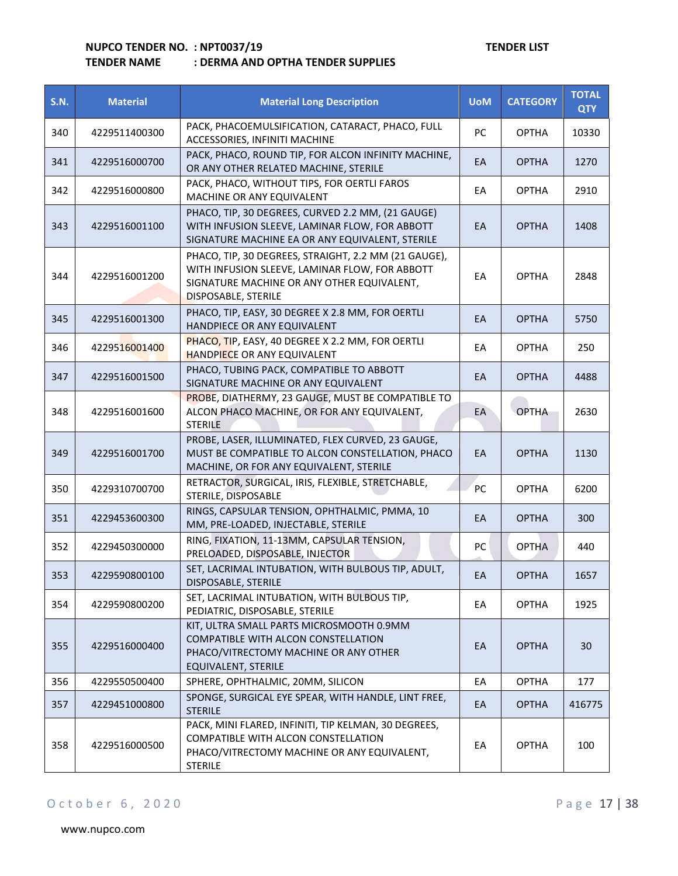| <b>S.N.</b> | <b>Material</b> | <b>Material Long Description</b>                                                                                                                                            | <b>UoM</b> | <b>CATEGORY</b> | <b>TOTAL</b><br><b>QTY</b> |
|-------------|-----------------|-----------------------------------------------------------------------------------------------------------------------------------------------------------------------------|------------|-----------------|----------------------------|
| 340         | 4229511400300   | PACK, PHACOEMULSIFICATION, CATARACT, PHACO, FULL<br>ACCESSORIES, INFINITI MACHINE                                                                                           | PC         | <b>OPTHA</b>    | 10330                      |
| 341         | 4229516000700   | PACK, PHACO, ROUND TIP, FOR ALCON INFINITY MACHINE,<br>OR ANY OTHER RELATED MACHINE, STERILE                                                                                | EА         | <b>OPTHA</b>    | 1270                       |
| 342         | 4229516000800   | PACK, PHACO, WITHOUT TIPS, FOR OERTLI FAROS<br>MACHINE OR ANY EQUIVALENT                                                                                                    | EA         | <b>OPTHA</b>    | 2910                       |
| 343         | 4229516001100   | PHACO, TIP, 30 DEGREES, CURVED 2.2 MM, (21 GAUGE)<br>WITH INFUSION SLEEVE, LAMINAR FLOW, FOR ABBOTT<br>SIGNATURE MACHINE EA OR ANY EQUIVALENT, STERILE                      | EA         | <b>OPTHA</b>    | 1408                       |
| 344         | 4229516001200   | PHACO, TIP, 30 DEGREES, STRAIGHT, 2.2 MM (21 GAUGE),<br>WITH INFUSION SLEEVE, LAMINAR FLOW, FOR ABBOTT<br>SIGNATURE MACHINE OR ANY OTHER EQUIVALENT,<br>DISPOSABLE, STERILE | ЕA         | <b>OPTHA</b>    | 2848                       |
| 345         | 4229516001300   | PHACO, TIP, EASY, 30 DEGREE X 2.8 MM, FOR OERTLI<br>HANDPIECE OR ANY EQUIVALENT                                                                                             | EA         | <b>OPTHA</b>    | 5750                       |
| 346         | 4229516001400   | PHACO, TIP, EASY, 40 DEGREE X 2.2 MM, FOR OERTLI<br><b>HANDPIECE OR ANY EQUIVALENT</b>                                                                                      | EА         | <b>OPTHA</b>    | 250                        |
| 347         | 4229516001500   | PHACO, TUBING PACK, COMPATIBLE TO ABBOTT<br>SIGNATURE MACHINE OR ANY EQUIVALENT                                                                                             | EA         | <b>OPTHA</b>    | 4488                       |
| 348         | 4229516001600   | PROBE, DIATHERMY, 23 GAUGE, MUST BE COMPATIBLE TO<br>ALCON PHACO MACHINE, OR FOR ANY EQUIVALENT,<br><b>STERILE</b>                                                          | EA         | <b>OPTHA</b>    | 2630                       |
| 349         | 4229516001700   | PROBE, LASER, ILLUMINATED, FLEX CURVED, 23 GAUGE,<br>MUST BE COMPATIBLE TO ALCON CONSTELLATION, PHACO<br>MACHINE, OR FOR ANY EQUIVALENT, STERILE                            | EA         | <b>OPTHA</b>    | 1130                       |
| 350         | 4229310700700   | RETRACTOR, SURGICAL, IRIS, FLEXIBLE, STRETCHABLE,<br>STERILE, DISPOSABLE                                                                                                    | <b>PC</b>  | <b>OPTHA</b>    | 6200                       |
| 351         | 4229453600300   | RINGS, CAPSULAR TENSION, OPHTHALMIC, PMMA, 10<br>MM, PRE-LOADED, INJECTABLE, STERILE                                                                                        | EA         | <b>OPTHA</b>    | 300                        |
| 352         | 4229450300000   | RING, FIXATION, 11-13MM, CAPSULAR TENSION,<br>PRELOADED, DISPOSABLE, INJECTOR                                                                                               | PC         | <b>OPTHA</b>    | 440                        |
| 353         | 4229590800100   | SET, LACRIMAL INTUBATION, WITH BULBOUS TIP, ADULT,<br>DISPOSABLE, STERILE                                                                                                   | EA         | <b>OPTHA</b>    | 1657                       |
| 354         | 4229590800200   | SET, LACRIMAL INTUBATION, WITH BULBOUS TIP,<br>PEDIATRIC, DISPOSABLE, STERILE                                                                                               | EA         | <b>OPTHA</b>    | 1925                       |
| 355         | 4229516000400   | KIT, ULTRA SMALL PARTS MICROSMOOTH 0.9MM<br>COMPATIBLE WITH ALCON CONSTELLATION<br>PHACO/VITRECTOMY MACHINE OR ANY OTHER<br>EQUIVALENT, STERILE                             | EA         | <b>OPTHA</b>    | 30                         |
| 356         | 4229550500400   | SPHERE, OPHTHALMIC, 20MM, SILICON                                                                                                                                           | EA         | <b>OPTHA</b>    | 177                        |
| 357         | 4229451000800   | SPONGE, SURGICAL EYE SPEAR, WITH HANDLE, LINT FREE,<br><b>STERILE</b>                                                                                                       | EA         | <b>OPTHA</b>    | 416775                     |
| 358         | 4229516000500   | PACK, MINI FLARED, INFINITI, TIP KELMAN, 30 DEGREES,<br>COMPATIBLE WITH ALCON CONSTELLATION<br>PHACO/VITRECTOMY MACHINE OR ANY EQUIVALENT,<br><b>STERILE</b>                | EA         | <b>OPTHA</b>    | 100                        |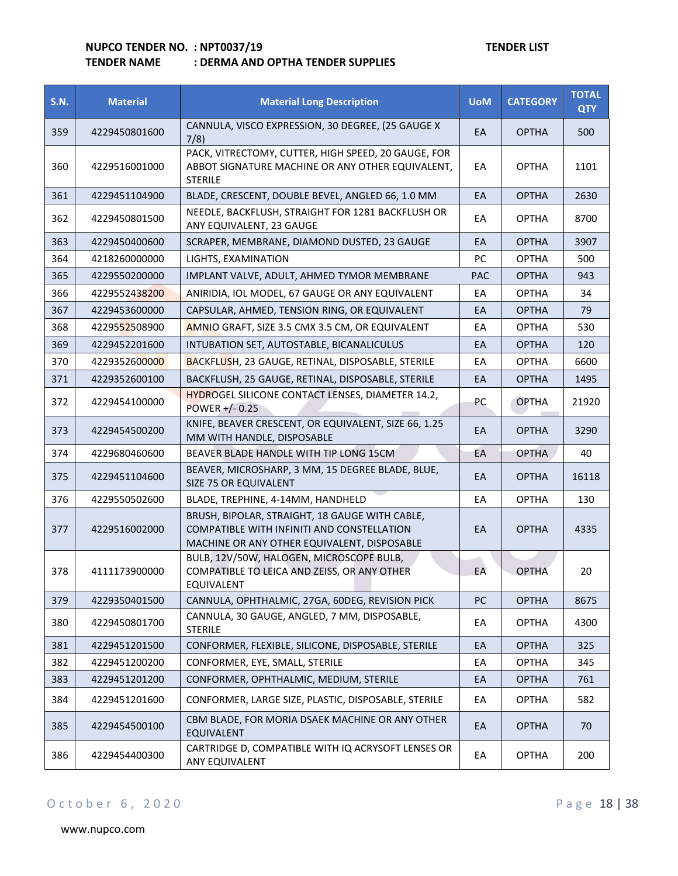## **TENDER NAME : DERMA AND OPTHA TENDER SUPPLIES**

| <b>S.N.</b> | <b>Material</b> | <b>Material Long Description</b>                                                                                                            | <b>UoM</b> | <b>CATEGORY</b> | <b>TOTAL</b><br><b>QTY</b> |
|-------------|-----------------|---------------------------------------------------------------------------------------------------------------------------------------------|------------|-----------------|----------------------------|
| 359         | 4229450801600   | CANNULA, VISCO EXPRESSION, 30 DEGREE, (25 GAUGE X<br>7/8)                                                                                   | EA         | <b>OPTHA</b>    | 500                        |
| 360         | 4229516001000   | PACK, VITRECTOMY, CUTTER, HIGH SPEED, 20 GAUGE, FOR<br>ABBOT SIGNATURE MACHINE OR ANY OTHER EQUIVALENT,<br><b>STERILE</b>                   | EA         | <b>OPTHA</b>    | 1101                       |
| 361         | 4229451104900   | BLADE, CRESCENT, DOUBLE BEVEL, ANGLED 66, 1.0 MM                                                                                            | EA         | <b>OPTHA</b>    | 2630                       |
| 362         | 4229450801500   | NEEDLE, BACKFLUSH, STRAIGHT FOR 1281 BACKFLUSH OR<br>ANY EQUIVALENT, 23 GAUGE                                                               | EA         | <b>OPTHA</b>    | 8700                       |
| 363         | 4229450400600   | SCRAPER, MEMBRANE, DIAMOND DUSTED, 23 GAUGE                                                                                                 | EA         | <b>OPTHA</b>    | 3907                       |
| 364         | 4218260000000   | LIGHTS, EXAMINATION                                                                                                                         | PC         | <b>OPTHA</b>    | 500                        |
| 365         | 4229550200000   | IMPLANT VALVE, ADULT, AHMED TYMOR MEMBRANE                                                                                                  | <b>PAC</b> | <b>OPTHA</b>    | 943                        |
| 366         | 4229552438200   | ANIRIDIA, IOL MODEL, 67 GAUGE OR ANY EQUIVALENT                                                                                             | EA         | <b>OPTHA</b>    | 34                         |
| 367         | 4229453600000   | CAPSULAR, AHMED, TENSION RING, OR EQUIVALENT                                                                                                | EA         | <b>OPTHA</b>    | 79                         |
| 368         | 4229552508900   | AMNIO GRAFT, SIZE 3.5 CMX 3.5 CM, OR EQUIVALENT                                                                                             | EA         | <b>OPTHA</b>    | 530                        |
| 369         | 4229452201600   | INTUBATION SET, AUTOSTABLE, BICANALICULUS                                                                                                   | EA         | <b>OPTHA</b>    | 120                        |
| 370         | 4229352600000   | <b>BACKFLUSH, 23 GAUGE, RETINAL, DISPOSABLE, STERILE</b>                                                                                    | EA         | <b>OPTHA</b>    | 6600                       |
| 371         | 4229352600100   | BACKFLUSH, 25 GAUGE, RETINAL, DISPOSABLE, STERILE                                                                                           | EA         | <b>OPTHA</b>    | 1495                       |
| 372         | 4229454100000   | HYDROGEL SILICONE CONTACT LENSES, DIAMETER 14.2,<br>POWER +/-0.25                                                                           | PC         | <b>OPTHA</b>    | 21920                      |
| 373         | 4229454500200   | KNIFE, BEAVER CRESCENT, OR EQUIVALENT, SIZE 66, 1.25<br>MM WITH HANDLE, DISPOSABLE                                                          | EA         | <b>OPTHA</b>    | 3290                       |
| 374         | 4229680460600   | BEAVER BLADE HANDLE WITH TIP LONG 15CM                                                                                                      | EA         | <b>OPTHA</b>    | 40                         |
| 375         | 4229451104600   | BEAVER, MICROSHARP, 3 MM, 15 DEGREE BLADE, BLUE,<br>SIZE 75 OR EQUIVALENT                                                                   | EA         | <b>OPTHA</b>    | 16118                      |
| 376         | 4229550502600   | BLADE, TREPHINE, 4-14MM, HANDHELD                                                                                                           | EA         | <b>OPTHA</b>    | 130                        |
| 377         | 4229516002000   | BRUSH, BIPOLAR, STRAIGHT, 18 GAUGE WITH CABLE,<br>COMPATIBLE WITH INFINITI AND CONSTELLATION<br>MACHINE OR ANY OTHER EQUIVALENT, DISPOSABLE | EA         | <b>OPTHA</b>    | 4335                       |
| 378         | 4111173900000   | BULB, 12V/50W, HALOGEN, MICROSCOPE BULB,<br>COMPATIBLE TO LEICA AND ZEISS, OR ANY OTHER<br>EQUIVALENT                                       | EA         | <b>OPTHA</b>    | 20                         |
| 379         | 4229350401500   | CANNULA, OPHTHALMIC, 27GA, 60DEG, REVISION PICK                                                                                             | <b>PC</b>  | <b>OPTHA</b>    | 8675                       |
| 380         | 4229450801700   | CANNULA, 30 GAUGE, ANGLED, 7 MM, DISPOSABLE,<br><b>STERILE</b>                                                                              | EA         | <b>OPTHA</b>    | 4300                       |
| 381         | 4229451201500   | CONFORMER, FLEXIBLE, SILICONE, DISPOSABLE, STERILE                                                                                          | EA         | <b>OPTHA</b>    | 325                        |
| 382         | 4229451200200   | CONFORMER, EYE, SMALL, STERILE                                                                                                              | EA         | <b>OPTHA</b>    | 345                        |
| 383         | 4229451201200   | CONFORMER, OPHTHALMIC, MEDIUM, STERILE                                                                                                      | EA         | <b>OPTHA</b>    | 761                        |
| 384         | 4229451201600   | CONFORMER, LARGE SIZE, PLASTIC, DISPOSABLE, STERILE                                                                                         | EA         | <b>OPTHA</b>    | 582                        |
| 385         | 4229454500100   | CBM BLADE, FOR MORIA DSAEK MACHINE OR ANY OTHER<br>EQUIVALENT                                                                               | EA         | <b>OPTHA</b>    | 70                         |
| 386         | 4229454400300   | CARTRIDGE D, COMPATIBLE WITH IQ ACRYSOFT LENSES OR<br>ANY EQUIVALENT                                                                        | EA         | <b>OPTHA</b>    | 200                        |

## O c t o b e r 6, 2020 P a g e 18 | 38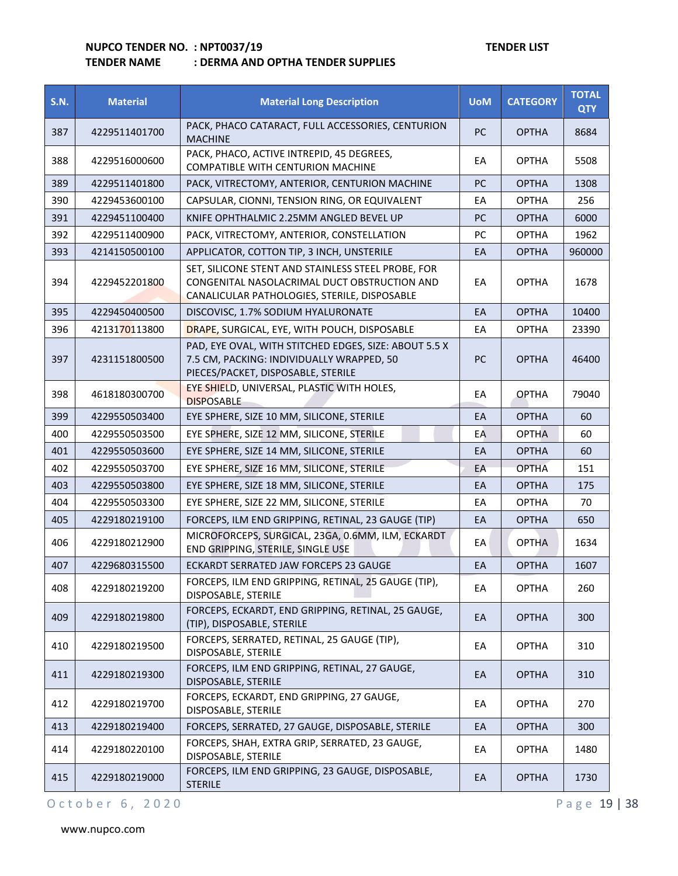## **TENDER NAME : DERMA AND OPTHA TENDER SUPPLIES**

| <b>S.N.</b> | <b>Material</b> | <b>Material Long Description</b>                                                                                                                   | <b>UoM</b> | <b>CATEGORY</b> | <b>TOTAL</b><br><b>QTY</b> |
|-------------|-----------------|----------------------------------------------------------------------------------------------------------------------------------------------------|------------|-----------------|----------------------------|
| 387         | 4229511401700   | PACK, PHACO CATARACT, FULL ACCESSORIES, CENTURION<br><b>MACHINE</b>                                                                                | PC         | <b>OPTHA</b>    | 8684                       |
| 388         | 4229516000600   | PACK, PHACO, ACTIVE INTREPID, 45 DEGREES,<br>COMPATIBLE WITH CENTURION MACHINE                                                                     | EА         | <b>OPTHA</b>    | 5508                       |
| 389         | 4229511401800   | PACK, VITRECTOMY, ANTERIOR, CENTURION MACHINE                                                                                                      | PC         | <b>OPTHA</b>    | 1308                       |
| 390         | 4229453600100   | CAPSULAR, CIONNI, TENSION RING, OR EQUIVALENT                                                                                                      | EА         | <b>OPTHA</b>    | 256                        |
| 391         | 4229451100400   | KNIFE OPHTHALMIC 2.25MM ANGLED BEVEL UP                                                                                                            | РC         | <b>OPTHA</b>    | 6000                       |
| 392         | 4229511400900   | PACK, VITRECTOMY, ANTERIOR, CONSTELLATION                                                                                                          | PC         | <b>OPTHA</b>    | 1962                       |
| 393         | 4214150500100   | APPLICATOR, COTTON TIP, 3 INCH, UNSTERILE                                                                                                          | EА         | <b>OPTHA</b>    | 960000                     |
| 394         | 4229452201800   | SET, SILICONE STENT AND STAINLESS STEEL PROBE, FOR<br>CONGENITAL NASOLACRIMAL DUCT OBSTRUCTION AND<br>CANALICULAR PATHOLOGIES, STERILE, DISPOSABLE | EA         | <b>OPTHA</b>    | 1678                       |
| 395         | 4229450400500   | DISCOVISC, 1.7% SODIUM HYALURONATE                                                                                                                 | EA         | <b>OPTHA</b>    | 10400                      |
| 396         | 4213170113800   | DRAPE, SURGICAL, EYE, WITH POUCH, DISPOSABLE                                                                                                       | EA         | <b>OPTHA</b>    | 23390                      |
| 397         | 4231151800500   | PAD, EYE OVAL, WITH STITCHED EDGES, SIZE: ABOUT 5.5 X<br>7.5 CM, PACKING: INDIVIDUALLY WRAPPED, 50<br>PIECES/PACKET, DISPOSABLE, STERILE           | <b>PC</b>  | <b>OPTHA</b>    | 46400                      |
| 398         | 4618180300700   | EYE SHIELD, UNIVERSAL, PLASTIC WITH HOLES,<br><b>DISPOSABLE</b>                                                                                    | EA         | <b>OPTHA</b>    | 79040                      |
| 399         | 4229550503400   | EYE SPHERE, SIZE 10 MM, SILICONE, STERILE                                                                                                          | EA         | <b>OPTHA</b>    | 60                         |
| 400         | 4229550503500   | EYE SPHERE, SIZE 12 MM, SILICONE, STERILE                                                                                                          | EA         | <b>OPTHA</b>    | 60                         |
| 401         | 4229550503600   | EYE SPHERE, SIZE 14 MM, SILICONE, STERILE                                                                                                          | EA         | <b>OPTHA</b>    | 60                         |
| 402         | 4229550503700   | EYE SPHERE, SIZE 16 MM, SILICONE, STERILE                                                                                                          | EA         | <b>OPTHA</b>    | 151                        |
| 403         | 4229550503800   | EYE SPHERE, SIZE 18 MM, SILICONE, STERILE                                                                                                          | EA         | <b>OPTHA</b>    | 175                        |
| 404         | 4229550503300   | EYE SPHERE, SIZE 22 MM, SILICONE, STERILE                                                                                                          | EA         | <b>OPTHA</b>    | 70                         |
| 405         | 4229180219100   | FORCEPS, ILM END GRIPPING, RETINAL, 23 GAUGE (TIP)                                                                                                 | EA         | <b>OPTHA</b>    | 650                        |
| 406         | 4229180212900   | MICROFORCEPS, SURGICAL, 23GA, 0.6MM, ILM, ECKARDT<br>END GRIPPING, STERILE, SINGLE USE                                                             | EА         | <b>OPTHA</b>    | 1634                       |
| 407         | 4229680315500   | ECKARDT SERRATED JAW FORCEPS 23 GAUGE                                                                                                              | EA         | <b>OPTHA</b>    | 1607                       |
| 408         | 4229180219200   | FORCEPS, ILM END GRIPPING, RETINAL, 25 GAUGE (TIP),<br>DISPOSABLE, STERILE                                                                         | EA         | <b>OPTHA</b>    | 260                        |
| 409         | 4229180219800   | FORCEPS, ECKARDT, END GRIPPING, RETINAL, 25 GAUGE,<br>(TIP), DISPOSABLE, STERILE                                                                   | EA         | <b>OPTHA</b>    | 300                        |
| 410         | 4229180219500   | FORCEPS, SERRATED, RETINAL, 25 GAUGE (TIP),<br>DISPOSABLE, STERILE                                                                                 | ЕA         | <b>OPTHA</b>    | 310                        |
| 411         | 4229180219300   | FORCEPS, ILM END GRIPPING, RETINAL, 27 GAUGE,<br>DISPOSABLE, STERILE                                                                               | EA         | <b>OPTHA</b>    | 310                        |
| 412         | 4229180219700   | FORCEPS, ECKARDT, END GRIPPING, 27 GAUGE,<br>DISPOSABLE, STERILE                                                                                   | EA         | <b>OPTHA</b>    | 270                        |
| 413         | 4229180219400   | FORCEPS, SERRATED, 27 GAUGE, DISPOSABLE, STERILE                                                                                                   | EA         | <b>OPTHA</b>    | 300                        |
| 414         | 4229180220100   | FORCEPS, SHAH, EXTRA GRIP, SERRATED, 23 GAUGE,<br>DISPOSABLE, STERILE                                                                              | ЕA         | <b>OPTHA</b>    | 1480                       |
| 415         | 4229180219000   | FORCEPS, ILM END GRIPPING, 23 GAUGE, DISPOSABLE,<br><b>STERILE</b>                                                                                 | EA         | <b>OPTHA</b>    | 1730                       |

## O c t o b e r 6, 2020 P a g e 19 | 38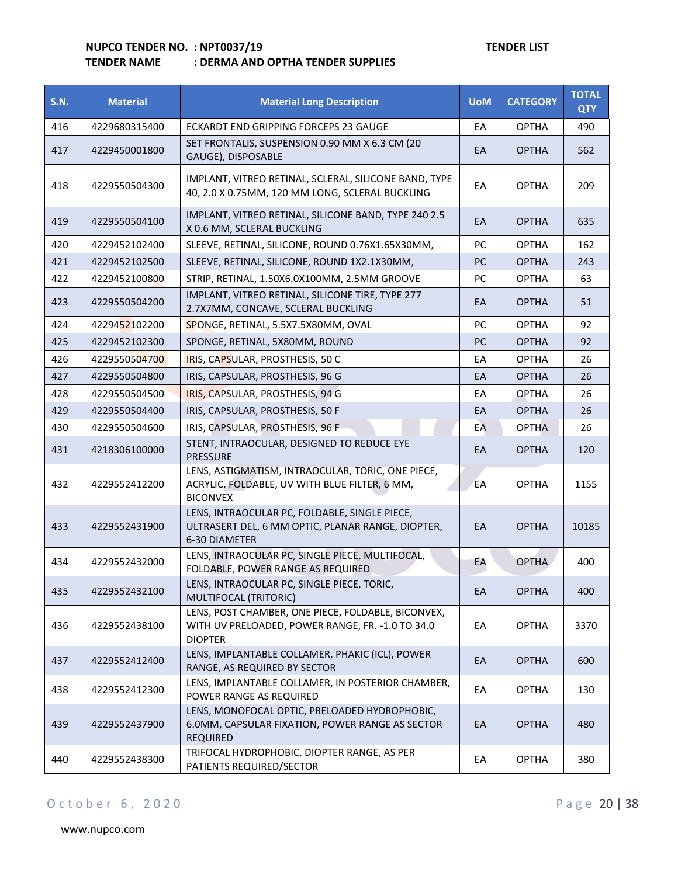## **TENDER NAME : DERMA AND OPTHA TENDER SUPPLIES**

| <b>S.N.</b> | <b>Material</b> | <b>Material Long Description</b>                                                                                          | <b>UoM</b> | <b>CATEGORY</b> | <b>TOTAL</b><br><b>QTY</b> |
|-------------|-----------------|---------------------------------------------------------------------------------------------------------------------------|------------|-----------------|----------------------------|
| 416         | 4229680315400   | ECKARDT END GRIPPING FORCEPS 23 GAUGE                                                                                     | EA         | <b>OPTHA</b>    | 490                        |
| 417         | 4229450001800   | SET FRONTALIS, SUSPENSION 0.90 MM X 6.3 CM (20<br>GAUGE), DISPOSABLE                                                      | EA         | <b>OPTHA</b>    | 562                        |
| 418         | 4229550504300   | IMPLANT, VITREO RETINAL, SCLERAL, SILICONE BAND, TYPE<br>40, 2.0 X 0.75MM, 120 MM LONG, SCLERAL BUCKLING                  | EА         | <b>OPTHA</b>    | 209                        |
| 419         | 4229550504100   | IMPLANT, VITREO RETINAL, SILICONE BAND, TYPE 240 2.5<br>X 0.6 MM, SCLERAL BUCKLING                                        | EA         | <b>OPTHA</b>    | 635                        |
| 420         | 4229452102400   | SLEEVE, RETINAL, SILICONE, ROUND 0.76X1.65X30MM,                                                                          | PC         | <b>OPTHA</b>    | 162                        |
| 421         | 4229452102500   | SLEEVE, RETINAL, SILICONE, ROUND 1X2.1X30MM,                                                                              | PC         | <b>OPTHA</b>    | 243                        |
| 422         | 4229452100800   | STRIP, RETINAL, 1.50X6.0X100MM, 2.5MM GROOVE                                                                              | PC         | <b>OPTHA</b>    | 63                         |
| 423         | 4229550504200   | IMPLANT, VITREO RETINAL, SILICONE TIRE, TYPE 277<br>2.7X7MM, CONCAVE, SCLERAL BUCKLING                                    | EA         | <b>OPTHA</b>    | 51                         |
| 424         | 4229452102200   | SPONGE, RETINAL, 5.5X7.5X80MM, OVAL                                                                                       | PC         | <b>OPTHA</b>    | 92                         |
| 425         | 4229452102300   | SPONGE, RETINAL, 5X80MM, ROUND                                                                                            | PC         | <b>OPTHA</b>    | 92                         |
| 426         | 4229550504700   | IRIS, CAPSULAR, PROSTHESIS, 50 C                                                                                          | EA         | <b>OPTHA</b>    | 26                         |
| 427         | 4229550504800   | IRIS, CAPSULAR, PROSTHESIS, 96 G                                                                                          | EA         | <b>OPTHA</b>    | 26                         |
| 428         | 4229550504500   | IRIS, CAPSULAR, PROSTHESIS, 94 G                                                                                          | EA         | <b>OPTHA</b>    | 26                         |
| 429         | 4229550504400   | IRIS, CAPSULAR, PROSTHESIS, 50 F                                                                                          | EA         | <b>OPTHA</b>    | 26                         |
| 430         | 4229550504600   | IRIS, CAPSULAR, PROSTHESIS, 96 F                                                                                          | EA         | <b>OPTHA</b>    | 26                         |
| 431         | 4218306100000   | STENT, INTRAOCULAR, DESIGNED TO REDUCE EYE<br><b>PRESSURE</b>                                                             | EA         | <b>OPTHA</b>    | 120                        |
| 432         | 4229552412200   | LENS, ASTIGMATISM, INTRAOCULAR, TORIC, ONE PIECE,<br>ACRYLIC, FOLDABLE, UV WITH BLUE FILTER, 6 MM,<br><b>BICONVEX</b>     | EA         | <b>OPTHA</b>    | 1155                       |
| 433         | 4229552431900   | LENS, INTRAOCULAR PC, FOLDABLE, SINGLE PIECE,<br>ULTRASERT DEL, 6 MM OPTIC, PLANAR RANGE, DIOPTER,<br>6-30 DIAMETER       | EA         | <b>OPTHA</b>    | 10185                      |
| 434         | 4229552432000   | LENS, INTRAOCULAR PC, SINGLE PIECE, MULTIFOCAL,<br>FOLDABLE, POWER RANGE AS REQUIRED                                      | EA         | <b>OPTHA</b>    | 400                        |
| 435         | 4229552432100   | LENS, INTRAOCULAR PC, SINGLE PIECE, TORIC,<br>MULTIFOCAL (TRITORIC)                                                       | EA         | <b>OPTHA</b>    | 400                        |
| 436         | 4229552438100   | LENS, POST CHAMBER, ONE PIECE, FOLDABLE, BICONVEX,<br>WITH UV PRELOADED, POWER RANGE, FR. - 1.0 TO 34.0<br><b>DIOPTER</b> | EA         | <b>OPTHA</b>    | 3370                       |
| 437         | 4229552412400   | LENS, IMPLANTABLE COLLAMER, PHAKIC (ICL), POWER<br>RANGE, AS REQUIRED BY SECTOR                                           | EA         | <b>OPTHA</b>    | 600                        |
| 438         | 4229552412300   | LENS, IMPLANTABLE COLLAMER, IN POSTERIOR CHAMBER,<br>POWER RANGE AS REQUIRED                                              | EA         | <b>OPTHA</b>    | 130                        |
| 439         | 4229552437900   | LENS, MONOFOCAL OPTIC, PRELOADED HYDROPHOBIC,<br>6.0MM, CAPSULAR FIXATION, POWER RANGE AS SECTOR<br><b>REQUIRED</b>       | EA         | <b>OPTHA</b>    | 480                        |
| 440         | 4229552438300   | TRIFOCAL HYDROPHOBIC, DIOPTER RANGE, AS PER<br>PATIENTS REQUIRED/SECTOR                                                   | EA         | <b>OPTHA</b>    | 380                        |

## O c t o b e r 6, 2020 P a g e 20 | 38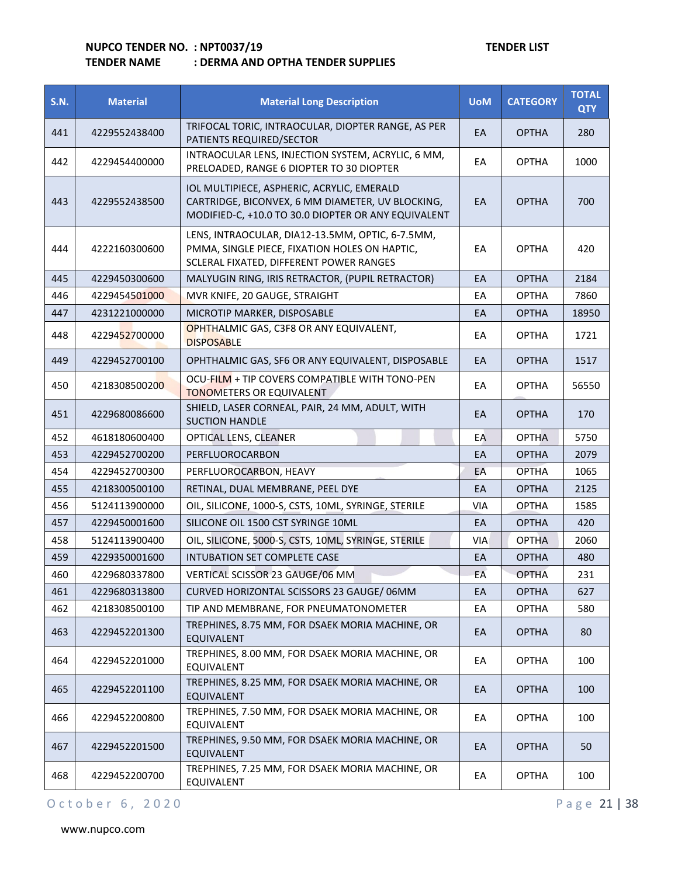## **TENDER NAME : DERMA AND OPTHA TENDER SUPPLIES**

| <b>S.N.</b> | <b>Material</b> | <b>Material Long Description</b>                                                                                                                      | <b>UoM</b> | <b>CATEGORY</b> | <b>TOTAL</b><br><b>QTY</b> |
|-------------|-----------------|-------------------------------------------------------------------------------------------------------------------------------------------------------|------------|-----------------|----------------------------|
| 441         | 4229552438400   | TRIFOCAL TORIC, INTRAOCULAR, DIOPTER RANGE, AS PER<br>PATIENTS REQUIRED/SECTOR                                                                        | EA         | <b>OPTHA</b>    | 280                        |
| 442         | 4229454400000   | INTRAOCULAR LENS, INJECTION SYSTEM, ACRYLIC, 6 MM,<br>PRELOADED, RANGE 6 DIOPTER TO 30 DIOPTER                                                        | EA         | <b>OPTHA</b>    | 1000                       |
| 443         | 4229552438500   | IOL MULTIPIECE, ASPHERIC, ACRYLIC, EMERALD<br>CARTRIDGE, BICONVEX, 6 MM DIAMETER, UV BLOCKING,<br>MODIFIED-C, +10.0 TO 30.0 DIOPTER OR ANY EQUIVALENT | EA         | <b>OPTHA</b>    | 700                        |
| 444         | 4222160300600   | LENS, INTRAOCULAR, DIA12-13.5MM, OPTIC, 6-7.5MM,<br>PMMA, SINGLE PIECE, FIXATION HOLES ON HAPTIC,<br>SCLERAL FIXATED, DIFFERENT POWER RANGES          | EA         | <b>OPTHA</b>    | 420                        |
| 445         | 4229450300600   | MALYUGIN RING, IRIS RETRACTOR, (PUPIL RETRACTOR)                                                                                                      | EA         | <b>OPTHA</b>    | 2184                       |
| 446         | 4229454501000   | MVR KNIFE, 20 GAUGE, STRAIGHT                                                                                                                         | EA         | <b>OPTHA</b>    | 7860                       |
| 447         | 4231221000000   | MICROTIP MARKER, DISPOSABLE                                                                                                                           | EA         | <b>OPTHA</b>    | 18950                      |
| 448         | 4229452700000   | OPHTHALMIC GAS, C3F8 OR ANY EQUIVALENT,<br><b>DISPOSABLE</b>                                                                                          | EA         | <b>OPTHA</b>    | 1721                       |
| 449         | 4229452700100   | OPHTHALMIC GAS, SF6 OR ANY EQUIVALENT, DISPOSABLE                                                                                                     | EA         | <b>OPTHA</b>    | 1517                       |
| 450         | 4218308500200   | OCU-FILM + TIP COVERS COMPATIBLE WITH TONO-PEN<br><b>TONOMETERS OR EQUIVALENT</b>                                                                     | EA         | <b>OPTHA</b>    | 56550                      |
| 451         | 4229680086600   | SHIELD, LASER CORNEAL, PAIR, 24 MM, ADULT, WITH<br><b>SUCTION HANDLE</b>                                                                              | EA         | <b>OPTHA</b>    | 170                        |
| 452         | 4618180600400   | OPTICAL LENS, CLEANER                                                                                                                                 | EA         | <b>OPTHA</b>    | 5750                       |
| 453         | 4229452700200   | PERFLUOROCARBON                                                                                                                                       | EA         | <b>OPTHA</b>    | 2079                       |
| 454         | 4229452700300   | PERFLUOROCARBON, HEAVY                                                                                                                                | EA         | <b>OPTHA</b>    | 1065                       |
| 455         | 4218300500100   | RETINAL, DUAL MEMBRANE, PEEL DYE                                                                                                                      | EA         | <b>OPTHA</b>    | 2125                       |
| 456         | 5124113900000   | OIL, SILICONE, 1000-S, CSTS, 10ML, SYRINGE, STERILE                                                                                                   | VIA        | <b>OPTHA</b>    | 1585                       |
| 457         | 4229450001600   | SILICONE OIL 1500 CST SYRINGE 10ML                                                                                                                    | EA         | <b>OPTHA</b>    | 420                        |
| 458         | 5124113900400   | OIL, SILICONE, 5000-S, CSTS, 10ML, SYRINGE, STERILE                                                                                                   | <b>VIA</b> | <b>OPTHA</b>    | 2060                       |
| 459         | 4229350001600   | INTUBATION SET COMPLETE CASE                                                                                                                          | EA         | <b>OPTHA</b>    | 480                        |
| 460         | 4229680337800   | VERTICAL SCISSOR 23 GAUGE/06 MM                                                                                                                       | EA         | <b>OPTHA</b>    | 231                        |
| 461         | 4229680313800   | CURVED HORIZONTAL SCISSORS 23 GAUGE/ 06MM                                                                                                             | EA         | <b>OPTHA</b>    | 627                        |
| 462         | 4218308500100   | TIP AND MEMBRANE, FOR PNEUMATONOMETER                                                                                                                 | EA         | <b>OPTHA</b>    | 580                        |
| 463         | 4229452201300   | TREPHINES, 8.75 MM, FOR DSAEK MORIA MACHINE, OR<br><b>EQUIVALENT</b>                                                                                  | EA         | <b>OPTHA</b>    | 80                         |
| 464         | 4229452201000   | TREPHINES, 8.00 MM, FOR DSAEK MORIA MACHINE, OR<br>EQUIVALENT                                                                                         | EA         | <b>OPTHA</b>    | 100                        |
| 465         | 4229452201100   | TREPHINES, 8.25 MM, FOR DSAEK MORIA MACHINE, OR<br>EQUIVALENT                                                                                         | EA         | <b>OPTHA</b>    | 100                        |
| 466         | 4229452200800   | TREPHINES, 7.50 MM, FOR DSAEK MORIA MACHINE, OR<br>EQUIVALENT                                                                                         | EA         | <b>OPTHA</b>    | 100                        |
| 467         | 4229452201500   | TREPHINES, 9.50 MM, FOR DSAEK MORIA MACHINE, OR<br>EQUIVALENT                                                                                         | EA         | <b>OPTHA</b>    | 50                         |
| 468         | 4229452200700   | TREPHINES, 7.25 MM, FOR DSAEK MORIA MACHINE, OR<br>EQUIVALENT                                                                                         | EA         | <b>OPTHA</b>    | 100                        |

O c t o b e r 6, 2020 P a g e 21 | 38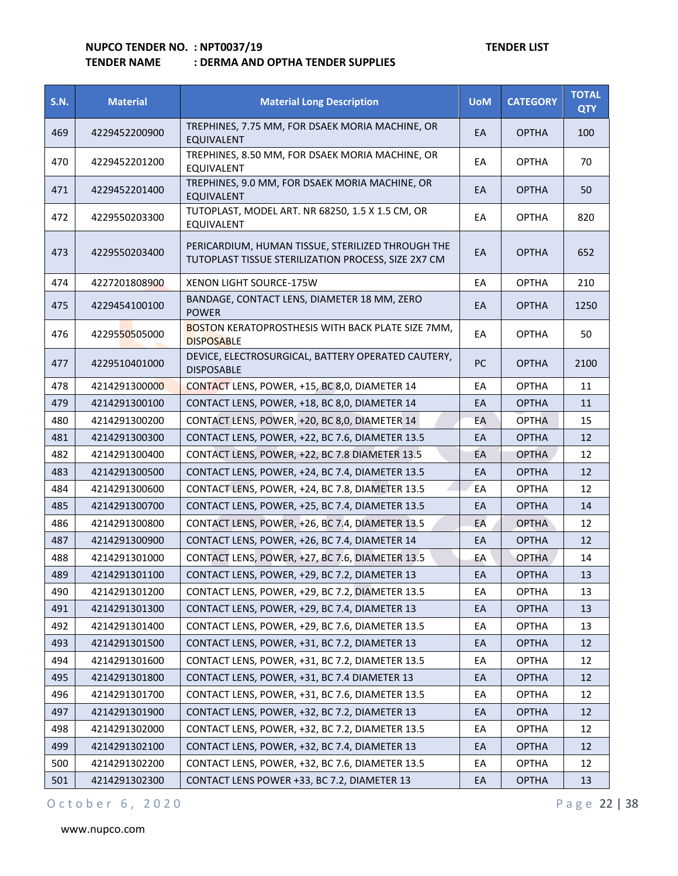## **TENDER NAME : DERMA AND OPTHA TENDER SUPPLIES**

| <b>S.N.</b> | <b>Material</b> | <b>Material Long Description</b>                                                                         | <b>UoM</b> | <b>CATEGORY</b> | <b>TOTAL</b><br><b>QTY</b> |
|-------------|-----------------|----------------------------------------------------------------------------------------------------------|------------|-----------------|----------------------------|
| 469         | 4229452200900   | TREPHINES, 7.75 MM, FOR DSAEK MORIA MACHINE, OR<br><b>EQUIVALENT</b>                                     | EA         | <b>OPTHA</b>    | 100                        |
| 470         | 4229452201200   | TREPHINES, 8.50 MM, FOR DSAEK MORIA MACHINE, OR<br>EQUIVALENT                                            | EA         | <b>OPTHA</b>    | 70                         |
| 471         | 4229452201400   | TREPHINES, 9.0 MM, FOR DSAEK MORIA MACHINE, OR<br><b>EQUIVALENT</b>                                      | EA         | <b>OPTHA</b>    | 50                         |
| 472         | 4229550203300   | TUTOPLAST, MODEL ART. NR 68250, 1.5 X 1.5 CM, OR<br>EQUIVALENT                                           | EA         | <b>OPTHA</b>    | 820                        |
| 473         | 4229550203400   | PERICARDIUM, HUMAN TISSUE, STERILIZED THROUGH THE<br>TUTOPLAST TISSUE STERILIZATION PROCESS, SIZE 2X7 CM | EA         | <b>OPTHA</b>    | 652                        |
| 474         | 4227201808900   | <b>XENON LIGHT SOURCE-175W</b>                                                                           | EA         | <b>OPTHA</b>    | 210                        |
| 475         | 4229454100100   | BANDAGE, CONTACT LENS, DIAMETER 18 MM, ZERO<br><b>POWER</b>                                              | EA         | <b>OPTHA</b>    | 1250                       |
| 476         | 4229550505000   | <b>BOSTON KERATOPROSTHESIS WITH BACK PLATE SIZE 7MM,</b><br><b>DISPOSABLE</b>                            | EA         | <b>OPTHA</b>    | 50                         |
| 477         | 4229510401000   | DEVICE, ELECTROSURGICAL, BATTERY OPERATED CAUTERY,<br><b>DISPOSABLE</b>                                  | <b>PC</b>  | <b>OPTHA</b>    | 2100                       |
| 478         | 4214291300000   | CONTACT LENS, POWER, +15, BC 8,0, DIAMETER 14                                                            | EA         | <b>OPTHA</b>    | 11                         |
| 479         | 4214291300100   | CONTACT LENS, POWER, +18, BC 8,0, DIAMETER 14                                                            | EA         | <b>OPTHA</b>    | 11                         |
| 480         | 4214291300200   | CONTACT LENS, POWER, +20, BC 8,0, DIAMETER 14                                                            | EA         | <b>OPTHA</b>    | 15                         |
| 481         | 4214291300300   | CONTACT LENS, POWER, +22, BC 7.6, DIAMETER 13.5                                                          | EA         | <b>OPTHA</b>    | 12                         |
| 482         | 4214291300400   | CONTACT LENS, POWER, +22, BC 7.8 DIAMETER 13.5                                                           | EA         | <b>OPTHA</b>    | 12                         |
| 483         | 4214291300500   | CONTACT LENS, POWER, +24, BC 7.4, DIAMETER 13.5                                                          | EA         | <b>OPTHA</b>    | 12                         |
| 484         | 4214291300600   | CONTACT LENS, POWER, +24, BC 7.8, DIAMETER 13.5                                                          | EA         | <b>OPTHA</b>    | 12                         |
| 485         | 4214291300700   | CONTACT LENS, POWER, +25, BC 7.4, DIAMETER 13.5                                                          | EA         | <b>OPTHA</b>    | 14                         |
| 486         | 4214291300800   | CONTACT LENS, POWER, +26, BC 7.4, DIAMETER 13.5                                                          | EA         | <b>OPTHA</b>    | 12                         |
| 487         | 4214291300900   | CONTACT LENS, POWER, +26, BC 7.4, DIAMETER 14                                                            | EA         | <b>OPTHA</b>    | 12                         |
| 488         | 4214291301000   | CONTACT LENS, POWER, +27, BC 7.6, DIAMETER 13.5                                                          | EA         | <b>OPTHA</b>    | 14                         |
| 489         | 4214291301100   | CONTACT LENS, POWER, +29, BC 7.2, DIAMETER 13                                                            | EA         | <b>OPTHA</b>    | 13                         |
| 490         | 4214291301200   | CONTACT LENS, POWER, +29, BC 7.2, DIAMETER 13.5                                                          | EA         | <b>OPTHA</b>    | 13                         |
| 491         | 4214291301300   | CONTACT LENS, POWER, +29, BC 7.4, DIAMETER 13                                                            | EA         | <b>OPTHA</b>    | 13                         |
| 492         | 4214291301400   | CONTACT LENS, POWER, +29, BC 7.6, DIAMETER 13.5                                                          | EA         | <b>OPTHA</b>    | 13                         |
| 493         | 4214291301500   | CONTACT LENS, POWER, +31, BC 7.2, DIAMETER 13                                                            | EA         | <b>OPTHA</b>    | 12                         |
| 494         | 4214291301600   | CONTACT LENS, POWER, +31, BC 7.2, DIAMETER 13.5                                                          | EA         | <b>OPTHA</b>    | 12                         |
| 495         | 4214291301800   | CONTACT LENS, POWER, +31, BC 7.4 DIAMETER 13                                                             | EA         | <b>OPTHA</b>    | 12                         |
| 496         | 4214291301700   | CONTACT LENS, POWER, +31, BC 7.6, DIAMETER 13.5                                                          | EA         | <b>OPTHA</b>    | 12                         |
| 497         | 4214291301900   | CONTACT LENS, POWER, +32, BC 7.2, DIAMETER 13                                                            | EA         | <b>OPTHA</b>    | 12                         |
| 498         | 4214291302000   | CONTACT LENS, POWER, +32, BC 7.2, DIAMETER 13.5                                                          | EA         | <b>OPTHA</b>    | 12                         |
| 499         | 4214291302100   | CONTACT LENS, POWER, +32, BC 7.4, DIAMETER 13                                                            | EA         | <b>OPTHA</b>    | 12                         |
| 500         | 4214291302200   | CONTACT LENS, POWER, +32, BC 7.6, DIAMETER 13.5                                                          | EA         | <b>OPTHA</b>    | 12                         |
| 501         | 4214291302300   | CONTACT LENS POWER +33, BC 7.2, DIAMETER 13                                                              | EA         | <b>OPTHA</b>    | 13                         |

O c t o b e r 6, 2020 P a g e 22 | 38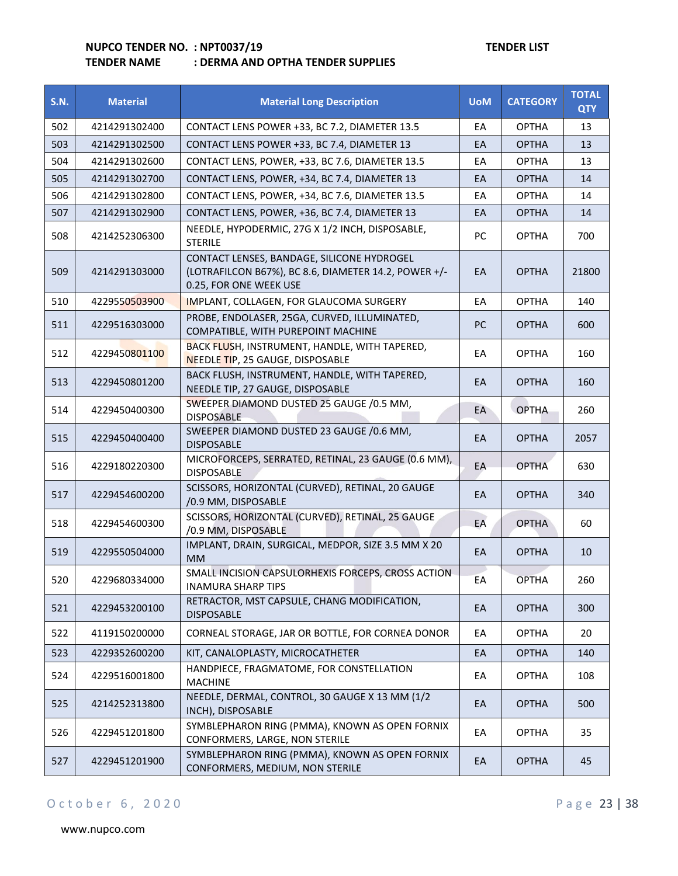|             |                 | . DLNIVIA AIVD OF I NA TLIVDEN SOFFEILS                                                                                      |            |                 |                            |
|-------------|-----------------|------------------------------------------------------------------------------------------------------------------------------|------------|-----------------|----------------------------|
| <b>S.N.</b> | <b>Material</b> | <b>Material Long Description</b>                                                                                             | <b>UoM</b> | <b>CATEGORY</b> | <b>TOTAL</b><br><b>QTY</b> |
| 502         | 4214291302400   | CONTACT LENS POWER +33, BC 7.2, DIAMETER 13.5                                                                                | EA         | <b>OPTHA</b>    | 13                         |
| 503         | 4214291302500   | CONTACT LENS POWER +33, BC 7.4, DIAMETER 13                                                                                  | EA         | <b>OPTHA</b>    | 13                         |
| 504         | 4214291302600   | CONTACT LENS, POWER, +33, BC 7.6, DIAMETER 13.5                                                                              | EA         | <b>OPTHA</b>    | 13                         |
| 505         | 4214291302700   | CONTACT LENS, POWER, +34, BC 7.4, DIAMETER 13                                                                                | EА         | <b>OPTHA</b>    | 14                         |
| 506         | 4214291302800   | CONTACT LENS, POWER, +34, BC 7.6, DIAMETER 13.5                                                                              | EA         | <b>OPTHA</b>    | 14                         |
| 507         | 4214291302900   | CONTACT LENS, POWER, +36, BC 7.4, DIAMETER 13                                                                                | EA         | <b>OPTHA</b>    | 14                         |
| 508         | 4214252306300   | NEEDLE, HYPODERMIC, 27G X 1/2 INCH, DISPOSABLE,<br><b>STERILE</b>                                                            | PC         | <b>OPTHA</b>    | 700                        |
| 509         | 4214291303000   | CONTACT LENSES, BANDAGE, SILICONE HYDROGEL<br>(LOTRAFILCON B67%), BC 8.6, DIAMETER 14.2, POWER +/-<br>0.25, FOR ONE WEEK USE | EA         | <b>OPTHA</b>    | 21800                      |
| 510         | 4229550503900   | IMPLANT, COLLAGEN, FOR GLAUCOMA SURGERY                                                                                      | EА         | <b>OPTHA</b>    | 140                        |
| 511         | 4229516303000   | PROBE, ENDOLASER, 25GA, CURVED, ILLUMINATED,<br>COMPATIBLE, WITH PUREPOINT MACHINE                                           | PC         | <b>OPTHA</b>    | 600                        |
| 512         | 4229450801100   | BACK FLUSH, INSTRUMENT, HANDLE, WITH TAPERED,<br><b>NEEDLE TIP, 25 GAUGE, DISPOSABLE</b>                                     | EA         | <b>OPTHA</b>    | 160                        |
| 513         | 4229450801200   | BACK FLUSH, INSTRUMENT, HANDLE, WITH TAPERED,<br>NEEDLE TIP, 27 GAUGE, DISPOSABLE                                            | EA         | <b>OPTHA</b>    | 160                        |
| 514         | 4229450400300   | SWEEPER DIAMOND DUSTED 25 GAUGE /0.5 MM,<br><b>DISPOSABLE</b>                                                                | EA         | <b>OPTHA</b>    | 260                        |
| 515         | 4229450400400   | SWEEPER DIAMOND DUSTED 23 GAUGE /0.6 MM,<br><b>DISPOSABLE</b>                                                                | EA         | <b>OPTHA</b>    | 2057                       |
| 516         | 4229180220300   | MICROFORCEPS, SERRATED, RETINAL, 23 GAUGE (0.6 MM),<br><b>DISPOSABLE</b>                                                     | EA         | <b>OPTHA</b>    | 630                        |
| 517         | 4229454600200   | SCISSORS, HORIZONTAL (CURVED), RETINAL, 20 GAUGE<br>/0.9 MM, DISPOSABLE                                                      | EA         | <b>OPTHA</b>    | 340                        |
| 518         | 4229454600300   | SCISSORS, HORIZONTAL (CURVED), RETINAL, 25 GAUGE<br>/0.9 MM, DISPOSABLE                                                      | EA         | <b>OPTHA</b>    | 60                         |
| 519         | 4229550504000   | IMPLANT, DRAIN, SURGICAL, MEDPOR, SIZE 3.5 MM X 20<br><b>MM</b>                                                              | EA         | <b>OPTHA</b>    | 10                         |
| 520         | 4229680334000   | SMALL INCISION CAPSULORHEXIS FORCEPS, CROSS ACTION<br><b>INAMURA SHARP TIPS</b>                                              | EA         | <b>OPTHA</b>    | 260                        |
| 521         | 4229453200100   | RETRACTOR, MST CAPSULE, CHANG MODIFICATION,<br><b>DISPOSABLE</b>                                                             | EA         | <b>OPTHA</b>    | 300                        |

522 4119150200000 CORNEAL STORAGE, JAR OR BOTTLE, FOR CORNEA DONOR | EA | OPTHA | 20 523 4229352600200 KIT, CANALOPLASTY, MICROCATHETER EA BAILER 140

524 | 4229516001800 | HANDPIECE, FRAGMATOME, FOR CONSTELLATION | EA | OPTHA | 108<br>| EA | OPTHA | 108

INCHULE, DERIVIAL, CONTROL, 30 GAOGLA 13 MIN (1/2 EA OPTHA 500

STIVIBLEPHANON NING (PIVIMA), NNOWN AS OPEN FONNIA | EA | OPTHA | 35

CONFORMERS, MEDIUM, NON STERILE **EXAMPLE 2018** 

<sup>525</sup> <sup>4214252313800</sup> NEEDLE, DERMAL, CONTROL, 30 GAUGE X 13 MM (1/2

<sup>526</sup> <sup>4229451201800</sup> SYMBLEPHARON RING (PMMA), KNOWN AS OPEN FORNIX

<sup>527</sup> <sup>4229451201900</sup> SYMBLEPHARON RING (PMMA), KNOWN AS OPEN FORNIX

## O c t o b e r 6, 2020 **P** a g e 23 | 38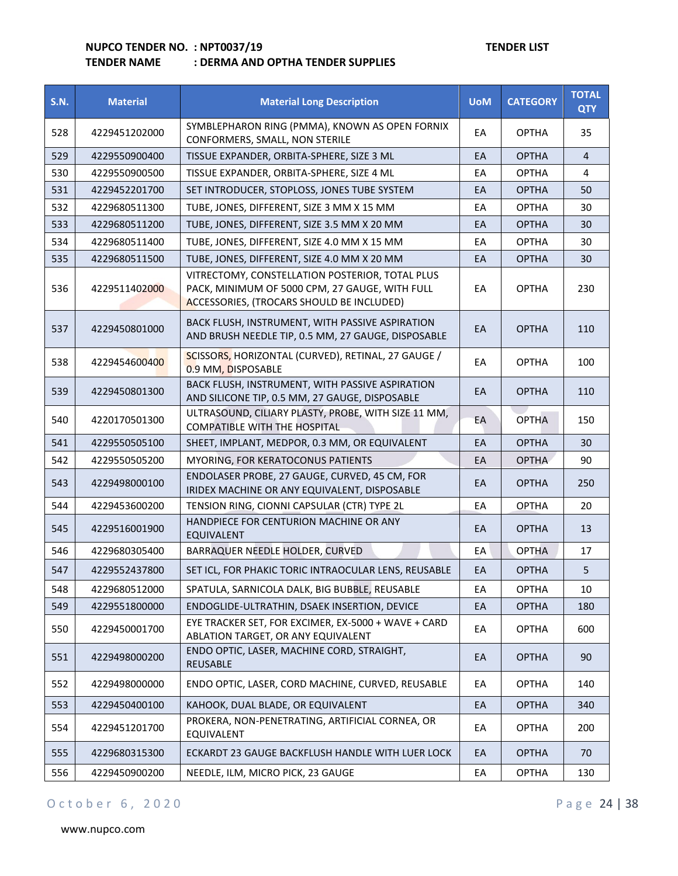# **TENDER NAME : DERMA AND OPTHA TENDER SUPPLIES**

| <b>S.N.</b> | <b>Material</b> | <b>Material Long Description</b>                                                                                                               | <b>UoM</b> | <b>CATEGORY</b> | <b>TOTAL</b><br><b>QTY</b> |
|-------------|-----------------|------------------------------------------------------------------------------------------------------------------------------------------------|------------|-----------------|----------------------------|
| 528         | 4229451202000   | SYMBLEPHARON RING (PMMA), KNOWN AS OPEN FORNIX<br>CONFORMERS, SMALL, NON STERILE                                                               | EA         | <b>OPTHA</b>    | 35                         |
| 529         | 4229550900400   | TISSUE EXPANDER, ORBITA-SPHERE, SIZE 3 ML                                                                                                      | EA         | <b>OPTHA</b>    | $\overline{4}$             |
| 530         | 4229550900500   | TISSUE EXPANDER, ORBITA-SPHERE, SIZE 4 ML                                                                                                      | EA         | <b>OPTHA</b>    | 4                          |
| 531         | 4229452201700   | SET INTRODUCER, STOPLOSS, JONES TUBE SYSTEM                                                                                                    | EA         | <b>OPTHA</b>    | 50                         |
| 532         | 4229680511300   | TUBE, JONES, DIFFERENT, SIZE 3 MM X 15 MM                                                                                                      | EA         | <b>OPTHA</b>    | 30                         |
| 533         | 4229680511200   | TUBE, JONES, DIFFERENT, SIZE 3.5 MM X 20 MM                                                                                                    | EA         | <b>OPTHA</b>    | 30                         |
| 534         | 4229680511400   | TUBE, JONES, DIFFERENT, SIZE 4.0 MM X 15 MM                                                                                                    | EA         | <b>OPTHA</b>    | 30                         |
| 535         | 4229680511500   | TUBE, JONES, DIFFERENT, SIZE 4.0 MM X 20 MM                                                                                                    | EA         | <b>OPTHA</b>    | 30                         |
| 536         | 4229511402000   | VITRECTOMY, CONSTELLATION POSTERIOR, TOTAL PLUS<br>PACK, MINIMUM OF 5000 CPM, 27 GAUGE, WITH FULL<br>ACCESSORIES, (TROCARS SHOULD BE INCLUDED) | EA         | <b>OPTHA</b>    | 230                        |
| 537         | 4229450801000   | BACK FLUSH, INSTRUMENT, WITH PASSIVE ASPIRATION<br>AND BRUSH NEEDLE TIP, 0.5 MM, 27 GAUGE, DISPOSABLE                                          | EA         | <b>OPTHA</b>    | 110                        |
| 538         | 4229454600400   | SCISSORS, HORIZONTAL (CURVED), RETINAL, 27 GAUGE /<br>0.9 MM, DISPOSABLE                                                                       | EA         | <b>OPTHA</b>    | 100                        |
| 539         | 4229450801300   | BACK FLUSH, INSTRUMENT, WITH PASSIVE ASPIRATION<br>AND SILICONE TIP, 0.5 MM, 27 GAUGE, DISPOSABLE                                              | EA         | <b>OPTHA</b>    | 110                        |
| 540         | 4220170501300   | ULTRASOUND, CILIARY PLASTY, PROBE, WITH SIZE 11 MM,<br><b>COMPATIBLE WITH THE HOSPITAL</b>                                                     | EA         | <b>OPTHA</b>    | 150                        |
| 541         | 4229550505100   | SHEET, IMPLANT, MEDPOR, 0.3 MM, OR EQUIVALENT                                                                                                  | EA         | <b>OPTHA</b>    | 30                         |
| 542         | 4229550505200   | MYORING, FOR KERATOCONUS PATIENTS                                                                                                              | EA         | <b>OPTHA</b>    | 90                         |
| 543         | 4229498000100   | ENDOLASER PROBE, 27 GAUGE, CURVED, 45 CM, FOR<br>IRIDEX MACHINE OR ANY EQUIVALENT, DISPOSABLE                                                  | EA         | <b>OPTHA</b>    | 250                        |
| 544         | 4229453600200   | TENSION RING, CIONNI CAPSULAR (CTR) TYPE 2L                                                                                                    | EA         | <b>OPTHA</b>    | 20                         |
| 545         | 4229516001900   | HANDPIECE FOR CENTURION MACHINE OR ANY<br>EQUIVALENT                                                                                           | EA         | <b>OPTHA</b>    | 13                         |
| 546         | 4229680305400   | BARRAQUER NEEDLE HOLDER, CURVED                                                                                                                | EA         | <b>OPTHA</b>    | 17                         |
| 547         | 4229552437800   | SET ICL, FOR PHAKIC TORIC INTRAOCULAR LENS, REUSABLE                                                                                           | EA         | <b>OPTHA</b>    | 5                          |
| 548         | 4229680512000   | SPATULA, SARNICOLA DALK, BIG BUBBLE, REUSABLE                                                                                                  | EA         | <b>OPTHA</b>    | 10                         |
| 549         | 4229551800000   | ENDOGLIDE-ULTRATHIN, DSAEK INSERTION, DEVICE                                                                                                   | EA         | <b>OPTHA</b>    | 180                        |
| 550         | 4229450001700   | EYE TRACKER SET, FOR EXCIMER, EX-5000 + WAVE + CARD<br>ABLATION TARGET, OR ANY EQUIVALENT                                                      | EA         | <b>OPTHA</b>    | 600                        |
| 551         | 4229498000200   | ENDO OPTIC, LASER, MACHINE CORD, STRAIGHT,<br>REUSABLE                                                                                         | EA         | <b>OPTHA</b>    | 90                         |
| 552         | 4229498000000   | ENDO OPTIC, LASER, CORD MACHINE, CURVED, REUSABLE                                                                                              | EA         | <b>OPTHA</b>    | 140                        |
| 553         | 4229450400100   | KAHOOK, DUAL BLADE, OR EQUIVALENT                                                                                                              | EA         | <b>OPTHA</b>    | 340                        |
| 554         | 4229451201700   | PROKERA, NON-PENETRATING, ARTIFICIAL CORNEA, OR<br>EQUIVALENT                                                                                  | EA         | <b>OPTHA</b>    | 200                        |
| 555         | 4229680315300   | ECKARDT 23 GAUGE BACKFLUSH HANDLE WITH LUER LOCK                                                                                               | EA         | <b>OPTHA</b>    | 70                         |
| 556         | 4229450900200   | NEEDLE, ILM, MICRO PICK, 23 GAUGE                                                                                                              | EA         | <b>OPTHA</b>    | 130                        |

## O c t o b e r 6, 2020 <br>
Page 24 | 38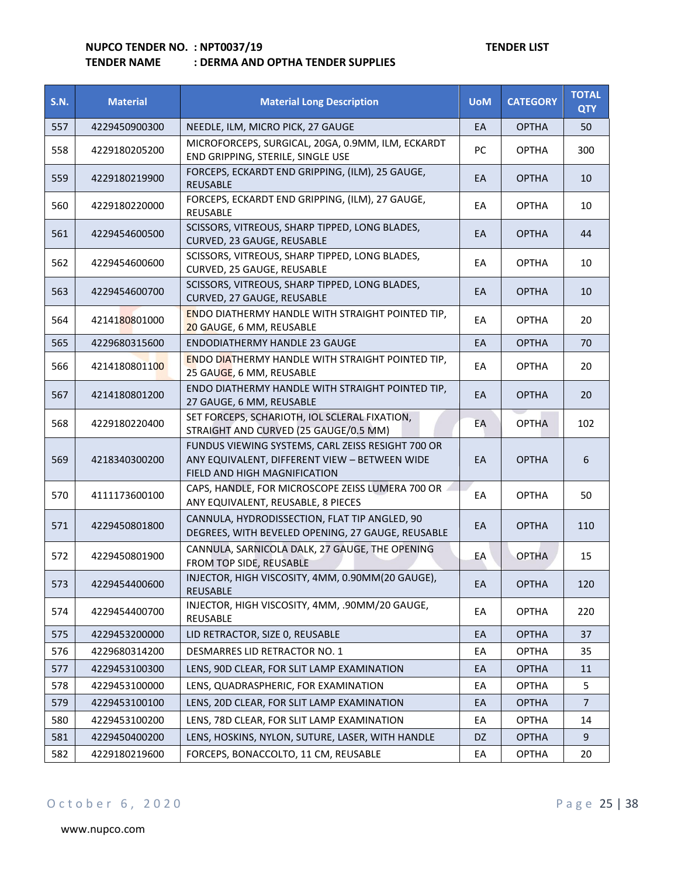#### **TENDER NAME : DERMA AND OPTHA TENDER SUPPLIES**

| <b>S.N.</b> | <b>Material</b> | <b>Material Long Description</b>                                                                                                   | <b>UoM</b> | <b>CATEGORY</b> | <b>TOTAL</b><br><b>QTY</b> |
|-------------|-----------------|------------------------------------------------------------------------------------------------------------------------------------|------------|-----------------|----------------------------|
| 557         | 4229450900300   | NEEDLE, ILM, MICRO PICK, 27 GAUGE                                                                                                  | EA         | <b>OPTHA</b>    | 50                         |
| 558         | 4229180205200   | MICROFORCEPS, SURGICAL, 20GA, 0.9MM, ILM, ECKARDT<br>END GRIPPING, STERILE, SINGLE USE                                             | PC         | <b>OPTHA</b>    | 300                        |
| 559         | 4229180219900   | FORCEPS, ECKARDT END GRIPPING, (ILM), 25 GAUGE,<br><b>REUSABLE</b>                                                                 | EA         | <b>OPTHA</b>    | 10                         |
| 560         | 4229180220000   | FORCEPS, ECKARDT END GRIPPING, (ILM), 27 GAUGE,<br>REUSABLE                                                                        | EA         | <b>OPTHA</b>    | 10                         |
| 561         | 4229454600500   | SCISSORS, VITREOUS, SHARP TIPPED, LONG BLADES,<br>CURVED, 23 GAUGE, REUSABLE                                                       | EA         | <b>OPTHA</b>    | 44                         |
| 562         | 4229454600600   | SCISSORS, VITREOUS, SHARP TIPPED, LONG BLADES,<br>CURVED, 25 GAUGE, REUSABLE                                                       | EA         | <b>OPTHA</b>    | 10                         |
| 563         | 4229454600700   | SCISSORS, VITREOUS, SHARP TIPPED, LONG BLADES,<br>CURVED, 27 GAUGE, REUSABLE                                                       | EA         | <b>OPTHA</b>    | 10                         |
| 564         | 4214180801000   | <b>ENDO DIATHERMY HANDLE WITH STRAIGHT POINTED TIP,</b><br>20 GAUGE, 6 MM, REUSABLE                                                | EA         | <b>OPTHA</b>    | 20                         |
| 565         | 4229680315600   | <b>ENDODIATHERMY HANDLE 23 GAUGE</b>                                                                                               | EA         | <b>OPTHA</b>    | 70                         |
| 566         | 4214180801100   | <b>ENDO DIATHERMY HANDLE WITH STRAIGHT POINTED TIP,</b><br>25 GAUGE, 6 MM, REUSABLE                                                | EA         | <b>OPTHA</b>    | 20                         |
| 567         | 4214180801200   | ENDO DIATHERMY HANDLE WITH STRAIGHT POINTED TIP,<br>27 GAUGE, 6 MM, REUSABLE                                                       | EA         | <b>OPTHA</b>    | 20                         |
| 568         | 4229180220400   | SET FORCEPS, SCHARIOTH, IOL SCLERAL FIXATION,<br>STRAIGHT AND CURVED (25 GAUGE/0.5 MM)                                             | EА         | <b>OPTHA</b>    | 102                        |
| 569         | 4218340300200   | FUNDUS VIEWING SYSTEMS, CARL ZEISS RESIGHT 700 OR<br>ANY EQUIVALENT, DIFFERENT VIEW - BETWEEN WIDE<br>FIELD AND HIGH MAGNIFICATION | EA         | <b>OPTHA</b>    | 6                          |
| 570         | 4111173600100   | CAPS, HANDLE, FOR MICROSCOPE ZEISS LUMERA 700 OR<br>ANY EQUIVALENT, REUSABLE, 8 PIECES                                             | EA         | <b>OPTHA</b>    | 50                         |
| 571         | 4229450801800   | CANNULA, HYDRODISSECTION, FLAT TIP ANGLED, 90<br>DEGREES, WITH BEVELED OPENING, 27 GAUGE, REUSABLE                                 | EA         | <b>OPTHA</b>    | 110                        |
| 572         | 4229450801900   | CANNULA, SARNICOLA DALK, 27 GAUGE, THE OPENING<br>FROM TOP SIDE, REUSABLE                                                          | EА         | <b>OPTHA</b>    | 15                         |
| 573         | 4229454400600   | INJECTOR, HIGH VISCOSITY, 4MM, 0.90MM(20 GAUGE),<br><b>REUSABLE</b>                                                                | EA         | <b>OPTHA</b>    | 120                        |
| 574         | 4229454400700   | INJECTOR, HIGH VISCOSITY, 4MM, .90MM/20 GAUGE,<br>REUSABLE                                                                         | EA         | <b>OPTHA</b>    | 220                        |
| 575         | 4229453200000   | LID RETRACTOR, SIZE 0, REUSABLE                                                                                                    | EA         | <b>OPTHA</b>    | 37                         |
| 576         | 4229680314200   | <b>DESMARRES LID RETRACTOR NO. 1</b>                                                                                               | EA         | <b>OPTHA</b>    | 35                         |
| 577         | 4229453100300   | LENS, 90D CLEAR, FOR SLIT LAMP EXAMINATION                                                                                         | EA         | <b>OPTHA</b>    | $11\,$                     |
| 578         | 4229453100000   | LENS, QUADRASPHERIC, FOR EXAMINATION                                                                                               | ЕA         | <b>OPTHA</b>    | 5                          |
| 579         | 4229453100100   | LENS, 20D CLEAR, FOR SLIT LAMP EXAMINATION                                                                                         | EA         | <b>OPTHA</b>    | $\overline{7}$             |
| 580         | 4229453100200   | LENS, 78D CLEAR, FOR SLIT LAMP EXAMINATION                                                                                         | EA         | <b>OPTHA</b>    | 14                         |
| 581         | 4229450400200   | LENS, HOSKINS, NYLON, SUTURE, LASER, WITH HANDLE                                                                                   | DZ         | <b>OPTHA</b>    | 9                          |
| 582         | 4229180219600   | FORCEPS, BONACCOLTO, 11 CM, REUSABLE                                                                                               | EA         | <b>OPTHA</b>    | 20                         |

## O c t o b e r 6, 2020 P a g e 25 | 38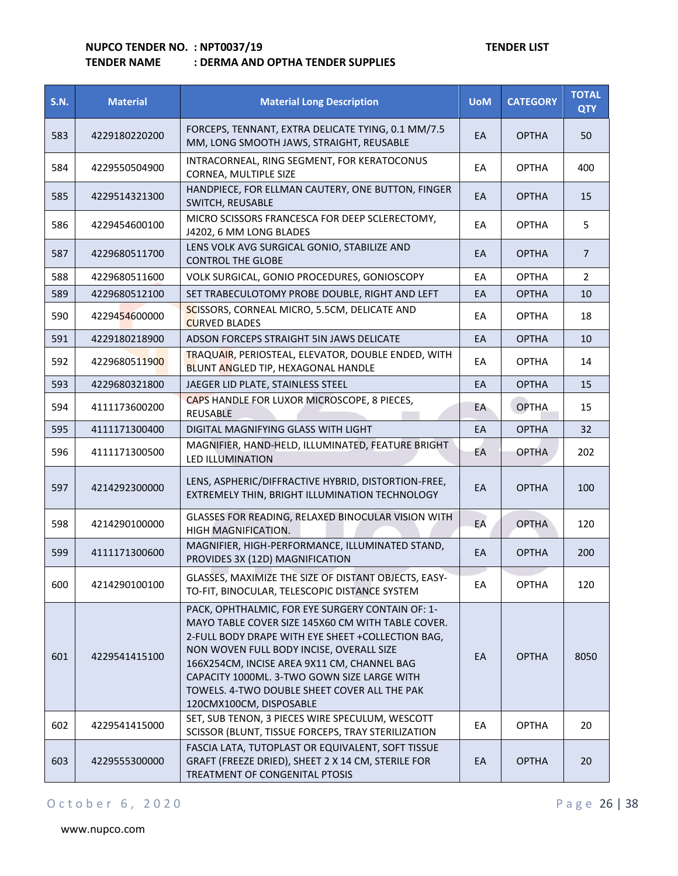## **TENDER NAME : DERMA AND OPTHA TENDER SUPPLIES**

| <b>S.N.</b> | <b>Material</b> | <b>Material Long Description</b>                                                                                                                                                                                                                                                                                                                                                | <b>UoM</b> | <b>CATEGORY</b> | <b>TOTAL</b><br><b>QTY</b> |
|-------------|-----------------|---------------------------------------------------------------------------------------------------------------------------------------------------------------------------------------------------------------------------------------------------------------------------------------------------------------------------------------------------------------------------------|------------|-----------------|----------------------------|
| 583         | 4229180220200   | FORCEPS, TENNANT, EXTRA DELICATE TYING, 0.1 MM/7.5<br>MM, LONG SMOOTH JAWS, STRAIGHT, REUSABLE                                                                                                                                                                                                                                                                                  | EA         | <b>OPTHA</b>    | 50                         |
| 584         | 4229550504900   | INTRACORNEAL, RING SEGMENT, FOR KERATOCONUS<br>CORNEA, MULTIPLE SIZE                                                                                                                                                                                                                                                                                                            | EA         | <b>OPTHA</b>    | 400                        |
| 585         | 4229514321300   | HANDPIECE, FOR ELLMAN CAUTERY, ONE BUTTON, FINGER<br>SWITCH, REUSABLE                                                                                                                                                                                                                                                                                                           | EA         | <b>OPTHA</b>    | 15                         |
| 586         | 4229454600100   | MICRO SCISSORS FRANCESCA FOR DEEP SCLERECTOMY,<br>J4202, 6 MM LONG BLADES                                                                                                                                                                                                                                                                                                       | EA         | <b>OPTHA</b>    | 5                          |
| 587         | 4229680511700   | LENS VOLK AVG SURGICAL GONIO, STABILIZE AND<br><b>CONTROL THE GLOBE</b>                                                                                                                                                                                                                                                                                                         | EA         | <b>OPTHA</b>    | $\overline{7}$             |
| 588         | 4229680511600   | VOLK SURGICAL, GONIO PROCEDURES, GONIOSCOPY                                                                                                                                                                                                                                                                                                                                     | EA         | <b>OPTHA</b>    | $\overline{2}$             |
| 589         | 4229680512100   | SET TRABECULOTOMY PROBE DOUBLE, RIGHT AND LEFT                                                                                                                                                                                                                                                                                                                                  | EA         | <b>OPTHA</b>    | 10                         |
| 590         | 4229454600000   | SCISSORS, CORNEAL MICRO, 5.5CM, DELICATE AND<br><b>CURVED BLADES</b>                                                                                                                                                                                                                                                                                                            | EA         | <b>OPTHA</b>    | 18                         |
| 591         | 4229180218900   | ADSON FORCEPS STRAIGHT 5IN JAWS DELICATE                                                                                                                                                                                                                                                                                                                                        | EA         | <b>OPTHA</b>    | 10                         |
| 592         | 4229680511900   | TRAQUAIR, PERIOSTEAL, ELEVATOR, DOUBLE ENDED, WITH<br>BLUNT ANGLED TIP, HEXAGONAL HANDLE                                                                                                                                                                                                                                                                                        | EA         | <b>OPTHA</b>    | 14                         |
| 593         | 4229680321800   | JAEGER LID PLATE, STAINLESS STEEL                                                                                                                                                                                                                                                                                                                                               | EA         | <b>OPTHA</b>    | 15                         |
| 594         | 4111173600200   | CAPS HANDLE FOR LUXOR MICROSCOPE, 8 PIECES,<br><b>REUSABLE</b>                                                                                                                                                                                                                                                                                                                  | EA         | <b>OPTHA</b>    | 15                         |
| 595         | 4111171300400   | DIGITAL MAGNIFYING GLASS WITH LIGHT                                                                                                                                                                                                                                                                                                                                             | EA         | <b>OPTHA</b>    | 32 <sub>2</sub>            |
| 596         | 4111171300500   | MAGNIFIER, HAND-HELD, ILLUMINATED, FEATURE BRIGHT<br><b>LED ILLUMINATION</b>                                                                                                                                                                                                                                                                                                    | EA         | <b>OPTHA</b>    | 202                        |
| 597         | 4214292300000   | LENS, ASPHERIC/DIFFRACTIVE HYBRID, DISTORTION-FREE,<br>EXTREMELY THIN, BRIGHT ILLUMINATION TECHNOLOGY                                                                                                                                                                                                                                                                           | EA         | <b>OPTHA</b>    | 100                        |
| 598         | 4214290100000   | GLASSES FOR READING, RELAXED BINOCULAR VISION WITH<br>HIGH MAGNIFICATION.                                                                                                                                                                                                                                                                                                       | EA         | <b>OPTHA</b>    | 120                        |
| 599         | 4111171300600   | MAGNIFIER, HIGH-PERFORMANCE, ILLUMINATED STAND,<br>PROVIDES 3X (12D) MAGNIFICATION                                                                                                                                                                                                                                                                                              | EA         | <b>OPTHA</b>    | 200                        |
| 600         | 4214290100100   | GLASSES, MAXIMIZE THE SIZE OF DISTANT OBJECTS, EASY-<br>TO-FIT, BINOCULAR, TELESCOPIC DISTANCE SYSTEM                                                                                                                                                                                                                                                                           | EA         | <b>OPTHA</b>    | 120                        |
| 601         | 4229541415100   | PACK, OPHTHALMIC, FOR EYE SURGERY CONTAIN OF: 1-<br>MAYO TABLE COVER SIZE 145X60 CM WITH TABLE COVER.<br>2-FULL BODY DRAPE WITH EYE SHEET +COLLECTION BAG,<br>NON WOVEN FULL BODY INCISE, OVERALL SIZE<br>166X254CM, INCISE AREA 9X11 CM, CHANNEL BAG<br>CAPACITY 1000ML. 3-TWO GOWN SIZE LARGE WITH<br>TOWELS. 4-TWO DOUBLE SHEET COVER ALL THE PAK<br>120CMX100CM, DISPOSABLE | EA         | <b>OPTHA</b>    | 8050                       |
| 602         | 4229541415000   | SET, SUB TENON, 3 PIECES WIRE SPECULUM, WESCOTT<br>SCISSOR (BLUNT, TISSUE FORCEPS, TRAY STERILIZATION                                                                                                                                                                                                                                                                           | EA         | <b>OPTHA</b>    | 20                         |
| 603         | 4229555300000   | FASCIA LATA, TUTOPLAST OR EQUIVALENT, SOFT TISSUE<br>GRAFT (FREEZE DRIED), SHEET 2 X 14 CM, STERILE FOR<br>TREATMENT OF CONGENITAL PTOSIS                                                                                                                                                                                                                                       | EA         | <b>OPTHA</b>    | 20                         |

## O c t o b e r 6, 2020 P a g e 26 | 38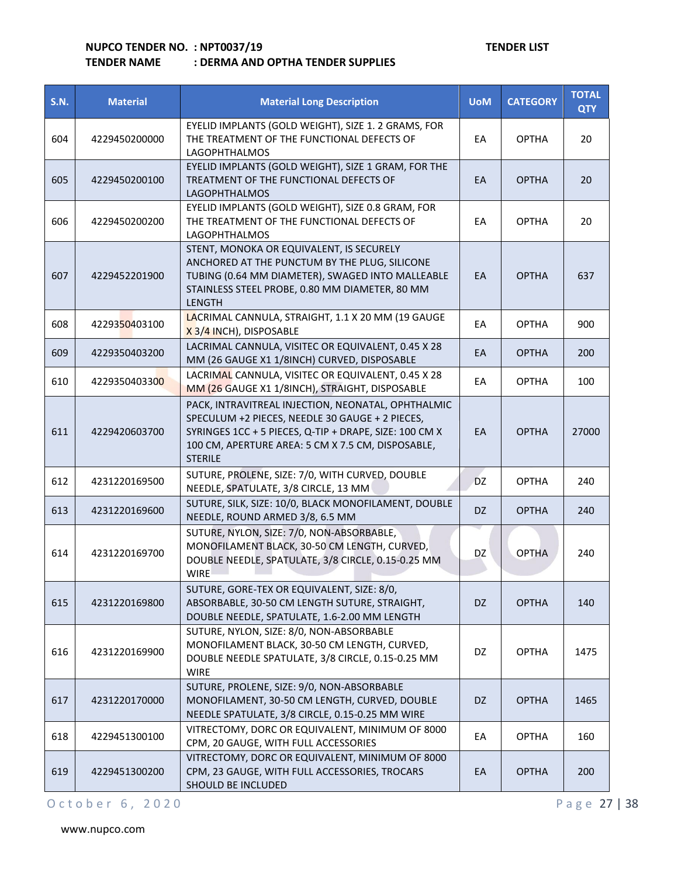| <b>S.N.</b> | <b>Material</b> | <b>Material Long Description</b>                                                                                                                                                                                                       | <b>UoM</b> | <b>CATEGORY</b> | <b>TOTAL</b><br><b>QTY</b> |
|-------------|-----------------|----------------------------------------------------------------------------------------------------------------------------------------------------------------------------------------------------------------------------------------|------------|-----------------|----------------------------|
| 604         | 4229450200000   | EYELID IMPLANTS (GOLD WEIGHT), SIZE 1. 2 GRAMS, FOR<br>THE TREATMENT OF THE FUNCTIONAL DEFECTS OF<br><b>LAGOPHTHALMOS</b>                                                                                                              | EA         | <b>OPTHA</b>    | 20                         |
| 605         | 4229450200100   | EYELID IMPLANTS (GOLD WEIGHT), SIZE 1 GRAM, FOR THE<br>TREATMENT OF THE FUNCTIONAL DEFECTS OF<br><b>LAGOPHTHALMOS</b>                                                                                                                  | EA         | <b>OPTHA</b>    | 20                         |
| 606         | 4229450200200   | EYELID IMPLANTS (GOLD WEIGHT), SIZE 0.8 GRAM, FOR<br>THE TREATMENT OF THE FUNCTIONAL DEFECTS OF<br><b>LAGOPHTHALMOS</b>                                                                                                                | EA         | <b>OPTHA</b>    | 20                         |
| 607         | 4229452201900   | STENT, MONOKA OR EQUIVALENT, IS SECURELY<br>ANCHORED AT THE PUNCTUM BY THE PLUG, SILICONE<br>TUBING (0.64 MM DIAMETER), SWAGED INTO MALLEABLE<br>STAINLESS STEEL PROBE, 0.80 MM DIAMETER, 80 MM<br><b>LENGTH</b>                       | EA         | <b>OPTHA</b>    | 637                        |
| 608         | 4229350403100   | LACRIMAL CANNULA, STRAIGHT, 1.1 X 20 MM (19 GAUGE<br>X 3/4 INCH), DISPOSABLE                                                                                                                                                           | EA         | <b>OPTHA</b>    | 900                        |
| 609         | 4229350403200   | LACRIMAL CANNULA, VISITEC OR EQUIVALENT, 0.45 X 28<br>MM (26 GAUGE X1 1/8INCH) CURVED, DISPOSABLE                                                                                                                                      | EA         | <b>OPTHA</b>    | 200                        |
| 610         | 4229350403300   | LACRIMAL CANNULA, VISITEC OR EQUIVALENT, 0.45 X 28<br>MM (26 GAUGE X1 1/8INCH), STRAIGHT, DISPOSABLE                                                                                                                                   | EA         | <b>OPTHA</b>    | 100                        |
| 611         | 4229420603700   | PACK, INTRAVITREAL INJECTION, NEONATAL, OPHTHALMIC<br>SPECULUM +2 PIECES, NEEDLE 30 GAUGE + 2 PIECES,<br>SYRINGES 1CC + 5 PIECES, Q-TIP + DRAPE, SIZE: 100 CM X<br>100 CM, APERTURE AREA: 5 CM X 7.5 CM, DISPOSABLE,<br><b>STERILE</b> | EA         | <b>OPTHA</b>    | 27000                      |
| 612         | 4231220169500   | SUTURE, PROLENE, SIZE: 7/0, WITH CURVED, DOUBLE<br>NEEDLE, SPATULATE, 3/8 CIRCLE, 13 MM                                                                                                                                                | <b>DZ</b>  | <b>OPTHA</b>    | 240                        |
| 613         | 4231220169600   | SUTURE, SILK, SIZE: 10/0, BLACK MONOFILAMENT, DOUBLE<br>NEEDLE, ROUND ARMED 3/8, 6.5 MM                                                                                                                                                | DZ.        | <b>OPTHA</b>    | 240                        |
| 614         | 4231220169700   | SUTURE, NYLON, SIZE: 7/0, NON-ABSORBABLE,<br>MONOFILAMENT BLACK, 30-50 CM LENGTH, CURVED,<br>DOUBLE NEEDLE, SPATULATE, 3/8 CIRCLE, 0.15-0.25 MM<br><b>WIRE</b>                                                                         | DZ         | OPTHA           | 240                        |
| 615         | 4231220169800   | SUTURE, GORE-TEX OR EQUIVALENT, SIZE: 8/0,<br>ABSORBABLE, 30-50 CM LENGTH SUTURE, STRAIGHT,<br>DOUBLE NEEDLE, SPATULATE, 1.6-2.00 MM LENGTH                                                                                            | DZ         | <b>OPTHA</b>    | 140                        |
| 616         | 4231220169900   | SUTURE, NYLON, SIZE: 8/0, NON-ABSORBABLE<br>MONOFILAMENT BLACK, 30-50 CM LENGTH, CURVED,<br>DOUBLE NEEDLE SPATULATE, 3/8 CIRCLE, 0.15-0.25 MM<br><b>WIRE</b>                                                                           | DZ         | <b>OPTHA</b>    | 1475                       |
| 617         | 4231220170000   | SUTURE, PROLENE, SIZE: 9/0, NON-ABSORBABLE<br>MONOFILAMENT, 30-50 CM LENGTH, CURVED, DOUBLE<br>NEEDLE SPATULATE, 3/8 CIRCLE, 0.15-0.25 MM WIRE                                                                                         | DZ         | <b>OPTHA</b>    | 1465                       |
| 618         | 4229451300100   | VITRECTOMY, DORC OR EQUIVALENT, MINIMUM OF 8000<br>CPM, 20 GAUGE, WITH FULL ACCESSORIES                                                                                                                                                | EA         | <b>OPTHA</b>    | 160                        |
| 619         | 4229451300200   | VITRECTOMY, DORC OR EQUIVALENT, MINIMUM OF 8000<br>CPM, 23 GAUGE, WITH FULL ACCESSORIES, TROCARS<br>SHOULD BE INCLUDED                                                                                                                 | EA         | <b>OPTHA</b>    | 200                        |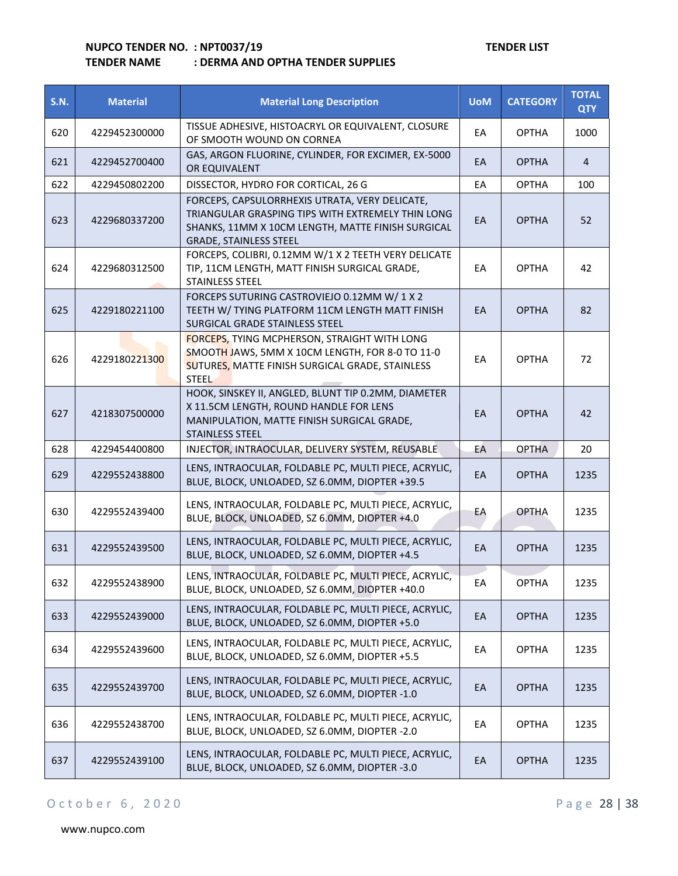| <b>S.N.</b> | <b>Material</b> | <b>Material Long Description</b>                                                                                                                                                          | <b>UoM</b> | <b>CATEGORY</b> | <b>TOTAL</b><br><b>QTY</b> |
|-------------|-----------------|-------------------------------------------------------------------------------------------------------------------------------------------------------------------------------------------|------------|-----------------|----------------------------|
| 620         | 4229452300000   | TISSUE ADHESIVE, HISTOACRYL OR EQUIVALENT, CLOSURE<br>OF SMOOTH WOUND ON CORNEA                                                                                                           | EA         | <b>OPTHA</b>    | 1000                       |
| 621         | 4229452700400   | GAS, ARGON FLUORINE, CYLINDER, FOR EXCIMER, EX-5000<br>OR EQUIVALENT                                                                                                                      | EA         | <b>OPTHA</b>    | 4                          |
| 622         | 4229450802200   | DISSECTOR, HYDRO FOR CORTICAL, 26 G                                                                                                                                                       | EA         | <b>OPTHA</b>    | 100                        |
| 623         | 4229680337200   | FORCEPS, CAPSULORRHEXIS UTRATA, VERY DELICATE,<br>TRIANGULAR GRASPING TIPS WITH EXTREMELY THIN LONG<br>SHANKS, 11MM X 10CM LENGTH, MATTE FINISH SURGICAL<br><b>GRADE, STAINLESS STEEL</b> | EA         | <b>OPTHA</b>    | 52                         |
| 624         | 4229680312500   | FORCEPS, COLIBRI, 0.12MM W/1 X 2 TEETH VERY DELICATE<br>TIP, 11CM LENGTH, MATT FINISH SURGICAL GRADE,<br>STAINLESS STEEL                                                                  | EA         | <b>OPTHA</b>    | 42                         |
| 625         | 4229180221100   | FORCEPS SUTURING CASTROVIEJO 0.12MM W/1X2<br>TEETH W/ TYING PLATFORM 11CM LENGTH MATT FINISH<br>SURGICAL GRADE STAINLESS STEEL                                                            | EA         | <b>OPTHA</b>    | 82                         |
| 626         | 4229180221300   | FORCEPS, TYING MCPHERSON, STRAIGHT WITH LONG<br>SMOOTH JAWS, 5MM X 10CM LENGTH, FOR 8-0 TO 11-0<br>SUTURES, MATTE FINISH SURGICAL GRADE, STAINLESS<br><b>STEEL</b>                        | EA         | <b>OPTHA</b>    | 72                         |
| 627         | 4218307500000   | HOOK, SINSKEY II, ANGLED, BLUNT TIP 0.2MM, DIAMETER<br>X 11.5CM LENGTH, ROUND HANDLE FOR LENS<br>MANIPULATION, MATTE FINISH SURGICAL GRADE,<br><b>STAINLESS STEEL</b>                     | EA         | <b>OPTHA</b>    | 42                         |
| 628         | 4229454400800   | INJECTOR, INTRAOCULAR, DELIVERY SYSTEM, REUSABLE                                                                                                                                          | EA         | <b>OPTHA</b>    | 20                         |
| 629         | 4229552438800   | LENS, INTRAOCULAR, FOLDABLE PC, MULTI PIECE, ACRYLIC,<br>BLUE, BLOCK, UNLOADED, SZ 6.0MM, DIOPTER +39.5                                                                                   | EA         | <b>OPTHA</b>    | 1235                       |
| 630         | 4229552439400   | LENS, INTRAOCULAR, FOLDABLE PC, MULTI PIECE, ACRYLIC,<br>BLUE, BLOCK, UNLOADED, SZ 6.0MM, DIOPTER +4.0                                                                                    | EA         | <b>OPTHA</b>    | 1235                       |
| 631         | 4229552439500   | LENS, INTRAOCULAR, FOLDABLE PC, MULTI PIECE, ACRYLIC,<br>BLUE, BLOCK, UNLOADED, SZ 6.0MM, DIOPTER +4.5                                                                                    | EA         | <b>OPTHA</b>    | 1235                       |
| 632         | 4229552438900   | LENS, INTRAOCULAR, FOLDABLE PC, MULTI PIECE, ACRYLIC,<br>BLUE, BLOCK, UNLOADED, SZ 6.0MM, DIOPTER +40.0                                                                                   | EA         | OPTHA           | 1235                       |
| 633         | 4229552439000   | LENS, INTRAOCULAR, FOLDABLE PC, MULTI PIECE, ACRYLIC,<br>BLUE, BLOCK, UNLOADED, SZ 6.0MM, DIOPTER +5.0                                                                                    | EA         | <b>OPTHA</b>    | 1235                       |
| 634         | 4229552439600   | LENS, INTRAOCULAR, FOLDABLE PC, MULTI PIECE, ACRYLIC,<br>BLUE, BLOCK, UNLOADED, SZ 6.0MM, DIOPTER +5.5                                                                                    | EA         | <b>OPTHA</b>    | 1235                       |
| 635         | 4229552439700   | LENS, INTRAOCULAR, FOLDABLE PC, MULTI PIECE, ACRYLIC,<br>BLUE, BLOCK, UNLOADED, SZ 6.0MM, DIOPTER -1.0                                                                                    | EA         | <b>OPTHA</b>    | 1235                       |
| 636         | 4229552438700   | LENS, INTRAOCULAR, FOLDABLE PC, MULTI PIECE, ACRYLIC,<br>BLUE, BLOCK, UNLOADED, SZ 6.0MM, DIOPTER -2.0                                                                                    | ЕA         | <b>OPTHA</b>    | 1235                       |
| 637         | 4229552439100   | LENS, INTRAOCULAR, FOLDABLE PC, MULTI PIECE, ACRYLIC,<br>BLUE, BLOCK, UNLOADED, SZ 6.0MM, DIOPTER -3.0                                                                                    | EA         | <b>OPTHA</b>    | 1235                       |

## O c t o b e r 6, 2020 <br>
Page 28 | 38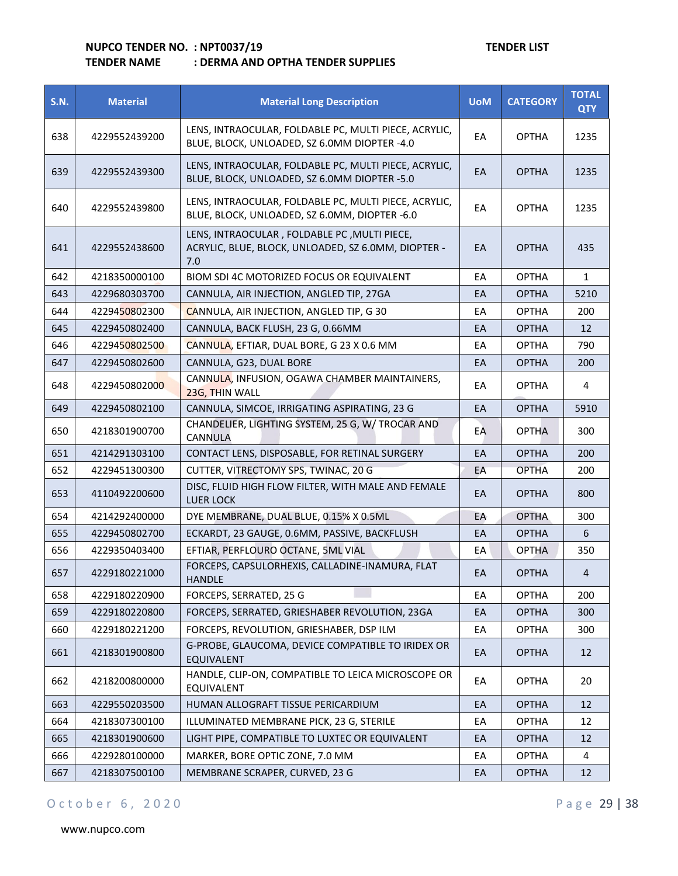## **TENDER NAME : DERMA AND OPTHA TENDER SUPPLIES**

| <b>S.N.</b> | <b>Material</b> | <b>Material Long Description</b>                                                                           | <b>UoM</b> | <b>CATEGORY</b> | <b>TOTAL</b><br><b>QTY</b> |
|-------------|-----------------|------------------------------------------------------------------------------------------------------------|------------|-----------------|----------------------------|
| 638         | 4229552439200   | LENS, INTRAOCULAR, FOLDABLE PC, MULTI PIECE, ACRYLIC,<br>BLUE, BLOCK, UNLOADED, SZ 6.0MM DIOPTER -4.0      | EA         | <b>OPTHA</b>    | 1235                       |
| 639         | 4229552439300   | LENS, INTRAOCULAR, FOLDABLE PC, MULTI PIECE, ACRYLIC,<br>BLUE, BLOCK, UNLOADED, SZ 6.0MM DIOPTER -5.0      | EA         | <b>OPTHA</b>    | 1235                       |
| 640         | 4229552439800   | LENS, INTRAOCULAR, FOLDABLE PC, MULTI PIECE, ACRYLIC,<br>BLUE, BLOCK, UNLOADED, SZ 6.0MM, DIOPTER -6.0     | EA         | <b>OPTHA</b>    | 1235                       |
| 641         | 4229552438600   | LENS, INTRAOCULAR, FOLDABLE PC, MULTI PIECE,<br>ACRYLIC, BLUE, BLOCK, UNLOADED, SZ 6.0MM, DIOPTER -<br>7.0 | EA         | <b>OPTHA</b>    | 435                        |
| 642         | 4218350000100   | BIOM SDI 4C MOTORIZED FOCUS OR EQUIVALENT                                                                  | EA         | <b>OPTHA</b>    | $\mathbf{1}$               |
| 643         | 4229680303700   | CANNULA, AIR INJECTION, ANGLED TIP, 27GA                                                                   | EA         | <b>OPTHA</b>    | 5210                       |
| 644         | 4229450802300   | CANNULA, AIR INJECTION, ANGLED TIP, G 30                                                                   | EA         | <b>OPTHA</b>    | 200                        |
| 645         | 4229450802400   | CANNULA, BACK FLUSH, 23 G, 0.66MM                                                                          | EA         | <b>OPTHA</b>    | 12                         |
| 646         | 4229450802500   | CANNULA, EFTIAR, DUAL BORE, G 23 X 0.6 MM                                                                  | EA         | <b>OPTHA</b>    | 790                        |
| 647         | 4229450802600   | CANNULA, G23, DUAL BORE                                                                                    | EA         | <b>OPTHA</b>    | 200                        |
| 648         | 4229450802000   | CANNULA, INFUSION, OGAWA CHAMBER MAINTAINERS,<br>23G, THIN WALL                                            | EA         | <b>OPTHA</b>    | 4                          |
| 649         | 4229450802100   | CANNULA, SIMCOE, IRRIGATING ASPIRATING, 23 G                                                               | EA         | <b>OPTHA</b>    | 5910                       |
| 650         | 4218301900700   | CHANDELIER, LIGHTING SYSTEM, 25 G, W/ TROCAR AND<br>CANNULA                                                | EA         | <b>OPTHA</b>    | 300                        |
| 651         | 4214291303100   | CONTACT LENS, DISPOSABLE, FOR RETINAL SURGERY                                                              | EA         | <b>OPTHA</b>    | 200                        |
| 652         | 4229451300300   | CUTTER, VITRECTOMY SPS, TWINAC, 20 G                                                                       | EA         | <b>OPTHA</b>    | 200                        |
| 653         | 4110492200600   | DISC, FLUID HIGH FLOW FILTER, WITH MALE AND FEMALE<br><b>LUER LOCK</b>                                     | EA         | <b>OPTHA</b>    | 800                        |
| 654         | 4214292400000   | DYE MEMBRANE, DUAL BLUE, 0.15% X 0.5ML                                                                     | EA         | <b>OPTHA</b>    | 300                        |
| 655         | 4229450802700   | ECKARDT, 23 GAUGE, 0.6MM, PASSIVE, BACKFLUSH                                                               | EA         | <b>OPTHA</b>    | 6                          |
| 656         | 4229350403400   | EFTIAR, PERFLOURO OCTANE, 5ML VIAL                                                                         | EA         | OPTHA           | 350                        |
| 657         | 4229180221000   | FORCEPS, CAPSULORHEXIS, CALLADINE-INAMURA, FLAT<br>HANDLE                                                  | EA         | <b>OPTHA</b>    | 4                          |
| 658         | 4229180220900   | FORCEPS, SERRATED, 25 G                                                                                    | EA         | <b>OPTHA</b>    | 200                        |
| 659         | 4229180220800   | FORCEPS, SERRATED, GRIESHABER REVOLUTION, 23GA                                                             | EA         | <b>OPTHA</b>    | 300                        |
| 660         | 4229180221200   | FORCEPS, REVOLUTION, GRIESHABER, DSP ILM                                                                   | EA         | <b>OPTHA</b>    | 300                        |
| 661         | 4218301900800   | G-PROBE, GLAUCOMA, DEVICE COMPATIBLE TO IRIDEX OR<br>EQUIVALENT                                            | EA         | <b>OPTHA</b>    | 12                         |
| 662         | 4218200800000   | HANDLE, CLIP-ON, COMPATIBLE TO LEICA MICROSCOPE OR<br>EQUIVALENT                                           | EA         | <b>OPTHA</b>    | 20                         |
| 663         | 4229550203500   | HUMAN ALLOGRAFT TISSUE PERICARDIUM                                                                         | EA         | <b>OPTHA</b>    | 12                         |
| 664         | 4218307300100   | ILLUMINATED MEMBRANE PICK, 23 G, STERILE                                                                   | EA         | <b>OPTHA</b>    | 12                         |
| 665         | 4218301900600   | LIGHT PIPE, COMPATIBLE TO LUXTEC OR EQUIVALENT                                                             | EA         | <b>OPTHA</b>    | 12                         |
| 666         | 4229280100000   | MARKER, BORE OPTIC ZONE, 7.0 MM                                                                            | EA         | <b>OPTHA</b>    | 4                          |
| 667         | 4218307500100   | MEMBRANE SCRAPER, CURVED, 23 G                                                                             | EA         | <b>OPTHA</b>    | 12                         |

## O c t o b e r 6, 2020 P a g e 29 | 38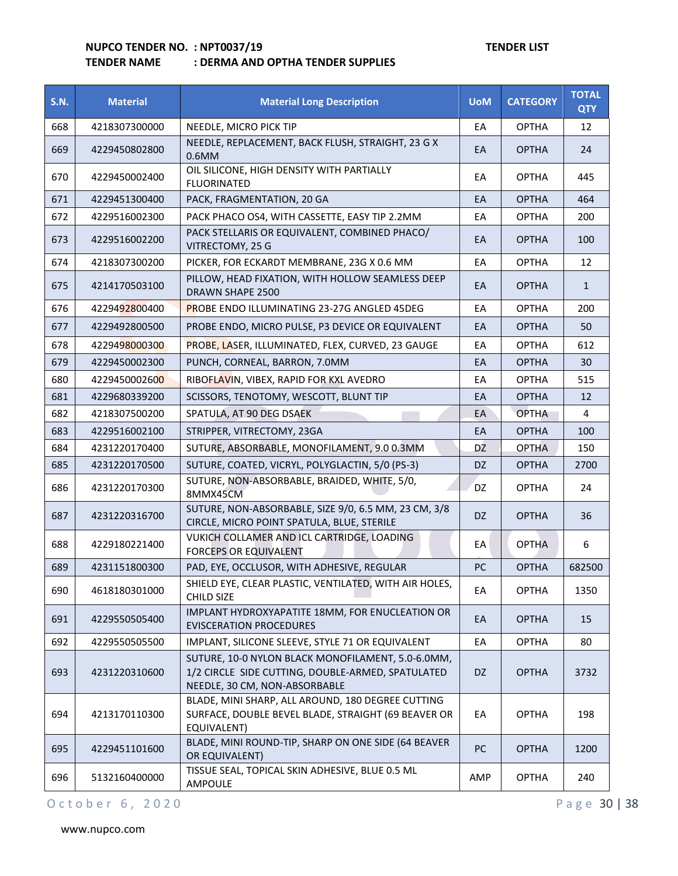## **TENDER NAME : DERMA AND OPTHA TENDER SUPPLIES**

| <b>S.N.</b> | <b>Material</b> | <b>Material Long Description</b>                                                                                                        | <b>UoM</b> | <b>CATEGORY</b> | <b>TOTAL</b><br><b>QTY</b> |
|-------------|-----------------|-----------------------------------------------------------------------------------------------------------------------------------------|------------|-----------------|----------------------------|
| 668         | 4218307300000   | NEEDLE, MICRO PICK TIP                                                                                                                  | EA         | <b>OPTHA</b>    | 12                         |
| 669         | 4229450802800   | NEEDLE, REPLACEMENT, BACK FLUSH, STRAIGHT, 23 G X<br>$0.6$ MM                                                                           | EA         | <b>OPTHA</b>    | 24                         |
| 670         | 4229450002400   | OIL SILICONE, HIGH DENSITY WITH PARTIALLY<br><b>FLUORINATED</b>                                                                         | EA         | <b>OPTHA</b>    | 445                        |
| 671         | 4229451300400   | PACK, FRAGMENTATION, 20 GA                                                                                                              | EA         | <b>OPTHA</b>    | 464                        |
| 672         | 4229516002300   | PACK PHACO OS4, WITH CASSETTE, EASY TIP 2.2MM                                                                                           | EA         | <b>OPTHA</b>    | 200                        |
| 673         | 4229516002200   | PACK STELLARIS OR EQUIVALENT, COMBINED PHACO/<br>VITRECTOMY, 25 G                                                                       | EA         | <b>OPTHA</b>    | 100                        |
| 674         | 4218307300200   | PICKER, FOR ECKARDT MEMBRANE, 23G X 0.6 MM                                                                                              | EA         | <b>OPTHA</b>    | 12                         |
| 675         | 4214170503100   | PILLOW, HEAD FIXATION, WITH HOLLOW SEAMLESS DEEP<br>DRAWN SHAPE 2500                                                                    | EA         | <b>OPTHA</b>    | $\mathbf{1}$               |
| 676         | 4229492800400   | PROBE ENDO ILLUMINATING 23-27G ANGLED 45DEG                                                                                             | EA         | <b>OPTHA</b>    | 200                        |
| 677         | 4229492800500   | PROBE ENDO, MICRO PULSE, P3 DEVICE OR EQUIVALENT                                                                                        | EA         | <b>OPTHA</b>    | 50                         |
| 678         | 4229498000300   | PROBE, LASER, ILLUMINATED, FLEX, CURVED, 23 GAUGE                                                                                       | EA         | <b>OPTHA</b>    | 612                        |
| 679         | 4229450002300   | PUNCH, CORNEAL, BARRON, 7.0MM                                                                                                           | EA         | <b>OPTHA</b>    | 30                         |
| 680         | 4229450002600   | RIBOFLAVIN, VIBEX, RAPID FOR KXL AVEDRO                                                                                                 | EA         | <b>OPTHA</b>    | 515                        |
| 681         | 4229680339200   | SCISSORS, TENOTOMY, WESCOTT, BLUNT TIP                                                                                                  | EA         | <b>OPTHA</b>    | 12                         |
| 682         | 4218307500200   | SPATULA, AT 90 DEG DSAEK                                                                                                                | EA         | <b>OPTHA</b>    | 4                          |
| 683         | 4229516002100   | STRIPPER, VITRECTOMY, 23GA                                                                                                              | EA         | <b>OPTHA</b>    | 100                        |
| 684         | 4231220170400   | SUTURE, ABSORBABLE, MONOFILAMENT, 9.0 0.3MM                                                                                             | DZ         | <b>OPTHA</b>    | 150                        |
| 685         | 4231220170500   | SUTURE, COATED, VICRYL, POLYGLACTIN, 5/0 (PS-3)                                                                                         | DZ.        | <b>OPTHA</b>    | 2700                       |
| 686         | 4231220170300   | SUTURE, NON-ABSORBABLE, BRAIDED, WHITE, 5/0,<br>8MMX45CM                                                                                | <b>DZ</b>  | <b>OPTHA</b>    | 24                         |
| 687         | 4231220316700   | SUTURE, NON-ABSORBABLE, SIZE 9/0, 6.5 MM, 23 CM, 3/8<br>CIRCLE, MICRO POINT SPATULA, BLUE, STERILE                                      | DZ         | <b>OPTHA</b>    | 36                         |
| 688         | 4229180221400   | VUKICH COLLAMER AND ICL CARTRIDGE, LOADING<br><b>FORCEPS OR EQUIVALENT</b>                                                              | EA         | <b>OPTHA</b>    | 6                          |
| 689         | 4231151800300   | PAD, EYE, OCCLUSOR, WITH ADHESIVE, REGULAR                                                                                              | PC         | <b>OPTHA</b>    | 682500                     |
| 690         | 4618180301000   | SHIELD EYE, CLEAR PLASTIC, VENTILATED, WITH AIR HOLES,<br><b>CHILD SIZE</b>                                                             | EA         | <b>OPTHA</b>    | 1350                       |
| 691         | 4229550505400   | IMPLANT HYDROXYAPATITE 18MM, FOR ENUCLEATION OR<br><b>EVISCERATION PROCEDURES</b>                                                       | EA         | <b>OPTHA</b>    | 15                         |
| 692         | 4229550505500   | IMPLANT, SILICONE SLEEVE, STYLE 71 OR EQUIVALENT                                                                                        | EA         | <b>OPTHA</b>    | 80                         |
| 693         | 4231220310600   | SUTURE, 10-0 NYLON BLACK MONOFILAMENT, 5.0-6.0MM,<br>1/2 CIRCLE SIDE CUTTING, DOUBLE-ARMED, SPATULATED<br>NEEDLE, 30 CM, NON-ABSORBABLE | DZ         | <b>OPTHA</b>    | 3732                       |
| 694         | 4213170110300   | BLADE, MINI SHARP, ALL AROUND, 180 DEGREE CUTTING<br>SURFACE, DOUBLE BEVEL BLADE, STRAIGHT (69 BEAVER OR<br>EQUIVALENT)                 | EA         | <b>OPTHA</b>    | 198                        |
| 695         | 4229451101600   | BLADE, MINI ROUND-TIP, SHARP ON ONE SIDE (64 BEAVER<br>OR EQUIVALENT)                                                                   | <b>PC</b>  | <b>OPTHA</b>    | 1200                       |
| 696         | 5132160400000   | TISSUE SEAL, TOPICAL SKIN ADHESIVE, BLUE 0.5 ML<br>AMPOULE                                                                              | AMP        | <b>OPTHA</b>    | 240                        |

O c t o b e r 6, 2020 P a g e 30 | 38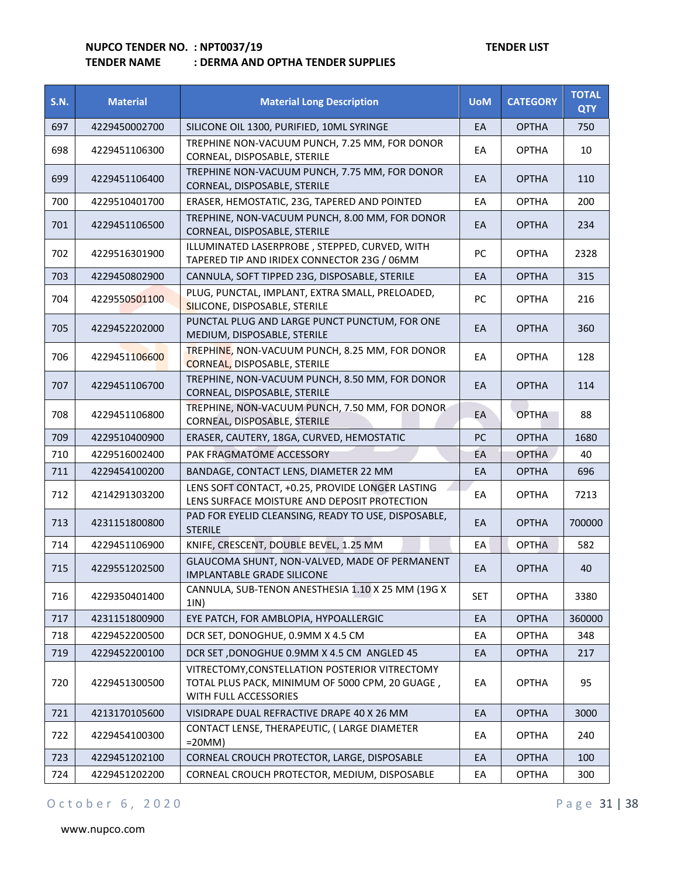## **TENDER NAME : DERMA AND OPTHA TENDER SUPPLIES**

| <b>S.N.</b> | <b>Material</b> | <b>Material Long Description</b>                                                                                           | <b>UoM</b>    | <b>CATEGORY</b> | <b>TOTAL</b><br><b>QTY</b> |
|-------------|-----------------|----------------------------------------------------------------------------------------------------------------------------|---------------|-----------------|----------------------------|
| 697         | 4229450002700   | SILICONE OIL 1300, PURIFIED, 10ML SYRINGE                                                                                  | EA            | <b>OPTHA</b>    | 750                        |
| 698         | 4229451106300   | TREPHINE NON-VACUUM PUNCH, 7.25 MM, FOR DONOR<br>CORNEAL, DISPOSABLE, STERILE                                              | EA            | <b>OPTHA</b>    | 10                         |
| 699         | 4229451106400   | TREPHINE NON-VACUUM PUNCH, 7.75 MM, FOR DONOR<br>CORNEAL, DISPOSABLE, STERILE                                              | EA            | <b>OPTHA</b>    | 110                        |
| 700         | 4229510401700   | ERASER, HEMOSTATIC, 23G, TAPERED AND POINTED                                                                               | EA            | <b>OPTHA</b>    | 200                        |
| 701         | 4229451106500   | TREPHINE, NON-VACUUM PUNCH, 8.00 MM, FOR DONOR<br>CORNEAL, DISPOSABLE, STERILE                                             | EA            | <b>OPTHA</b>    | 234                        |
| 702         | 4229516301900   | ILLUMINATED LASERPROBE, STEPPED, CURVED, WITH<br>TAPERED TIP AND IRIDEX CONNECTOR 23G / 06MM                               | PC            | <b>OPTHA</b>    | 2328                       |
| 703         | 4229450802900   | CANNULA, SOFT TIPPED 23G, DISPOSABLE, STERILE                                                                              | EA            | <b>OPTHA</b>    | 315                        |
| 704         | 4229550501100   | PLUG, PUNCTAL, IMPLANT, EXTRA SMALL, PRELOADED,<br>SILICONE, DISPOSABLE, STERILE                                           | <b>PC</b>     | <b>OPTHA</b>    | 216                        |
| 705         | 4229452202000   | PUNCTAL PLUG AND LARGE PUNCT PUNCTUM, FOR ONE<br>MEDIUM, DISPOSABLE, STERILE                                               | EA            | <b>OPTHA</b>    | 360                        |
| 706         | 4229451106600   | TREPHINE, NON-VACUUM PUNCH, 8.25 MM, FOR DONOR<br><b>CORNEAL, DISPOSABLE, STERILE</b>                                      | EA            | <b>OPTHA</b>    | 128                        |
| 707         | 4229451106700   | TREPHINE, NON-VACUUM PUNCH, 8.50 MM, FOR DONOR<br>CORNEAL, DISPOSABLE, STERILE                                             | EA            | <b>OPTHA</b>    | 114                        |
| 708         | 4229451106800   | TREPHINE, NON-VACUUM PUNCH, 7.50 MM, FOR DONOR<br>CORNEAL, DISPOSABLE, STERILE                                             | EA            | <b>OPTHA</b>    | 88                         |
| 709         | 4229510400900   | ERASER, CAUTERY, 18GA, CURVED, HEMOSTATIC                                                                                  | <sub>PC</sub> | <b>OPTHA</b>    | 1680                       |
| 710         | 4229516002400   | PAK FRAGMATOME ACCESSORY                                                                                                   | EA            | <b>OPTHA</b>    | 40                         |
| 711         | 4229454100200   | BANDAGE, CONTACT LENS, DIAMETER 22 MM                                                                                      | EA            | <b>OPTHA</b>    | 696                        |
| 712         | 4214291303200   | LENS SOFT CONTACT, +0.25, PROVIDE LONGER LASTING<br>LENS SURFACE MOISTURE AND DEPOSIT PROTECTION                           | EA            | <b>OPTHA</b>    | 7213                       |
| 713         | 4231151800800   | PAD FOR EYELID CLEANSING, READY TO USE, DISPOSABLE,<br><b>STERILE</b>                                                      | EA            | <b>OPTHA</b>    | 700000                     |
| 714         | 4229451106900   | KNIFE, CRESCENT, DOUBLE BEVEL, 1.25 MM                                                                                     | EA            | <b>OPTHA</b>    | 582                        |
| 715         | 4229551202500   | GLAUCOMA SHUNT, NON-VALVED, MADE OF PERMANENT<br><b>IMPLANTABLE GRADE SILICONE</b>                                         | EA            | <b>OPTHA</b>    | 40                         |
| 716         | 4229350401400   | CANNULA, SUB-TENON ANESTHESIA 1.10 X 25 MM (19G X<br>1IN)                                                                  | <b>SET</b>    | <b>OPTHA</b>    | 3380                       |
| 717         | 4231151800900   | EYE PATCH, FOR AMBLOPIA, HYPOALLERGIC                                                                                      | EA            | <b>OPTHA</b>    | 360000                     |
| 718         | 4229452200500   | DCR SET, DONOGHUE, 0.9MM X 4.5 CM                                                                                          | EA            | <b>OPTHA</b>    | 348                        |
| 719         | 4229452200100   | DCR SET, DONOGHUE 0.9MM X 4.5 CM ANGLED 45                                                                                 | EA            | <b>OPTHA</b>    | 217                        |
| 720         | 4229451300500   | VITRECTOMY, CONSTELLATION POSTERIOR VITRECTOMY<br>TOTAL PLUS PACK, MINIMUM OF 5000 CPM, 20 GUAGE,<br>WITH FULL ACCESSORIES | EA            | <b>OPTHA</b>    | 95                         |
| 721         | 4213170105600   | VISIDRAPE DUAL REFRACTIVE DRAPE 40 X 26 MM                                                                                 | EA            | <b>OPTHA</b>    | 3000                       |
| 722         | 4229454100300   | CONTACT LENSE, THERAPEUTIC, (LARGE DIAMETER<br>$=20MM$ )                                                                   | EA            | <b>OPTHA</b>    | 240                        |
| 723         | 4229451202100   | CORNEAL CROUCH PROTECTOR, LARGE, DISPOSABLE                                                                                | EA            | <b>OPTHA</b>    | 100                        |
| 724         | 4229451202200   | CORNEAL CROUCH PROTECTOR, MEDIUM, DISPOSABLE                                                                               | EA            | <b>OPTHA</b>    | 300                        |

## O c t o b e r 6, 2020 P a g e 31 | 38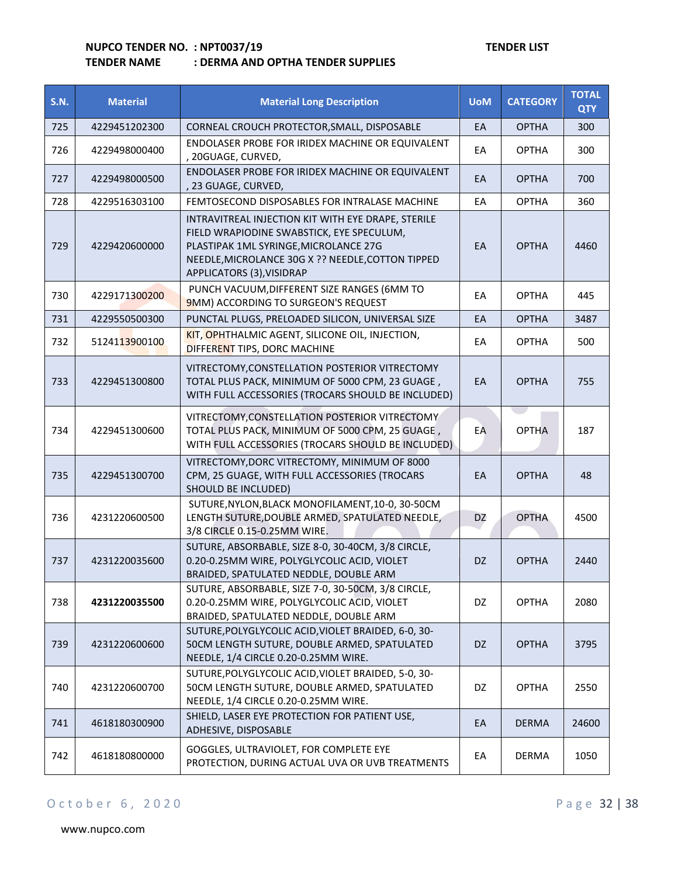#### **TENDER NAME : DERMA AND OPTHA TENDER SUPPLIES**

| <b>S.N.</b> | <b>Material</b> | <b>Material Long Description</b>                                                                                                                                                                                           | <b>UoM</b> | <b>CATEGORY</b> | <b>TOTAL</b><br><b>QTY</b> |
|-------------|-----------------|----------------------------------------------------------------------------------------------------------------------------------------------------------------------------------------------------------------------------|------------|-----------------|----------------------------|
| 725         | 4229451202300   | CORNEAL CROUCH PROTECTOR, SMALL, DISPOSABLE                                                                                                                                                                                | EA         | <b>OPTHA</b>    | 300                        |
| 726         | 4229498000400   | ENDOLASER PROBE FOR IRIDEX MACHINE OR EQUIVALENT<br>, 20GUAGE, CURVED,                                                                                                                                                     | EA         | <b>OPTHA</b>    | 300                        |
| 727         | 4229498000500   | ENDOLASER PROBE FOR IRIDEX MACHINE OR EQUIVALENT<br>, 23 GUAGE, CURVED,                                                                                                                                                    | EA         | <b>OPTHA</b>    | 700                        |
| 728         | 4229516303100   | FEMTOSECOND DISPOSABLES FOR INTRALASE MACHINE                                                                                                                                                                              | EA         | <b>OPTHA</b>    | 360                        |
| 729         | 4229420600000   | INTRAVITREAL INJECTION KIT WITH EYE DRAPE, STERILE<br>FIELD WRAPIODINE SWABSTICK, EYE SPECULUM,<br>PLASTIPAK 1ML SYRINGE, MICROLANCE 27G<br>NEEDLE, MICROLANCE 30G X ?? NEEDLE, COTTON TIPPED<br>APPLICATORS (3), VISIDRAP | EA         | <b>OPTHA</b>    | 4460                       |
| 730         | 4229171300200   | PUNCH VACUUM, DIFFERENT SIZE RANGES (6MM TO<br>9MM) ACCORDING TO SURGEON'S REQUEST                                                                                                                                         | EA         | <b>OPTHA</b>    | 445                        |
| 731         | 4229550500300   | PUNCTAL PLUGS, PRELOADED SILICON, UNIVERSAL SIZE                                                                                                                                                                           | EA         | <b>OPTHA</b>    | 3487                       |
| 732         | 5124113900100   | KIT, OPHTHALMIC AGENT, SILICONE OIL, INJECTION,<br>DIFFERENT TIPS, DORC MACHINE                                                                                                                                            | EA         | <b>OPTHA</b>    | 500                        |
| 733         | 4229451300800   | VITRECTOMY, CONSTELLATION POSTERIOR VITRECTOMY<br>TOTAL PLUS PACK, MINIMUM OF 5000 CPM, 23 GUAGE,<br>WITH FULL ACCESSORIES (TROCARS SHOULD BE INCLUDED)                                                                    | EA         | <b>OPTHA</b>    | 755                        |
| 734         | 4229451300600   | VITRECTOMY, CONSTELLATION POSTERIOR VITRECTOMY<br>TOTAL PLUS PACK, MINIMUM OF 5000 CPM, 25 GUAGE,<br>WITH FULL ACCESSORIES (TROCARS SHOULD BE INCLUDED)                                                                    | EA         | <b>OPTHA</b>    | 187                        |
| 735         | 4229451300700   | VITRECTOMY, DORC VITRECTOMY, MINIMUM OF 8000<br>CPM, 25 GUAGE, WITH FULL ACCESSORIES (TROCARS<br>SHOULD BE INCLUDED)                                                                                                       | EA         | <b>OPTHA</b>    | 48                         |
| 736         | 4231220600500   | SUTURE, NYLON, BLACK MONOFILAMENT, 10-0, 30-50CM<br>LENGTH SUTURE, DOUBLE ARMED, SPATULATED NEEDLE,<br>3/8 CIRCLE 0.15-0.25MM WIRE.                                                                                        | DZ         | <b>OPTHA</b>    | 4500                       |
| 737         | 4231220035600   | SUTURE, ABSORBABLE, SIZE 8-0, 30-40CM, 3/8 CIRCLE,<br>0.20-0.25MM WIRE, POLYGLYCOLIC ACID, VIOLET<br>BRAIDED, SPATULATED NEDDLE, DOUBLE ARM                                                                                | DZ         | <b>OPTHA</b>    | 2440                       |
| 738         | 4231220035500   | SUTURE, ABSORBABLE, SIZE 7-0, 30-50CM, 3/8 CIRCLE,<br>0.20-0.25MM WIRE, POLYGLYCOLIC ACID, VIOLET<br>BRAIDED, SPATULATED NEDDLE, DOUBLE ARM                                                                                | DZ         | <b>OPTHA</b>    | 2080                       |
| 739         | 4231220600600   | SUTURE, POLYGLYCOLIC ACID, VIOLET BRAIDED, 6-0, 30-<br>50CM LENGTH SUTURE, DOUBLE ARMED, SPATULATED<br>NEEDLE, 1/4 CIRCLE 0.20-0.25MM WIRE.                                                                                | DZ         | <b>OPTHA</b>    | 3795                       |
| 740         | 4231220600700   | SUTURE, POLYGLYCOLIC ACID, VIOLET BRAIDED, 5-0, 30-<br>50CM LENGTH SUTURE, DOUBLE ARMED, SPATULATED<br>NEEDLE, 1/4 CIRCLE 0.20-0.25MM WIRE.                                                                                | DZ         | <b>OPTHA</b>    | 2550                       |
| 741         | 4618180300900   | SHIELD, LASER EYE PROTECTION FOR PATIENT USE,<br>ADHESIVE, DISPOSABLE                                                                                                                                                      | EA         | <b>DERMA</b>    | 24600                      |
| 742         | 4618180800000   | GOGGLES, ULTRAVIOLET, FOR COMPLETE EYE<br>PROTECTION, DURING ACTUAL UVA OR UVB TREATMENTS                                                                                                                                  | EA         | <b>DERMA</b>    | 1050                       |

## O c t o b e r 6, 2020 P a g e 32 | 38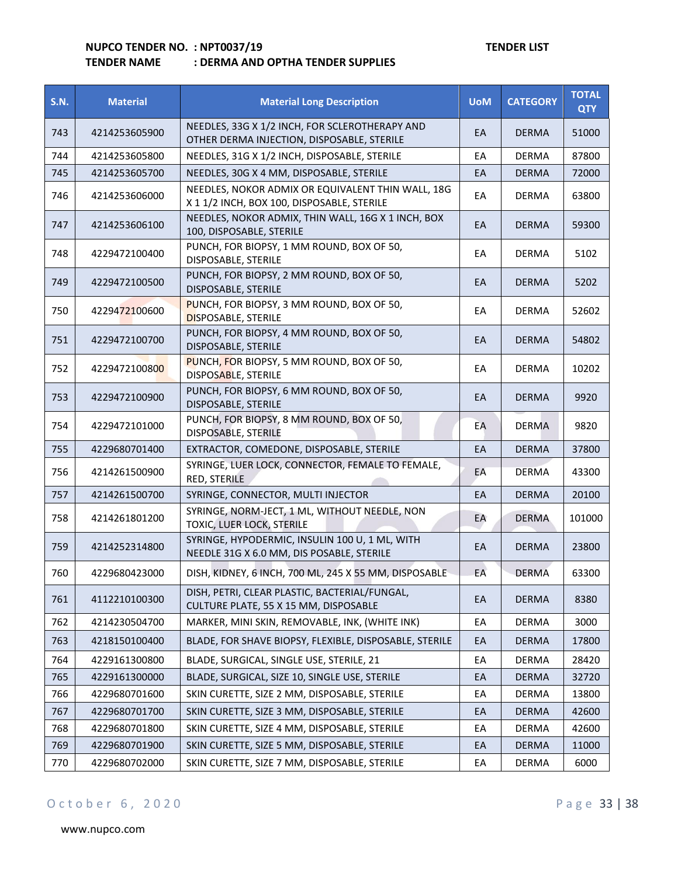|      | <b>TENDER NAME</b> | : DERMA AND OPTHA TENDER SUPPLIES |            |                 |                    |
|------|--------------------|-----------------------------------|------------|-----------------|--------------------|
| S.N. | <b>Material</b>    | <b>Material Long Description</b>  | <b>UoM</b> | <b>CATEGORY</b> | ΤΟΤΑΙ<br>$\sim$ TV |

| <b>S.N.</b> | <b>Material</b> | <b>Material Long Description</b>                                                                | <b>UoM</b> | <b>CATEGORY</b> | <b>UIAL</b><br><b>QTY</b> |
|-------------|-----------------|-------------------------------------------------------------------------------------------------|------------|-----------------|---------------------------|
| 743         | 4214253605900   | NEEDLES, 33G X 1/2 INCH, FOR SCLEROTHERAPY AND<br>OTHER DERMA INJECTION, DISPOSABLE, STERILE    | EA         | <b>DERMA</b>    | 51000                     |
| 744         | 4214253605800   | NEEDLES, 31G X 1/2 INCH, DISPOSABLE, STERILE                                                    | EA         | <b>DERMA</b>    | 87800                     |
| 745         | 4214253605700   | NEEDLES, 30G X 4 MM, DISPOSABLE, STERILE                                                        | EA         | <b>DERMA</b>    | 72000                     |
| 746         | 4214253606000   | NEEDLES, NOKOR ADMIX OR EQUIVALENT THIN WALL, 18G<br>X 1 1/2 INCH, BOX 100, DISPOSABLE, STERILE | EA         | <b>DERMA</b>    | 63800                     |
| 747         | 4214253606100   | NEEDLES, NOKOR ADMIX, THIN WALL, 16G X 1 INCH, BOX<br>100, DISPOSABLE, STERILE                  | EA         | <b>DERMA</b>    | 59300                     |
| 748         | 4229472100400   | PUNCH, FOR BIOPSY, 1 MM ROUND, BOX OF 50,<br>DISPOSABLE, STERILE                                | EA         | <b>DERMA</b>    | 5102                      |
| 749         | 4229472100500   | PUNCH, FOR BIOPSY, 2 MM ROUND, BOX OF 50,<br>DISPOSABLE, STERILE                                | EA         | <b>DERMA</b>    | 5202                      |
| 750         | 4229472100600   | PUNCH, FOR BIOPSY, 3 MM ROUND, BOX OF 50,<br><b>DISPOSABLE, STERILE</b>                         | EA         | <b>DERMA</b>    | 52602                     |
| 751         | 4229472100700   | PUNCH, FOR BIOPSY, 4 MM ROUND, BOX OF 50,<br>DISPOSABLE, STERILE                                | EA         | <b>DERMA</b>    | 54802                     |
| 752         | 4229472100800   | PUNCH, FOR BIOPSY, 5 MM ROUND, BOX OF 50,<br>DISPOSABLE, STERILE                                | EA         | <b>DERMA</b>    | 10202                     |
| 753         | 4229472100900   | PUNCH, FOR BIOPSY, 6 MM ROUND, BOX OF 50,<br>DISPOSABLE, STERILE                                | EA         | <b>DERMA</b>    | 9920                      |
| 754         | 4229472101000   | PUNCH, FOR BIOPSY, 8 MM ROUND, BOX OF 50,<br>DISPOSABLE, STERILE                                | EA         | <b>DERMA</b>    | 9820                      |
| 755         | 4229680701400   | EXTRACTOR, COMEDONE, DISPOSABLE, STERILE                                                        | EA         | <b>DERMA</b>    | 37800                     |
| 756         | 4214261500900   | SYRINGE, LUER LOCK, CONNECTOR, FEMALE TO FEMALE,<br>RED, STERILE                                | EA         | <b>DERMA</b>    | 43300                     |
| 757         | 4214261500700   | SYRINGE, CONNECTOR, MULTI INJECTOR                                                              | EA         | <b>DERMA</b>    | 20100                     |
| 758         | 4214261801200   | SYRINGE, NORM-JECT, 1 ML, WITHOUT NEEDLE, NON<br>TOXIC, LUER LOCK, STERILE                      | EA         | <b>DERMA</b>    | 101000                    |
| 759         | 4214252314800   | SYRINGE, HYPODERMIC, INSULIN 100 U, 1 ML, WITH<br>NEEDLE 31G X 6.0 MM, DIS POSABLE, STERILE     | EA         | <b>DERMA</b>    | 23800                     |
| 760         | 4229680423000   | DISH, KIDNEY, 6 INCH, 700 ML, 245 X 55 MM, DISPOSABLE                                           | EA         | <b>DERMA</b>    | 63300                     |
| 761         | 4112210100300   | DISH, PETRI, CLEAR PLASTIC, BACTERIAL/FUNGAL,<br>CULTURE PLATE, 55 X 15 MM, DISPOSABLE          | EA         | <b>DERMA</b>    | 8380                      |
| 762         | 4214230504700   | MARKER, MINI SKIN, REMOVABLE, INK, (WHITE INK)                                                  | EA         | <b>DERMA</b>    | 3000                      |
| 763         | 4218150100400   | BLADE, FOR SHAVE BIOPSY, FLEXIBLE, DISPOSABLE, STERILE                                          | EA         | <b>DERMA</b>    | 17800                     |
| 764         | 4229161300800   | BLADE, SURGICAL, SINGLE USE, STERILE, 21                                                        | EA         | DERMA           | 28420                     |
| 765         | 4229161300000   | BLADE, SURGICAL, SIZE 10, SINGLE USE, STERILE                                                   | EA         | <b>DERMA</b>    | 32720                     |
| 766         | 4229680701600   | SKIN CURETTE, SIZE 2 MM, DISPOSABLE, STERILE                                                    | EA         | <b>DERMA</b>    | 13800                     |
| 767         | 4229680701700   | SKIN CURETTE, SIZE 3 MM, DISPOSABLE, STERILE                                                    | EA         | <b>DERMA</b>    | 42600                     |
| 768         | 4229680701800   | SKIN CURETTE, SIZE 4 MM, DISPOSABLE, STERILE                                                    | EA         | <b>DERMA</b>    | 42600                     |
| 769         | 4229680701900   | SKIN CURETTE, SIZE 5 MM, DISPOSABLE, STERILE                                                    | EA         | <b>DERMA</b>    | 11000                     |
| 770         | 4229680702000   | SKIN CURETTE, SIZE 7 MM, DISPOSABLE, STERILE                                                    | EA         | DERMA           | 6000                      |

## O c t o b e r 6, 2020 P a g e 33 | 38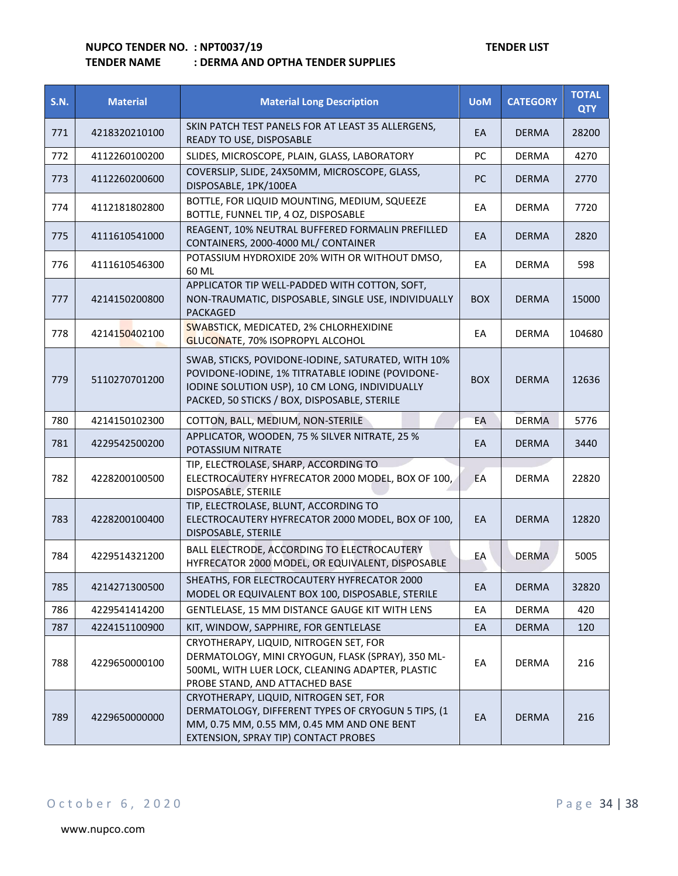## **TENDER NAME : DERMA AND OPTHA TENDER SUPPLIES**

| <b>S.N.</b> | <b>Material</b> | <b>Material Long Description</b>                                                                                                                                                                         | <b>UoM</b> | <b>CATEGORY</b> | <b>TOTAL</b><br><b>QTY</b> |
|-------------|-----------------|----------------------------------------------------------------------------------------------------------------------------------------------------------------------------------------------------------|------------|-----------------|----------------------------|
| 771         | 4218320210100   | SKIN PATCH TEST PANELS FOR AT LEAST 35 ALLERGENS,<br>READY TO USE, DISPOSABLE                                                                                                                            | EA         | <b>DERMA</b>    | 28200                      |
| 772         | 4112260100200   | SLIDES, MICROSCOPE, PLAIN, GLASS, LABORATORY                                                                                                                                                             | PC         | <b>DERMA</b>    | 4270                       |
| 773         | 4112260200600   | COVERSLIP, SLIDE, 24X50MM, MICROSCOPE, GLASS,<br>DISPOSABLE, 1PK/100EA                                                                                                                                   | <b>PC</b>  | <b>DERMA</b>    | 2770                       |
| 774         | 4112181802800   | BOTTLE, FOR LIQUID MOUNTING, MEDIUM, SQUEEZE<br>BOTTLE, FUNNEL TIP, 4 OZ, DISPOSABLE                                                                                                                     | EA         | <b>DERMA</b>    | 7720                       |
| 775         | 4111610541000   | REAGENT, 10% NEUTRAL BUFFERED FORMALIN PREFILLED<br>CONTAINERS, 2000-4000 ML/ CONTAINER                                                                                                                  | EA         | <b>DERMA</b>    | 2820                       |
| 776         | 4111610546300   | POTASSIUM HYDROXIDE 20% WITH OR WITHOUT DMSO,<br>60 ML                                                                                                                                                   | EА         | <b>DERMA</b>    | 598                        |
| 777         | 4214150200800   | APPLICATOR TIP WELL-PADDED WITH COTTON, SOFT,<br>NON-TRAUMATIC, DISPOSABLE, SINGLE USE, INDIVIDUALLY<br><b>PACKAGED</b>                                                                                  | <b>BOX</b> | <b>DERMA</b>    | 15000                      |
| 778         | 4214150402100   | SWABSTICK, MEDICATED, 2% CHLORHEXIDINE<br>GLUCONATE, 70% ISOPROPYL ALCOHOL                                                                                                                               | EA         | <b>DERMA</b>    | 104680                     |
| 779         | 5110270701200   | SWAB, STICKS, POVIDONE-IODINE, SATURATED, WITH 10%<br>POVIDONE-IODINE, 1% TITRATABLE IODINE (POVIDONE-<br>IODINE SOLUTION USP), 10 CM LONG, INDIVIDUALLY<br>PACKED, 50 STICKS / BOX, DISPOSABLE, STERILE | <b>BOX</b> | <b>DERMA</b>    | 12636                      |
| 780         | 4214150102300   | COTTON, BALL, MEDIUM, NON-STERILE                                                                                                                                                                        | EA         | <b>DERMA</b>    | 5776                       |
| 781         | 4229542500200   | APPLICATOR, WOODEN, 75 % SILVER NITRATE, 25 %<br>POTASSIUM NITRATE                                                                                                                                       | EA         | <b>DERMA</b>    | 3440                       |
| 782         | 4228200100500   | TIP, ELECTROLASE, SHARP, ACCORDING TO<br>ELECTROCAUTERY HYFRECATOR 2000 MODEL, BOX OF 100,<br>DISPOSABLE, STERILE                                                                                        | EA         | <b>DERMA</b>    | 22820                      |
| 783         | 4228200100400   | TIP, ELECTROLASE, BLUNT, ACCORDING TO<br>ELECTROCAUTERY HYFRECATOR 2000 MODEL, BOX OF 100,<br>DISPOSABLE, STERILE                                                                                        | EA         | <b>DERMA</b>    | 12820                      |
| 784         | 4229514321200   | BALL ELECTRODE, ACCORDING TO ELECTROCAUTERY<br>HYFRECATOR 2000 MODEL, OR EQUIVALENT, DISPOSABLE                                                                                                          | EA         | <b>DERMA</b>    | 5005                       |
| 785         | 4214271300500   | SHEATHS, FOR ELECTROCAUTERY HYFRECATOR 2000<br>MODEL OR EQUIVALENT BOX 100, DISPOSABLE, STERILE                                                                                                          | EA         | <b>DERMA</b>    | 32820                      |
| 786         | 4229541414200   | GENTLELASE, 15 MM DISTANCE GAUGE KIT WITH LENS                                                                                                                                                           | EA         | <b>DERMA</b>    | 420                        |
| 787         | 4224151100900   | KIT, WINDOW, SAPPHIRE, FOR GENTLELASE                                                                                                                                                                    | EA         | <b>DERMA</b>    | 120                        |
| 788         | 4229650000100   | CRYOTHERAPY, LIQUID, NITROGEN SET, FOR<br>DERMATOLOGY, MINI CRYOGUN, FLASK (SPRAY), 350 ML-<br>500ML, WITH LUER LOCK, CLEANING ADAPTER, PLASTIC<br>PROBE STAND, AND ATTACHED BASE                        | EA         | <b>DERMA</b>    | 216                        |
| 789         | 4229650000000   | CRYOTHERAPY, LIQUID, NITROGEN SET, FOR<br>DERMATOLOGY, DIFFERENT TYPES OF CRYOGUN 5 TIPS, (1<br>MM, 0.75 MM, 0.55 MM, 0.45 MM AND ONE BENT<br>EXTENSION, SPRAY TIP) CONTACT PROBES                       | EA         | <b>DERMA</b>    | 216                        |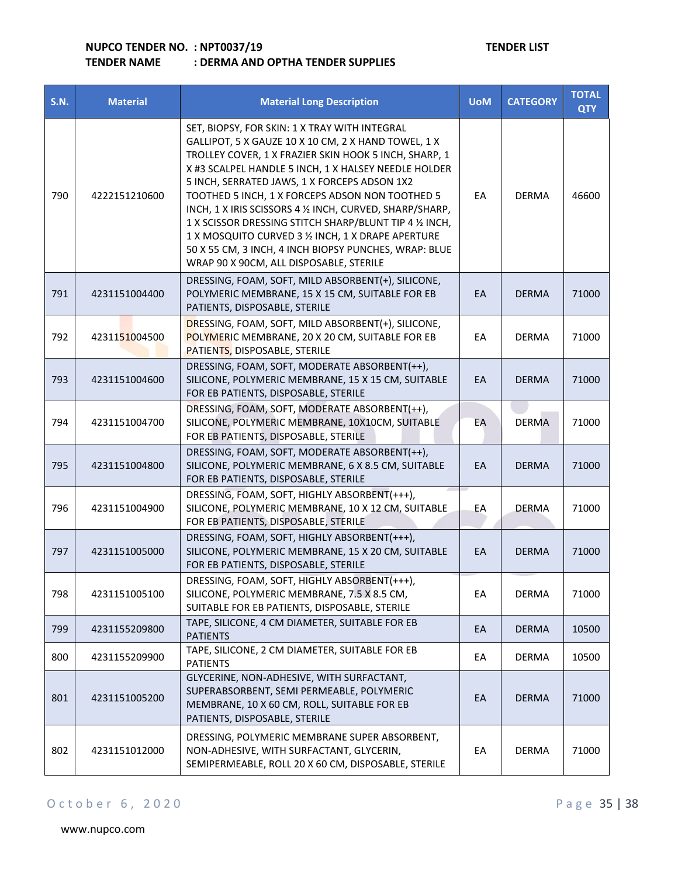| <b>S.N.</b> | <b>Material</b> | <b>Material Long Description</b>                                                                                                                                                                                                                                                                                                                                                                                                                                                                                                                                                                          | <b>UoM</b> | <b>CATEGORY</b> | <b>TOTAL</b><br><b>QTY</b> |
|-------------|-----------------|-----------------------------------------------------------------------------------------------------------------------------------------------------------------------------------------------------------------------------------------------------------------------------------------------------------------------------------------------------------------------------------------------------------------------------------------------------------------------------------------------------------------------------------------------------------------------------------------------------------|------------|-----------------|----------------------------|
| 790         | 4222151210600   | SET, BIOPSY, FOR SKIN: 1 X TRAY WITH INTEGRAL<br>GALLIPOT, 5 X GAUZE 10 X 10 CM, 2 X HAND TOWEL, 1 X<br>TROLLEY COVER, 1 X FRAZIER SKIN HOOK 5 INCH, SHARP, 1<br>X #3 SCALPEL HANDLE 5 INCH, 1 X HALSEY NEEDLE HOLDER<br>5 INCH, SERRATED JAWS, 1 X FORCEPS ADSON 1X2<br>TOOTHED 5 INCH, 1 X FORCEPS ADSON NON TOOTHED 5<br>INCH, 1 X IRIS SCISSORS 4 1/2 INCH, CURVED, SHARP/SHARP,<br>1 X SCISSOR DRESSING STITCH SHARP/BLUNT TIP 4 1/2 INCH,<br>1 X MOSQUITO CURVED 3 1/2 INCH, 1 X DRAPE APERTURE<br>50 X 55 CM, 3 INCH, 4 INCH BIOPSY PUNCHES, WRAP: BLUE<br>WRAP 90 X 90CM, ALL DISPOSABLE, STERILE | EA         | <b>DERMA</b>    | 46600                      |
| 791         | 4231151004400   | DRESSING, FOAM, SOFT, MILD ABSORBENT(+), SILICONE,<br>POLYMERIC MEMBRANE, 15 X 15 CM, SUITABLE FOR EB<br>PATIENTS, DISPOSABLE, STERILE                                                                                                                                                                                                                                                                                                                                                                                                                                                                    | EA         | <b>DERMA</b>    | 71000                      |
| 792         | 4231151004500   | DRESSING, FOAM, SOFT, MILD ABSORBENT(+), SILICONE,<br>POLYMERIC MEMBRANE, 20 X 20 CM, SUITABLE FOR EB<br>PATIENTS, DISPOSABLE, STERILE                                                                                                                                                                                                                                                                                                                                                                                                                                                                    | EA         | <b>DERMA</b>    | 71000                      |
| 793         | 4231151004600   | DRESSING, FOAM, SOFT, MODERATE ABSORBENT(++),<br>SILICONE, POLYMERIC MEMBRANE, 15 X 15 CM, SUITABLE<br>FOR EB PATIENTS, DISPOSABLE, STERILE                                                                                                                                                                                                                                                                                                                                                                                                                                                               | EA         | <b>DERMA</b>    | 71000                      |
| 794         | 4231151004700   | DRESSING, FOAM, SOFT, MODERATE ABSORBENT(++),<br>SILICONE, POLYMERIC MEMBRANE, 10X10CM, SUITABLE<br>FOR EB PATIENTS, DISPOSABLE, STERILE                                                                                                                                                                                                                                                                                                                                                                                                                                                                  | EA         | <b>DERMA</b>    | 71000                      |
| 795         | 4231151004800   | DRESSING, FOAM, SOFT, MODERATE ABSORBENT(++),<br>SILICONE, POLYMERIC MEMBRANE, 6 X 8.5 CM, SUITABLE<br>FOR EB PATIENTS, DISPOSABLE, STERILE                                                                                                                                                                                                                                                                                                                                                                                                                                                               | EA         | <b>DERMA</b>    | 71000                      |
| 796         | 4231151004900   | DRESSING, FOAM, SOFT, HIGHLY ABSORBENT(+++),<br>SILICONE, POLYMERIC MEMBRANE, 10 X 12 CM, SUITABLE<br>FOR EB PATIENTS, DISPOSABLE, STERILE                                                                                                                                                                                                                                                                                                                                                                                                                                                                | EA         | <b>DERMA</b>    | 71000                      |
| 797         | 4231151005000   | DRESSING, FOAM, SOFT, HIGHLY ABSORBENT(+++),<br>SILICONE, POLYMERIC MEMBRANE, 15 X 20 CM, SUITABLE<br>FOR EB PATIENTS, DISPOSABLE, STERILE                                                                                                                                                                                                                                                                                                                                                                                                                                                                | EA         | <b>DERMA</b>    | 71000                      |
| 798         | 4231151005100   | DRESSING, FOAM, SOFT, HIGHLY ABSORBENT(+++),<br>SILICONE, POLYMERIC MEMBRANE, 7.5 X 8.5 CM,<br>SUITABLE FOR EB PATIENTS, DISPOSABLE, STERILE                                                                                                                                                                                                                                                                                                                                                                                                                                                              | EA         | <b>DERMA</b>    | 71000                      |
| 799         | 4231155209800   | TAPE, SILICONE, 4 CM DIAMETER, SUITABLE FOR EB<br><b>PATIENTS</b>                                                                                                                                                                                                                                                                                                                                                                                                                                                                                                                                         | EA         | <b>DERMA</b>    | 10500                      |
| 800         | 4231155209900   | TAPE, SILICONE, 2 CM DIAMETER, SUITABLE FOR EB<br><b>PATIENTS</b>                                                                                                                                                                                                                                                                                                                                                                                                                                                                                                                                         | EA         | DERMA           | 10500                      |
| 801         | 4231151005200   | GLYCERINE, NON-ADHESIVE, WITH SURFACTANT,<br>SUPERABSORBENT, SEMI PERMEABLE, POLYMERIC<br>MEMBRANE, 10 X 60 CM, ROLL, SUITABLE FOR EB<br>PATIENTS, DISPOSABLE, STERILE                                                                                                                                                                                                                                                                                                                                                                                                                                    | EA         | <b>DERMA</b>    | 71000                      |
| 802         | 4231151012000   | DRESSING, POLYMERIC MEMBRANE SUPER ABSORBENT,<br>NON-ADHESIVE, WITH SURFACTANT, GLYCERIN,<br>SEMIPERMEABLE, ROLL 20 X 60 CM, DISPOSABLE, STERILE                                                                                                                                                                                                                                                                                                                                                                                                                                                          | EA         | DERMA           | 71000                      |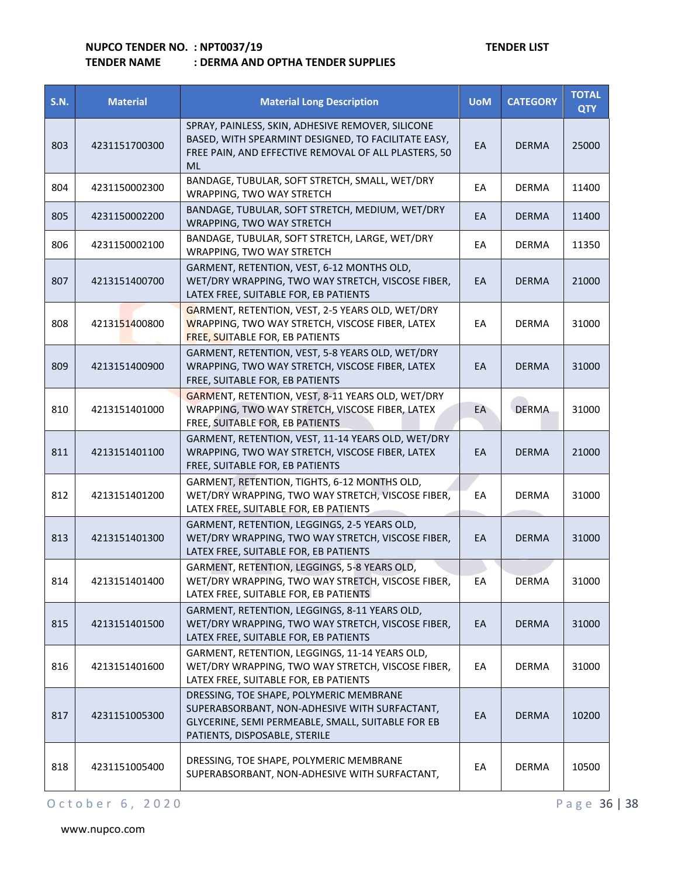| <b>S.N.</b> | <b>Material</b> | <b>Material Long Description</b>                                                                                                                                               | <b>UoM</b> | <b>CATEGORY</b> | <b>TOTAL</b><br><b>QTY</b> |
|-------------|-----------------|--------------------------------------------------------------------------------------------------------------------------------------------------------------------------------|------------|-----------------|----------------------------|
| 803         | 4231151700300   | SPRAY, PAINLESS, SKIN, ADHESIVE REMOVER, SILICONE<br>BASED, WITH SPEARMINT DESIGNED, TO FACILITATE EASY,<br>FREE PAIN, AND EFFECTIVE REMOVAL OF ALL PLASTERS, 50<br><b>ML</b>  | EA         | <b>DERMA</b>    | 25000                      |
| 804         | 4231150002300   | BANDAGE, TUBULAR, SOFT STRETCH, SMALL, WET/DRY<br>WRAPPING, TWO WAY STRETCH                                                                                                    | EA         | <b>DERMA</b>    | 11400                      |
| 805         | 4231150002200   | BANDAGE, TUBULAR, SOFT STRETCH, MEDIUM, WET/DRY<br>WRAPPING, TWO WAY STRETCH                                                                                                   | EA         | <b>DERMA</b>    | 11400                      |
| 806         | 4231150002100   | BANDAGE, TUBULAR, SOFT STRETCH, LARGE, WET/DRY<br>WRAPPING, TWO WAY STRETCH                                                                                                    | EА         | <b>DERMA</b>    | 11350                      |
| 807         | 4213151400700   | GARMENT, RETENTION, VEST, 6-12 MONTHS OLD,<br>WET/DRY WRAPPING, TWO WAY STRETCH, VISCOSE FIBER,<br>LATEX FREE, SUITABLE FOR, EB PATIENTS                                       | EA         | <b>DERMA</b>    | 21000                      |
| 808         | 4213151400800   | GARMENT, RETENTION, VEST, 2-5 YEARS OLD, WET/DRY<br>WRAPPING, TWO WAY STRETCH, VISCOSE FIBER, LATEX<br><b>FREE, SUITABLE FOR, EB PATIENTS</b>                                  | EА         | DERMA           | 31000                      |
| 809         | 4213151400900   | GARMENT, RETENTION, VEST, 5-8 YEARS OLD, WET/DRY<br>WRAPPING, TWO WAY STRETCH, VISCOSE FIBER, LATEX<br>FREE, SUITABLE FOR, EB PATIENTS                                         | EA         | <b>DERMA</b>    | 31000                      |
| 810         | 4213151401000   | GARMENT, RETENTION, VEST, 8-11 YEARS OLD, WET/DRY<br>WRAPPING, TWO WAY STRETCH, VISCOSE FIBER, LATEX<br>FREE, SUITABLE FOR, EB PATIENTS                                        | EA         | <b>DERMA</b>    | 31000                      |
| 811         | 4213151401100   | GARMENT, RETENTION, VEST, 11-14 YEARS OLD, WET/DRY<br>WRAPPING, TWO WAY STRETCH, VISCOSE FIBER, LATEX<br>FREE, SUITABLE FOR, EB PATIENTS                                       | EA         | <b>DERMA</b>    | 21000                      |
| 812         | 4213151401200   | GARMENT, RETENTION, TIGHTS, 6-12 MONTHS OLD,<br>WET/DRY WRAPPING, TWO WAY STRETCH, VISCOSE FIBER,<br>LATEX FREE, SUITABLE FOR, EB PATIENTS                                     | EA         | <b>DERMA</b>    | 31000                      |
| 813         | 4213151401300   | GARMENT, RETENTION, LEGGINGS, 2-5 YEARS OLD,<br>WET/DRY WRAPPING, TWO WAY STRETCH, VISCOSE FIBER,<br>LATEX FREE, SUITABLE FOR, EB PATIENTS                                     | EA         | <b>DERMA</b>    | 31000                      |
| 814         | 4213151401400   | GARMENT, RETENTION, LEGGINGS, 5-8 YEARS OLD,<br>WET/DRY WRAPPING, TWO WAY STRETCH, VISCOSE FIBER,<br>LATEX FREE, SUITABLE FOR, EB PATIENTS                                     | EA         | <b>DERMA</b>    | 31000                      |
| 815         | 4213151401500   | GARMENT, RETENTION, LEGGINGS, 8-11 YEARS OLD,<br>WET/DRY WRAPPING, TWO WAY STRETCH, VISCOSE FIBER,<br>LATEX FREE, SUITABLE FOR, EB PATIENTS                                    | EA         | <b>DERMA</b>    | 31000                      |
| 816         | 4213151401600   | GARMENT, RETENTION, LEGGINGS, 11-14 YEARS OLD,<br>WET/DRY WRAPPING, TWO WAY STRETCH, VISCOSE FIBER,<br>LATEX FREE, SUITABLE FOR, EB PATIENTS                                   | EA         | <b>DERMA</b>    | 31000                      |
| 817         | 4231151005300   | DRESSING, TOE SHAPE, POLYMERIC MEMBRANE<br>SUPERABSORBANT, NON-ADHESIVE WITH SURFACTANT,<br>GLYCERINE, SEMI PERMEABLE, SMALL, SUITABLE FOR EB<br>PATIENTS, DISPOSABLE, STERILE | EA         | <b>DERMA</b>    | 10200                      |
| 818         | 4231151005400   | DRESSING, TOE SHAPE, POLYMERIC MEMBRANE<br>SUPERABSORBANT, NON-ADHESIVE WITH SURFACTANT,                                                                                       | EA         | <b>DERMA</b>    | 10500                      |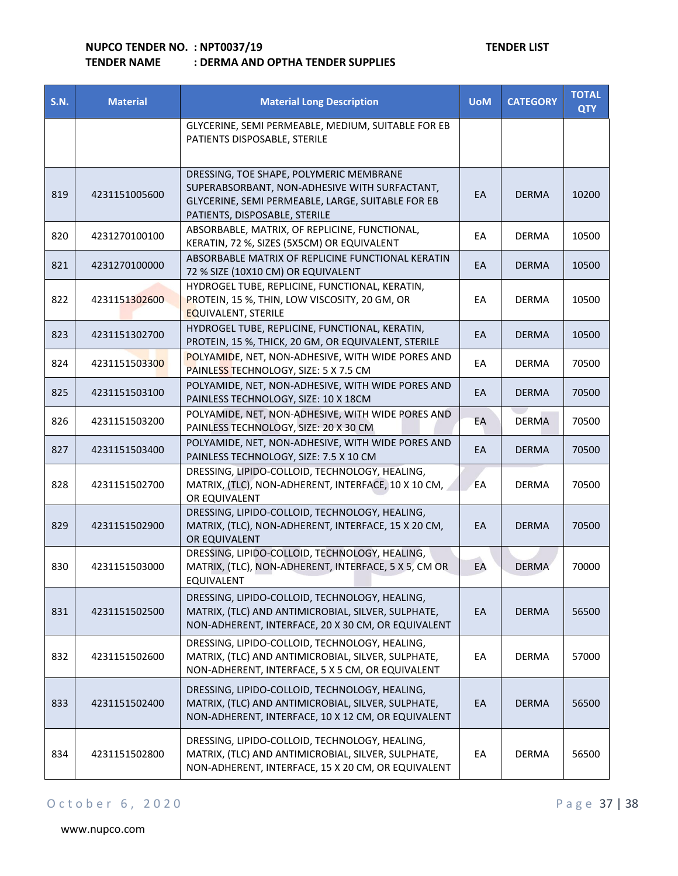| <b>S.N.</b> | <b>Material</b> | <b>Material Long Description</b>                                                                                                                                               | <b>UoM</b> | <b>CATEGORY</b> | <b>TOTAL</b><br><b>QTY</b> |
|-------------|-----------------|--------------------------------------------------------------------------------------------------------------------------------------------------------------------------------|------------|-----------------|----------------------------|
|             |                 | GLYCERINE, SEMI PERMEABLE, MEDIUM, SUITABLE FOR EB<br>PATIENTS DISPOSABLE, STERILE                                                                                             |            |                 |                            |
| 819         | 4231151005600   | DRESSING, TOE SHAPE, POLYMERIC MEMBRANE<br>SUPERABSORBANT, NON-ADHESIVE WITH SURFACTANT,<br>GLYCERINE, SEMI PERMEABLE, LARGE, SUITABLE FOR EB<br>PATIENTS, DISPOSABLE, STERILE | EA         | <b>DERMA</b>    | 10200                      |
| 820         | 4231270100100   | ABSORBABLE, MATRIX, OF REPLICINE, FUNCTIONAL,<br>KERATIN, 72 %, SIZES (5X5CM) OR EQUIVALENT                                                                                    | EA         | <b>DERMA</b>    | 10500                      |
| 821         | 4231270100000   | ABSORBABLE MATRIX OF REPLICINE FUNCTIONAL KERATIN<br>72 % SIZE (10X10 CM) OR EQUIVALENT                                                                                        | EA         | <b>DERMA</b>    | 10500                      |
| 822         | 4231151302600   | HYDROGEL TUBE, REPLICINE, FUNCTIONAL, KERATIN,<br>PROTEIN, 15 %, THIN, LOW VISCOSITY, 20 GM, OR<br><b>EQUIVALENT, STERILE</b>                                                  | EА         | <b>DERMA</b>    | 10500                      |
| 823         | 4231151302700   | HYDROGEL TUBE, REPLICINE, FUNCTIONAL, KERATIN,<br>PROTEIN, 15 %, THICK, 20 GM, OR EQUIVALENT, STERILE                                                                          | EA         | <b>DERMA</b>    | 10500                      |
| 824         | 4231151503300   | POLYAMIDE, NET, NON-ADHESIVE, WITH WIDE PORES AND<br>PAINLESS TECHNOLOGY, SIZE: 5 X 7.5 CM                                                                                     | EА         | <b>DERMA</b>    | 70500                      |
| 825         | 4231151503100   | POLYAMIDE, NET, NON-ADHESIVE, WITH WIDE PORES AND<br>PAINLESS TECHNOLOGY, SIZE: 10 X 18CM                                                                                      | EA         | <b>DERMA</b>    | 70500                      |
| 826         | 4231151503200   | POLYAMIDE, NET, NON-ADHESIVE, WITH WIDE PORES AND<br>PAINLESS TECHNOLOGY, SIZE: 20 X 30 CM                                                                                     | EА         | <b>DERMA</b>    | 70500                      |
| 827         | 4231151503400   | POLYAMIDE, NET, NON-ADHESIVE, WITH WIDE PORES AND<br>PAINLESS TECHNOLOGY, SIZE: 7.5 X 10 CM                                                                                    | EA         | <b>DERMA</b>    | 70500                      |
| 828         | 4231151502700   | DRESSING, LIPIDO-COLLOID, TECHNOLOGY, HEALING,<br>MATRIX, (TLC), NON-ADHERENT, INTERFACE, 10 X 10 CM,<br>OR EQUIVALENT                                                         | EA         | <b>DERMA</b>    | 70500                      |
| 829         | 4231151502900   | DRESSING, LIPIDO-COLLOID, TECHNOLOGY, HEALING,<br>MATRIX, (TLC), NON-ADHERENT, INTERFACE, 15 X 20 CM,<br>OR EQUIVALENT                                                         | EA         | <b>DERMA</b>    | 70500                      |
| 830         | 4231151503000   | DRESSING, LIPIDO-COLLOID, TECHNOLOGY, HEALING,<br>MATRIX, (TLC), NON-ADHERENT, INTERFACE, 5 X 5, CM OR<br>EQUIVALENT                                                           | EA         | <b>DERMA</b>    | 70000                      |
| 831         | 4231151502500   | DRESSING, LIPIDO-COLLOID, TECHNOLOGY, HEALING,<br>MATRIX, (TLC) AND ANTIMICROBIAL, SILVER, SULPHATE,<br>NON-ADHERENT, INTERFACE, 20 X 30 CM, OR EQUIVALENT                     | EA         | <b>DERMA</b>    | 56500                      |
| 832         | 4231151502600   | DRESSING, LIPIDO-COLLOID, TECHNOLOGY, HEALING,<br>MATRIX, (TLC) AND ANTIMICROBIAL, SILVER, SULPHATE,<br>NON-ADHERENT, INTERFACE, 5 X 5 CM, OR EQUIVALENT                       | EA         | DERMA           | 57000                      |
| 833         | 4231151502400   | DRESSING, LIPIDO-COLLOID, TECHNOLOGY, HEALING,<br>MATRIX, (TLC) AND ANTIMICROBIAL, SILVER, SULPHATE,<br>NON-ADHERENT, INTERFACE, 10 X 12 CM, OR EQUIVALENT                     | EA         | <b>DERMA</b>    | 56500                      |
| 834         | 4231151502800   | DRESSING, LIPIDO-COLLOID, TECHNOLOGY, HEALING,<br>MATRIX, (TLC) AND ANTIMICROBIAL, SILVER, SULPHATE,<br>NON-ADHERENT, INTERFACE, 15 X 20 CM, OR EQUIVALENT                     | EA         | <b>DERMA</b>    | 56500                      |